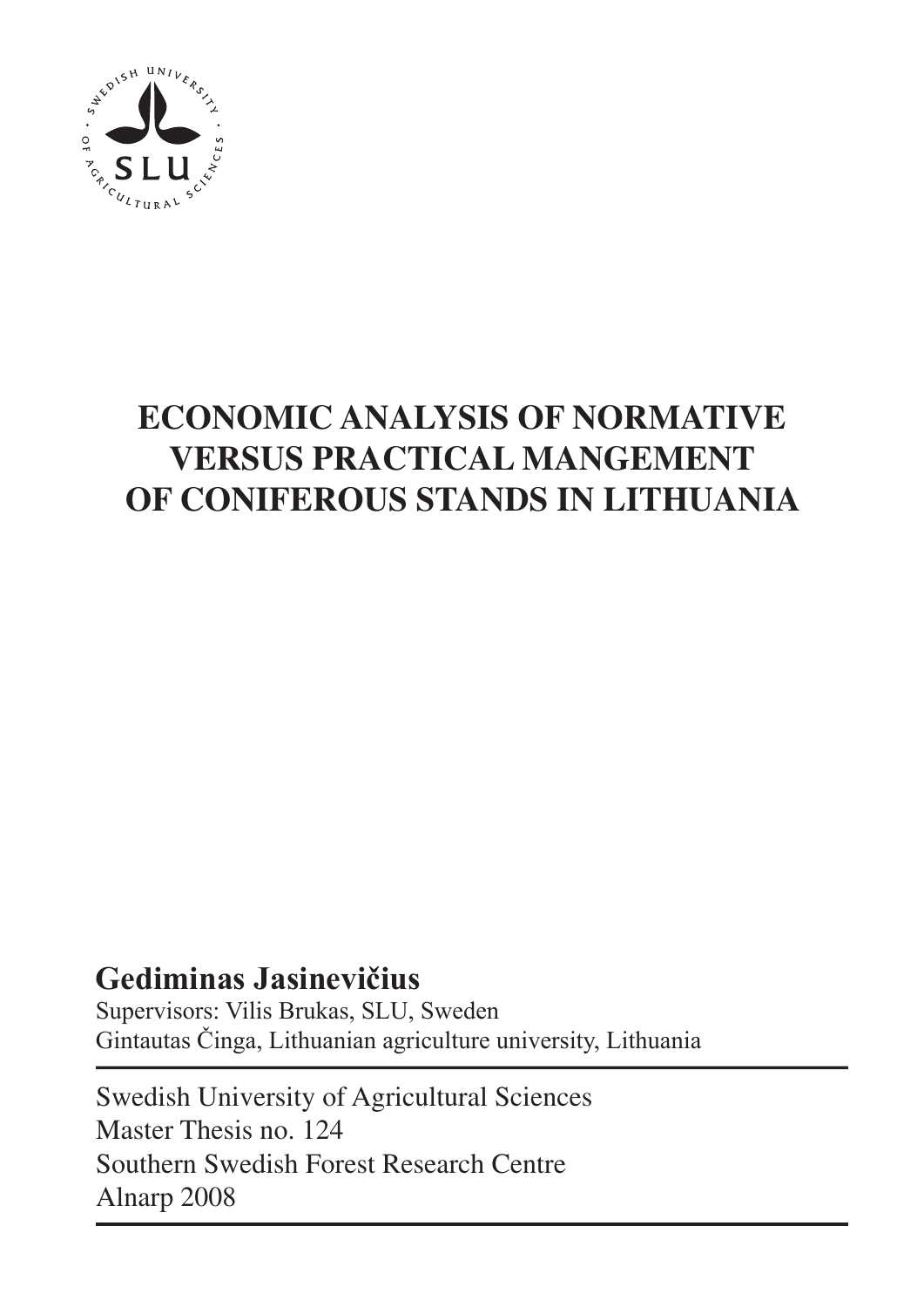

# **ECONOMIC ANALYSIS OF NORMATIVE VERSUS PRACTICAL MANGEMENT OF CONIFEROUS STANDS IN LITHUANIA**

# **Gediminas Jasinevičius**

Supervisors: Vilis Brukas, SLU, Sweden Gintautas Činga, Lithuanian agriculture university, Lithuania

Swedish University of Agricultural Sciences Master Thesis no. 124 Southern Swedish Forest Research Centre Alnarp 2008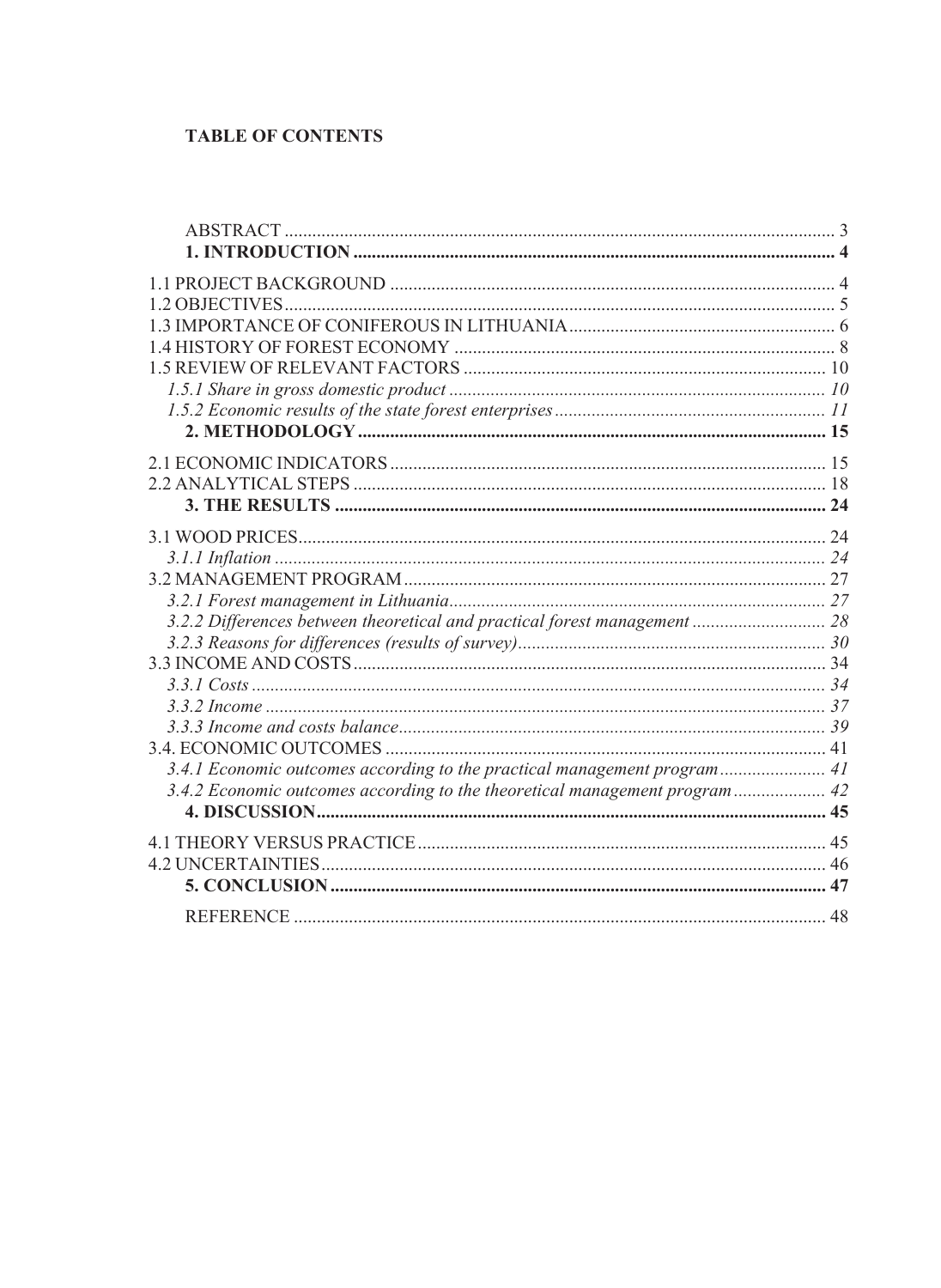# **TABLE OF CONTENTS**

| 3.2.2 Differences between theoretical and practical forest management  28  |  |
|----------------------------------------------------------------------------|--|
|                                                                            |  |
|                                                                            |  |
|                                                                            |  |
|                                                                            |  |
|                                                                            |  |
|                                                                            |  |
| 3.4.1 Economic outcomes according to the practical management program 41   |  |
| 3.4.2 Economic outcomes according to the theoretical management program 42 |  |
|                                                                            |  |
|                                                                            |  |
|                                                                            |  |
|                                                                            |  |
|                                                                            |  |
|                                                                            |  |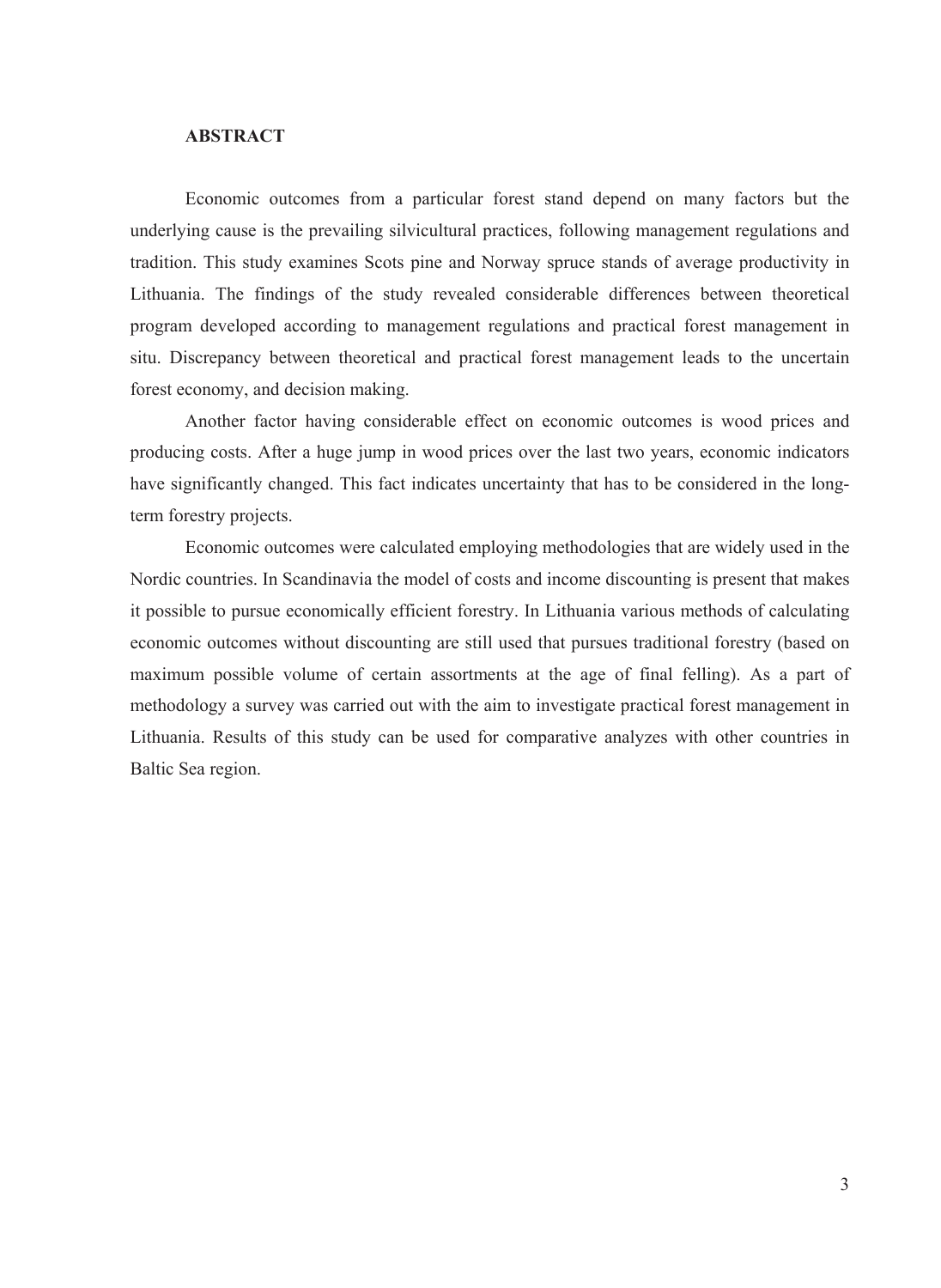#### **ABSTRACT**

<span id="page-4-0"></span>Economic outcomes from a particular forest stand depend on many factors but the underlying cause is the prevailing silvicultural practices, following management regulations and tradition. This study examines Scots pine and Norway spruce stands of average productivity in Lithuania. The findings of the study revealed considerable differences between theoretical program developed according to management regulations and practical forest management in situ. Discrepancy between theoretical and practical forest management leads to the uncertain forest economy, and decision making.

Another factor having considerable effect on economic outcomes is wood prices and producing costs. After a huge jump in wood prices over the last two years, economic indicators have significantly changed. This fact indicates uncertainty that has to be considered in the longterm forestry projects.

Economic outcomes were calculated employing methodologies that are widely used in the Nordic countries. In Scandinavia the model of costs and income discounting is present that makes it possible to pursue economically efficient forestry. In Lithuania various methods of calculating economic outcomes without discounting are still used that pursues traditional forestry (based on maximum possible volume of certain assortments at the age of final felling). As a part of methodology a survey was carried out with the aim to investigate practical forest management in Lithuania. Results of this study can be used for comparative analyzes with other countries in Baltic Sea region.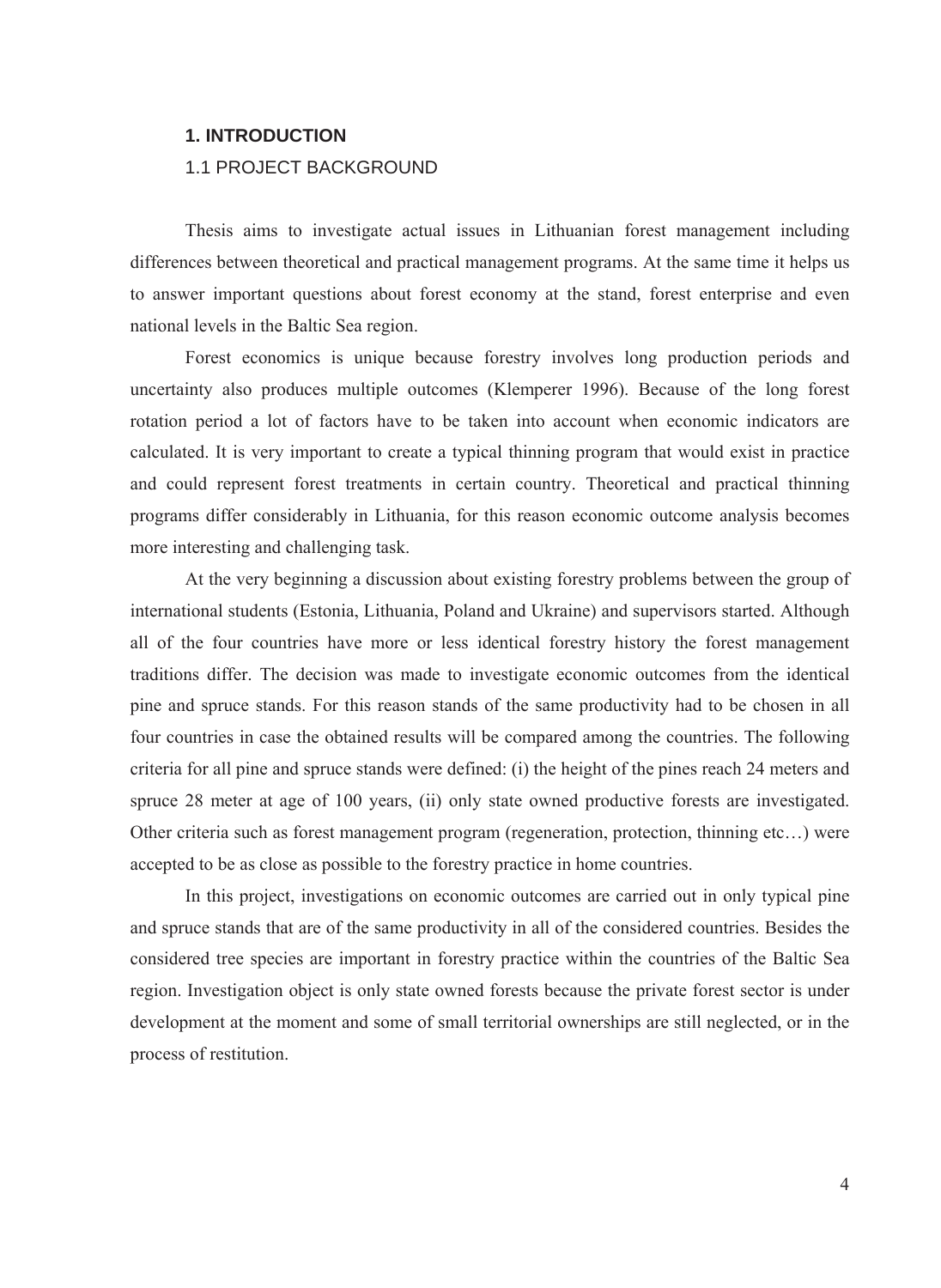#### <span id="page-5-0"></span>**1. INTRODUCTION**

#### 1.1 PROJECT BACKGROUND

Thesis aims to investigate actual issues in Lithuanian forest management including differences between theoretical and practical management programs. At the same time it helps us to answer important questions about forest economy at the stand, forest enterprise and even national levels in the Baltic Sea region.

Forest economics is unique because forestry involves long production periods and uncertainty also produces multiple outcomes (Klemperer 1996). Because of the long forest rotation period a lot of factors have to be taken into account when economic indicators are calculated. It is very important to create a typical thinning program that would exist in practice and could represent forest treatments in certain country. Theoretical and practical thinning programs differ considerably in Lithuania, for this reason economic outcome analysis becomes more interesting and challenging task.

At the very beginning a discussion about existing forestry problems between the group of international students (Estonia, Lithuania, Poland and Ukraine) and supervisors started. Although all of the four countries have more or less identical forestry history the forest management traditions differ. The decision was made to investigate economic outcomes from the identical pine and spruce stands. For this reason stands of the same productivity had to be chosen in all four countries in case the obtained results will be compared among the countries. The following criteria for all pine and spruce stands were defined: (i) the height of the pines reach 24 meters and spruce 28 meter at age of 100 years, (ii) only state owned productive forests are investigated. Other criteria such as forest management program (regeneration, protection, thinning etc…) were accepted to be as close as possible to the forestry practice in home countries.

In this project, investigations on economic outcomes are carried out in only typical pine and spruce stands that are of the same productivity in all of the considered countries. Besides the considered tree species are important in forestry practice within the countries of the Baltic Sea region. Investigation object is only state owned forests because the private forest sector is under development at the moment and some of small territorial ownerships are still neglected, or in the process of restitution.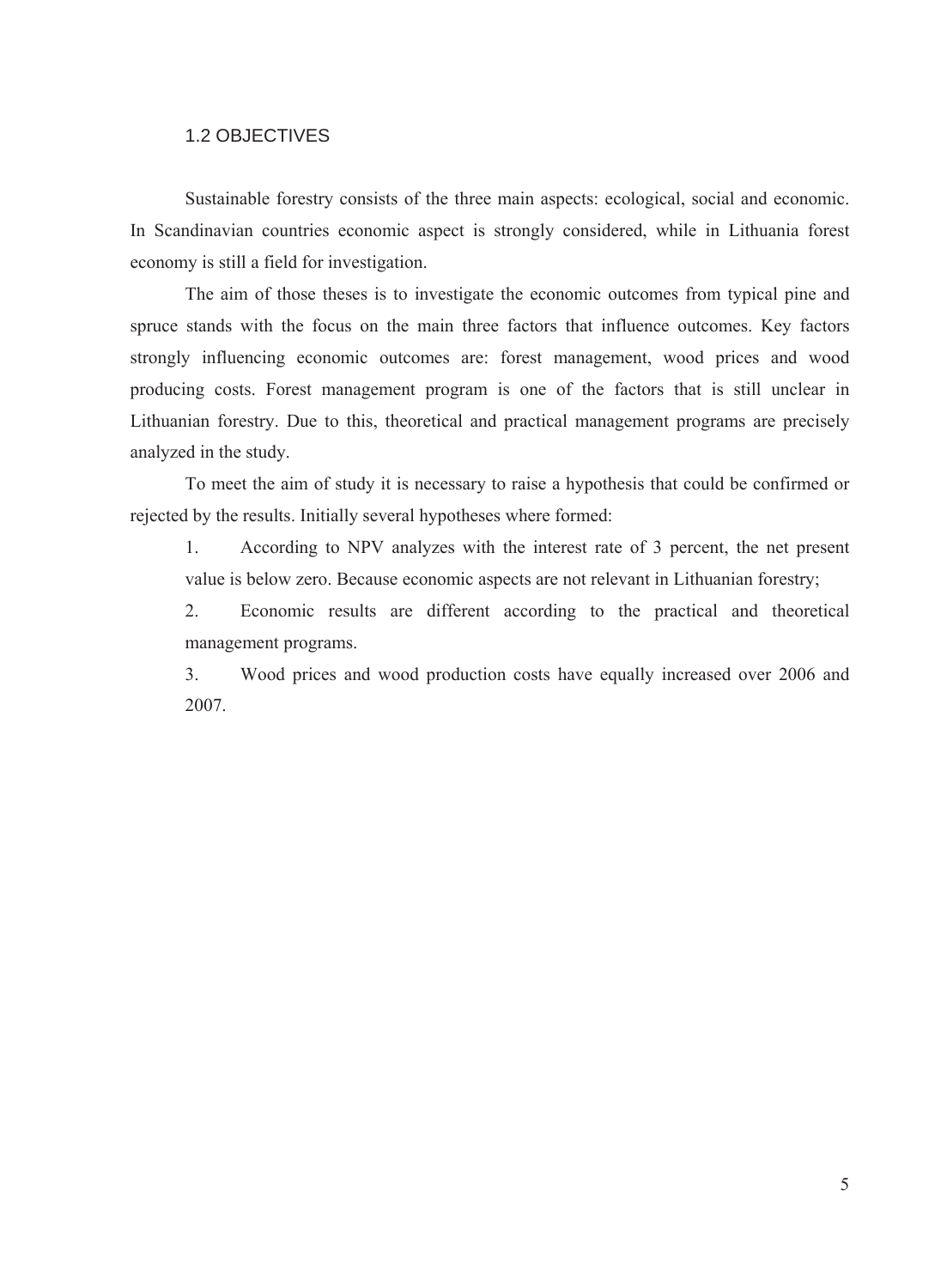## 1.2 OBJECTIVES

<span id="page-6-0"></span>Sustainable forestry consists of the three main aspects: ecological, social and economic. In Scandinavian countries economic aspect is strongly considered, while in Lithuania forest economy is still a field for investigation.

The aim of those theses is to investigate the economic outcomes from typical pine and spruce stands with the focus on the main three factors that influence outcomes. Key factors strongly influencing economic outcomes are: forest management, wood prices and wood producing costs. Forest management program is one of the factors that is still unclear in Lithuanian forestry. Due to this, theoretical and practical management programs are precisely analyzed in the study.

To meet the aim of study it is necessary to raise a hypothesis that could be confirmed or rejected by the results. Initially several hypotheses where formed:

1. According to NPV analyzes with the interest rate of 3 percent, the net present value is below zero. Because economic aspects are not relevant in Lithuanian forestry;

2. Economic results are different according to the practical and theoretical management programs.

3. Wood prices and wood production costs have equally increased over 2006 and 2007.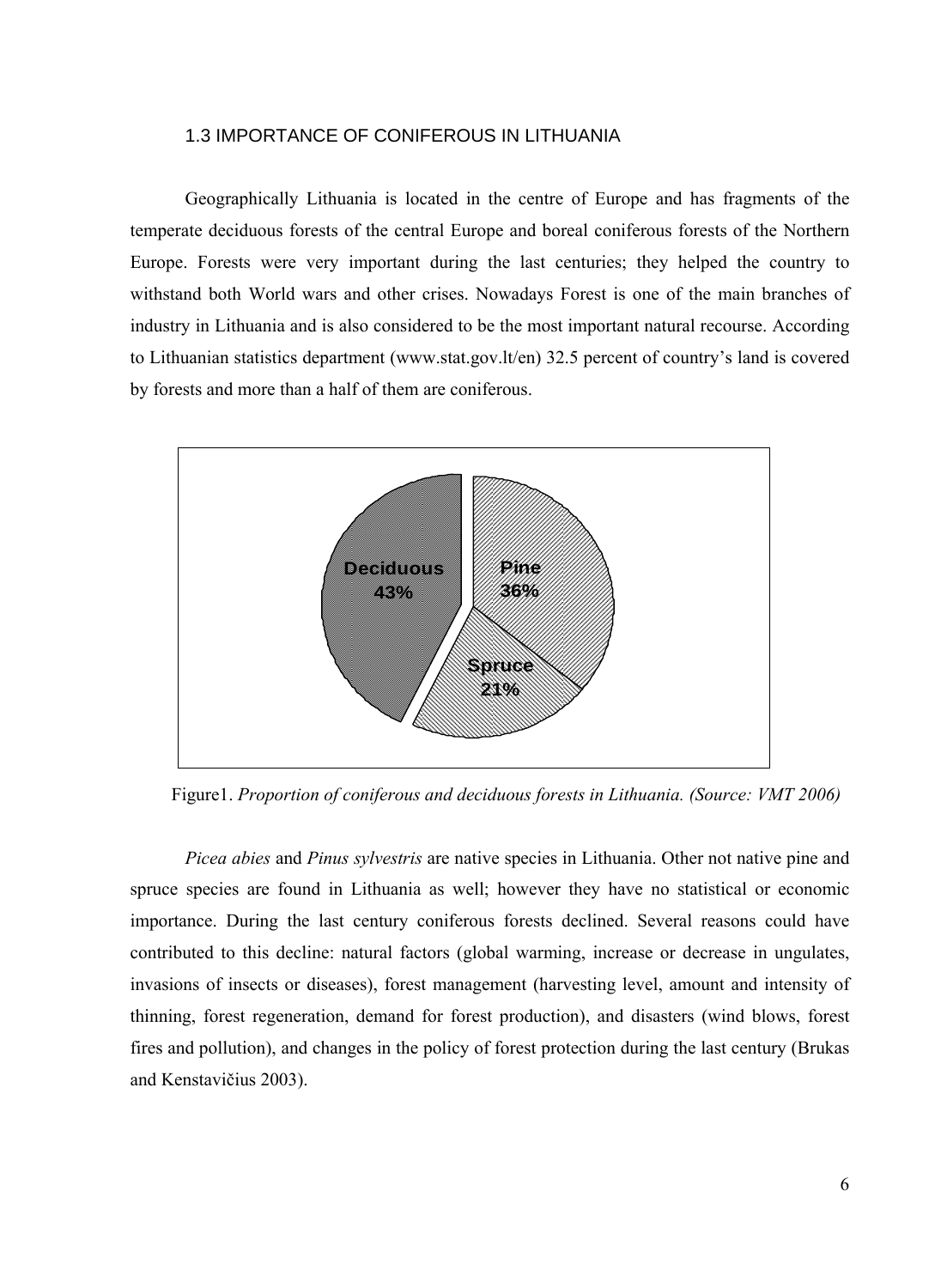#### 1.3 IMPORTANCE OF CONIFEROUS IN LITHUANIA

<span id="page-7-0"></span>Geographically Lithuania is located in the centre of Europe and has fragments of the temperate deciduous forests of the central Europe and boreal coniferous forests of the Northern Europe. Forests were very important during the last centuries; they helped the country to withstand both World wars and other crises. Nowadays Forest is one of the main branches of industry in Lithuania and is also considered to be the most important natural recourse. According to Lithuanian statistics department [\(www.stat.gov.lt/en](http://www.stat.gov.lt/en)) 32.5 percent of country's land is covered by forests and more than a half of them are coniferous.



Figure1. *Proportion of coniferous and deciduous forests in Lithuania. (Source: VMT 2006)* 

*Picea abies* and *Pinus sylvestris* are native species in Lithuania. Other not native pine and spruce species are found in Lithuania as well; however they have no statistical or economic importance. During the last century coniferous forests declined. Several reasons could have contributed to this decline: natural factors (global warming, increase or decrease in ungulates, invasions of insects or diseases), forest management (harvesting level, amount and intensity of thinning, forest regeneration, demand for forest production), and disasters (wind blows, forest fires and pollution), and changes in the policy of forest protection during the last century (Brukas and Kenstavičius 2003).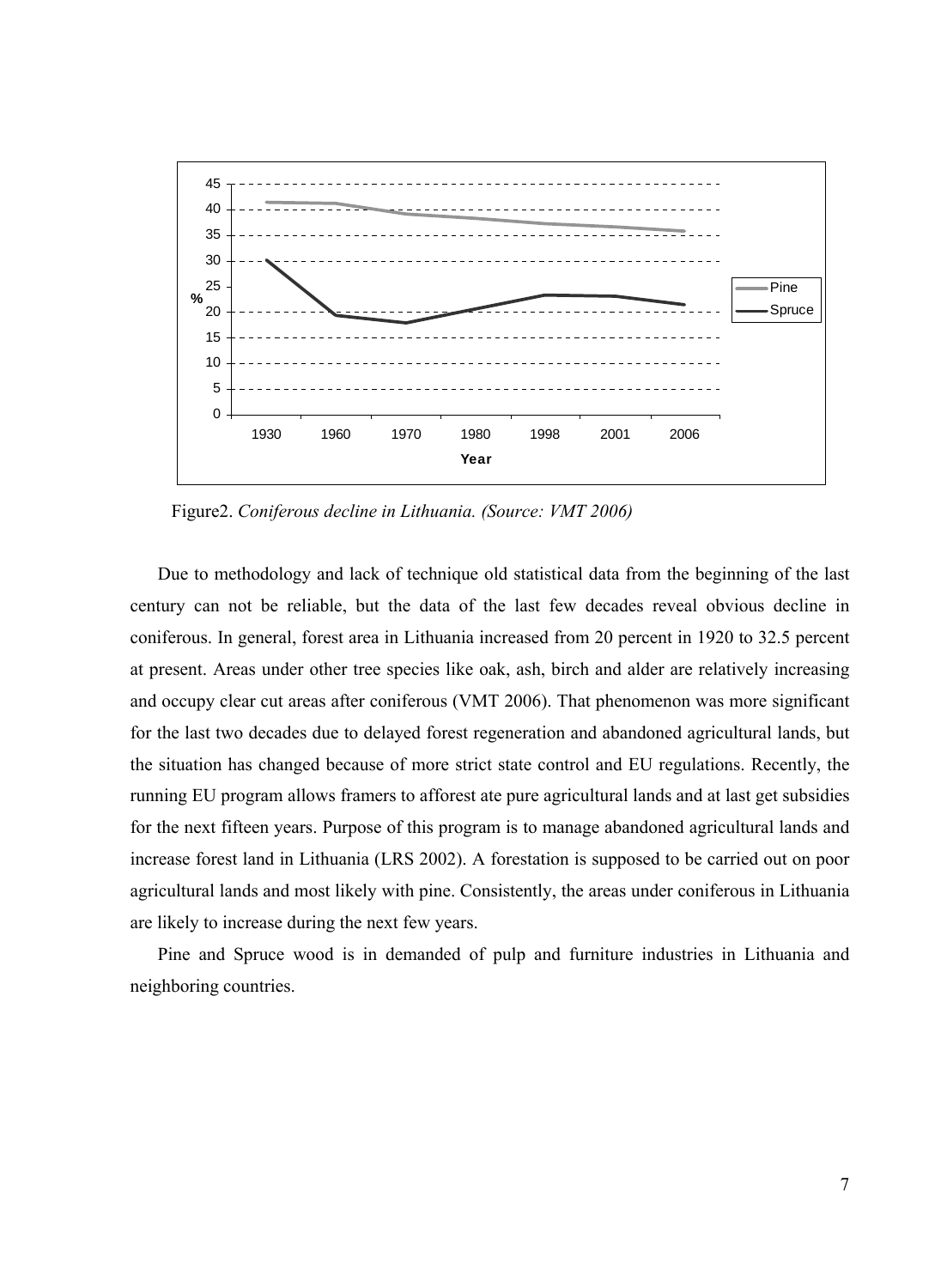

Figure2. *Coniferous decline in Lithuania. (Source: VMT 2006)* 

Due to methodology and lack of technique old statistical data from the beginning of the last century can not be reliable, but the data of the last few decades reveal obvious decline in coniferous. In general, forest area in Lithuania increased from 20 percent in 1920 to 32.5 percent at present. Areas under other tree species like oak, ash, birch and alder are relatively increasing and occupy clear cut areas after coniferous (VMT 2006). That phenomenon was more significant for the last two decades due to delayed forest regeneration and abandoned agricultural lands, but the situation has changed because of more strict state control and EU regulations. Recently, the running EU program allows framers to afforest ate pure agricultural lands and at last get subsidies for the next fifteen years. Purpose of this program is to manage abandoned agricultural lands and increase forest land in Lithuania (LRS 2002). A forestation is supposed to be carried out on poor agricultural lands and most likely with pine. Consistently, the areas under coniferous in Lithuania are likely to increase during the next few years.

Pine and Spruce wood is in demanded of pulp and furniture industries in Lithuania and neighboring countries.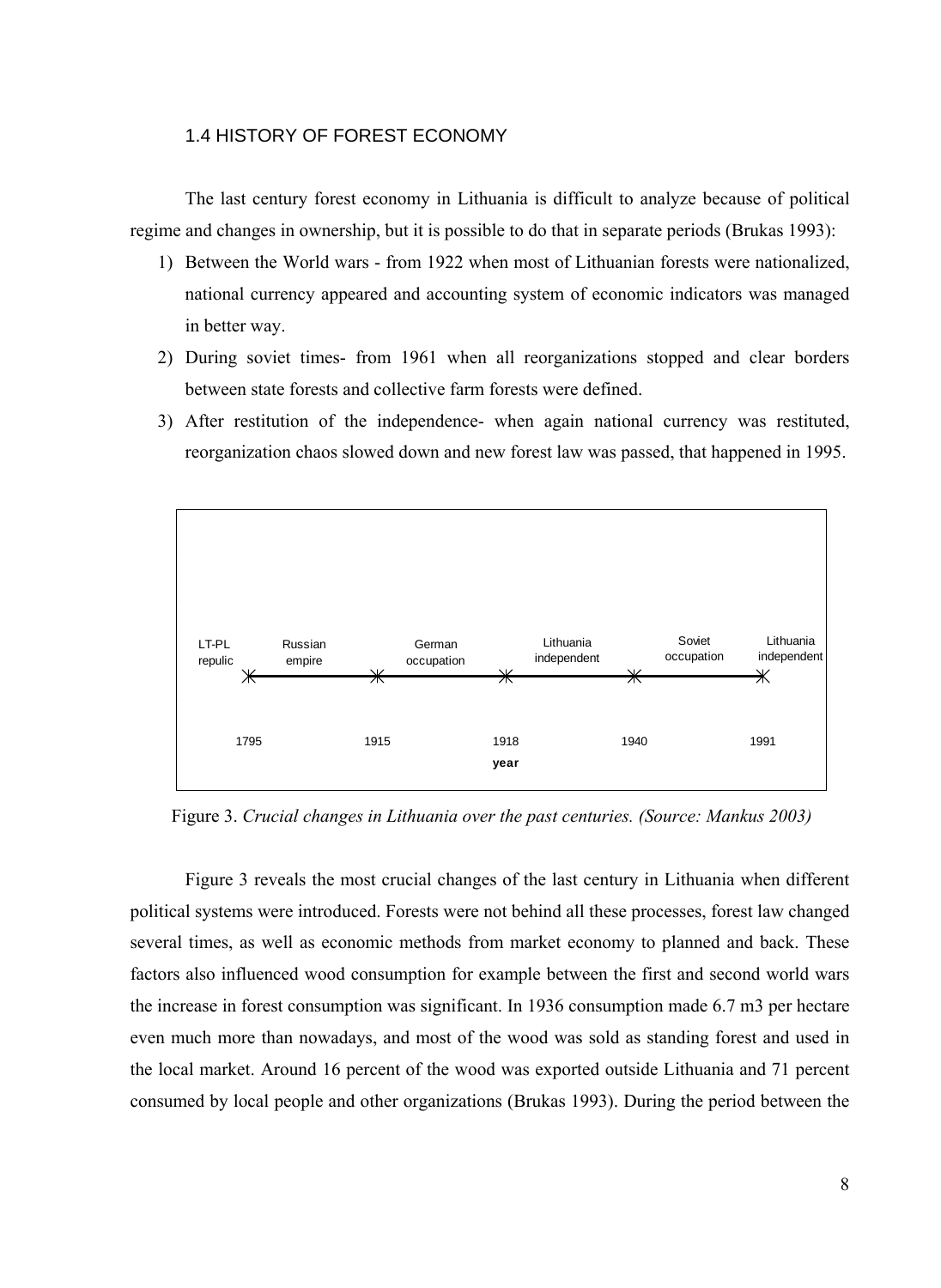## 1.4 HISTORY OF FOREST ECONOMY

<span id="page-9-0"></span>The last century forest economy in Lithuania is difficult to analyze because of political regime and changes in ownership, but it is possible to do that in separate periods (Brukas 1993):

- 1) Between the World wars from 1922 when most of Lithuanian forests were nationalized, national currency appeared and accounting system of economic indicators was managed in better way.
- 2) During soviet times- from 1961 when all reorganizations stopped and clear borders between state forests and collective farm forests were defined.
- 3) After restitution of the independence- when again national currency was restituted, reorganization chaos slowed down and new forest law was passed, that happened in 1995.



Figure 3. *Crucial changes in Lithuania over the past centuries. (Source: Mankus 2003)* 

Figure 3 reveals the most crucial changes of the last century in Lithuania when different political systems were introduced. Forests were not behind all these processes, forest law changed several times, as well as economic methods from market economy to planned and back. These factors also influenced wood consumption for example between the first and second world wars the increase in forest consumption was significant. In 1936 consumption made 6.7 m3 per hectare even much more than nowadays, and most of the wood was sold as standing forest and used in the local market. Around 16 percent of the wood was exported outside Lithuania and 71 percent consumed by local people and other organizations (Brukas 1993). During the period between the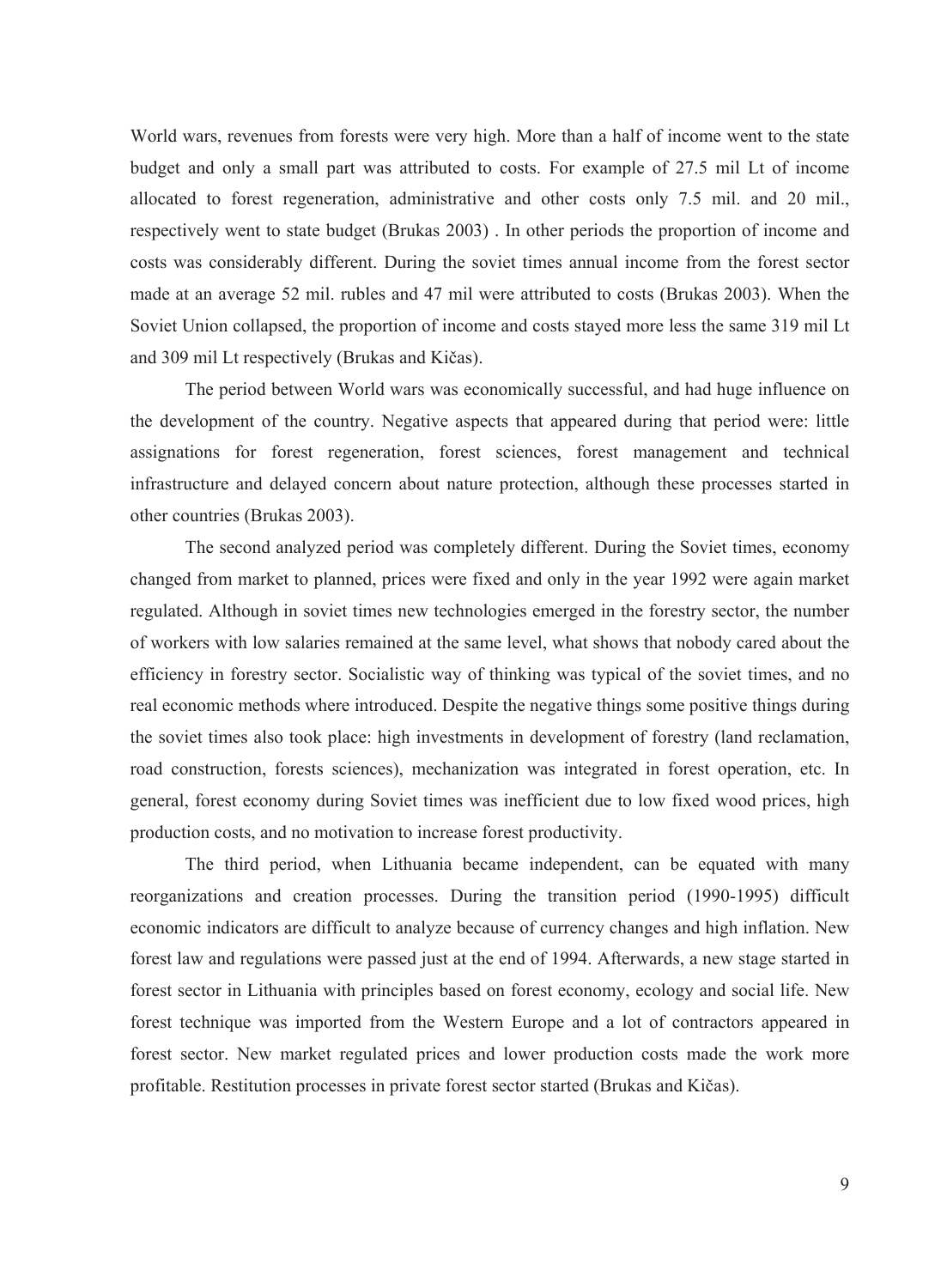World wars, revenues from forests were very high. More than a half of income went to the state budget and only a small part was attributed to costs. For example of 27.5 mil Lt of income allocated to forest regeneration, administrative and other costs only 7.5 mil. and 20 mil., respectively went to state budget (Brukas 2003) . In other periods the proportion of income and costs was considerably different. During the soviet times annual income from the forest sector made at an average 52 mil. rubles and 47 mil were attributed to costs (Brukas 2003). When the Soviet Union collapsed, the proportion of income and costs stayed more less the same 319 mil Lt and 309 mil Lt respectively (Brukas and Kičas).

The period between World wars was economically successful, and had huge influence on the development of the country. Negative aspects that appeared during that period were: little assignations for forest regeneration, forest sciences, forest management and technical infrastructure and delayed concern about nature protection, although these processes started in other countries (Brukas 2003).

The second analyzed period was completely different. During the Soviet times, economy changed from market to planned, prices were fixed and only in the year 1992 were again market regulated. Although in soviet times new technologies emerged in the forestry sector, the number of workers with low salaries remained at the same level, what shows that nobody cared about the efficiency in forestry sector. Socialistic way of thinking was typical of the soviet times, and no real economic methods where introduced. Despite the negative things some positive things during the soviet times also took place: high investments in development of forestry (land reclamation, road construction, forests sciences), mechanization was integrated in forest operation, etc. In general, forest economy during Soviet times was inefficient due to low fixed wood prices, high production costs, and no motivation to increase forest productivity.

The third period, when Lithuania became independent, can be equated with many reorganizations and creation processes. During the transition period (1990-1995) difficult economic indicators are difficult to analyze because of currency changes and high inflation. New forest law and regulations were passed just at the end of 1994. Afterwards, a new stage started in forest sector in Lithuania with principles based on forest economy, ecology and social life. New forest technique was imported from the Western Europe and a lot of contractors appeared in forest sector. New market regulated prices and lower production costs made the work more profitable. Restitution processes in private forest sector started (Brukas and Kičas).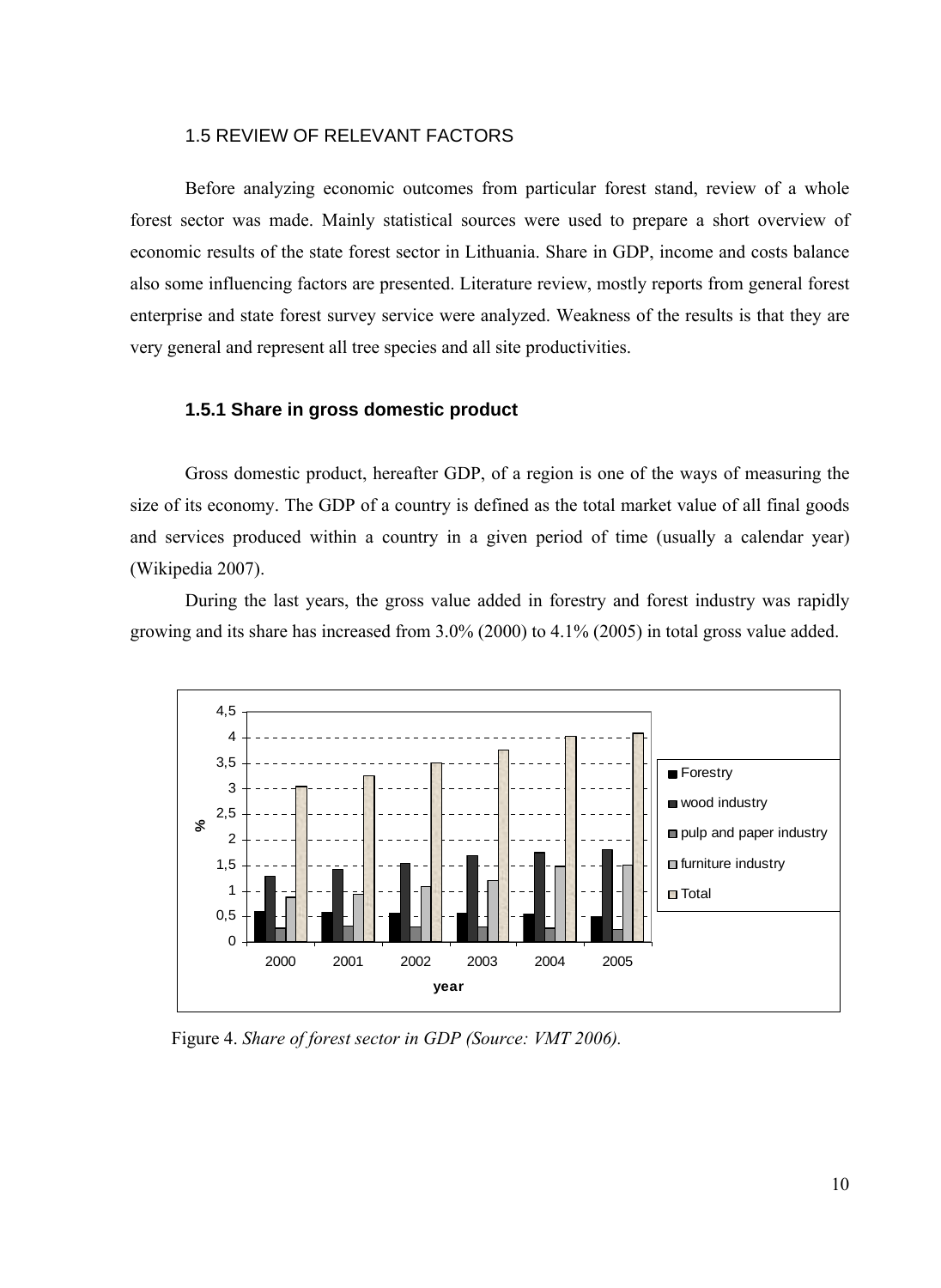## 1.5 REVIEW OF RELEVANT FACTORS

<span id="page-11-0"></span>Before analyzing economic outcomes from particular forest stand, review of a whole forest sector was made. Mainly statistical sources were used to prepare a short overview of economic results of the state forest sector in Lithuania. Share in GDP, income and costs balance also some influencing factors are presented. Literature review, mostly reports from general forest enterprise and state forest survey service were analyzed. Weakness of the results is that they are very general and represent all tree species and all site productivities.

#### **1.5.1 Share in gross domestic product**

Gross domestic product, hereafter GDP, of a region is one of the ways of measuring the size of its economy. The GDP of a country is defined as the total market value of all final goods and services produced within a country in a given period of time (usually a calendar year) (Wikipedia 2007).

During the last years, the gross value added in forestry and forest industry was rapidly growing and its share has increased from 3.0% (2000) to 4.1% (2005) in total gross value added.



Figure 4. *Share of forest sector in GDP (Source: VMT 2006).*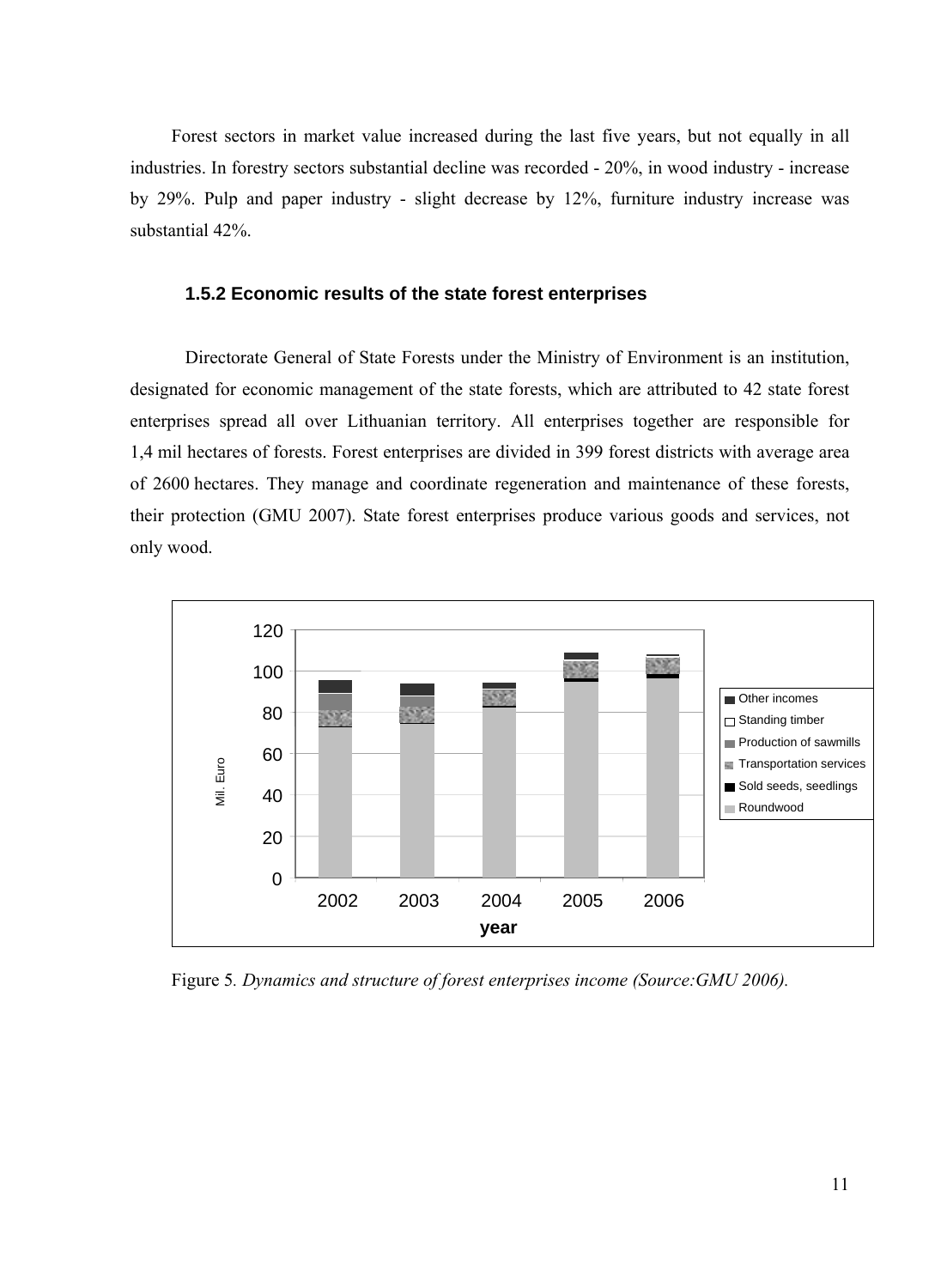<span id="page-12-0"></span>Forest sectors in market value increased during the last five years, but not equally in all industries. In forestry sectors substantial decline was recorded - 20%, in wood industry - increase by 29%. Pulp and paper industry - slight decrease by 12%, furniture industry increase was substantial 42%.

## **1.5.2 Economic results of the state forest enterprises**

Directorate General of State Forests under the Ministry of Environment is an institution, designated for economic management of the state forests, which are attributed to 42 state forest enterprises spread all over Lithuanian territory. All enterprises together are responsible for 1,4 mil hectares of forests. Forest enterprises are divided in 399 forest districts with average area of 2600 hectares. They manage and coordinate regeneration and maintenance of these forests, their protection (GMU 2007). State forest enterprises produce various goods and services, not only wood.



Figure 5*. Dynamics and structure of forest enterprises income (Source:GMU 2006).*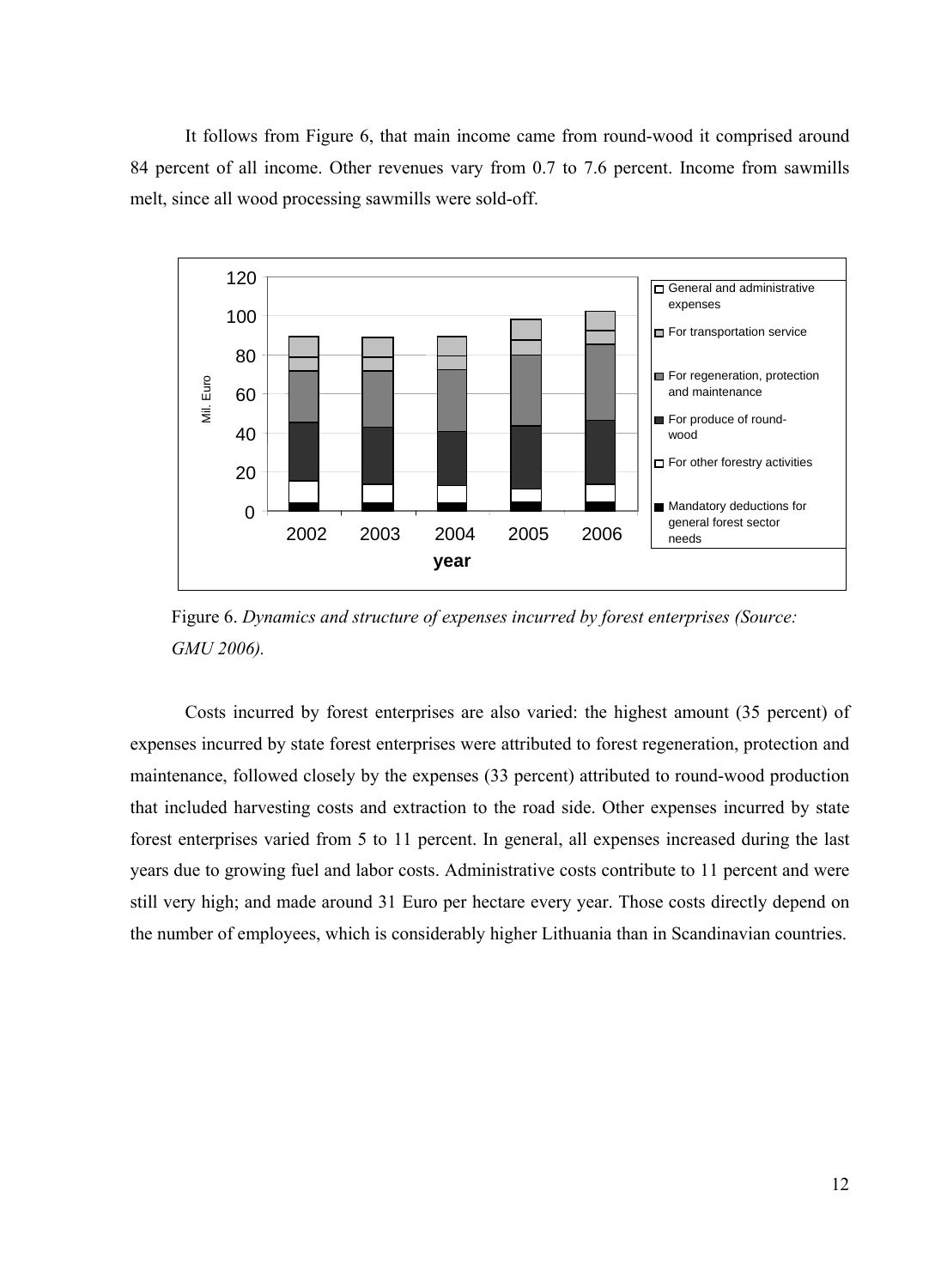It follows from Figure 6, that main income came from round-wood it comprised around 84 percent of all income. Other revenues vary from 0.7 to 7.6 percent. Income from sawmills melt, since all wood processing sawmills were sold-off.



Figure 6. *Dynamics and structure of expenses incurred by forest enterprises (Source: GMU 2006).* 

Costs incurred by forest enterprises are also varied: the highest amount (35 percent) of expenses incurred by state forest enterprises were attributed to forest regeneration, protection and maintenance, followed closely by the expenses (33 percent) attributed to round-wood production that included harvesting costs and extraction to the road side. Other expenses incurred by state forest enterprises varied from 5 to 11 percent. In general, all expenses increased during the last years due to growing fuel and labor costs. Administrative costs contribute to 11 percent and were still very high; and made around 31 Euro per hectare every year. Those costs directly depend on the number of employees, which is considerably higher Lithuania than in Scandinavian countries.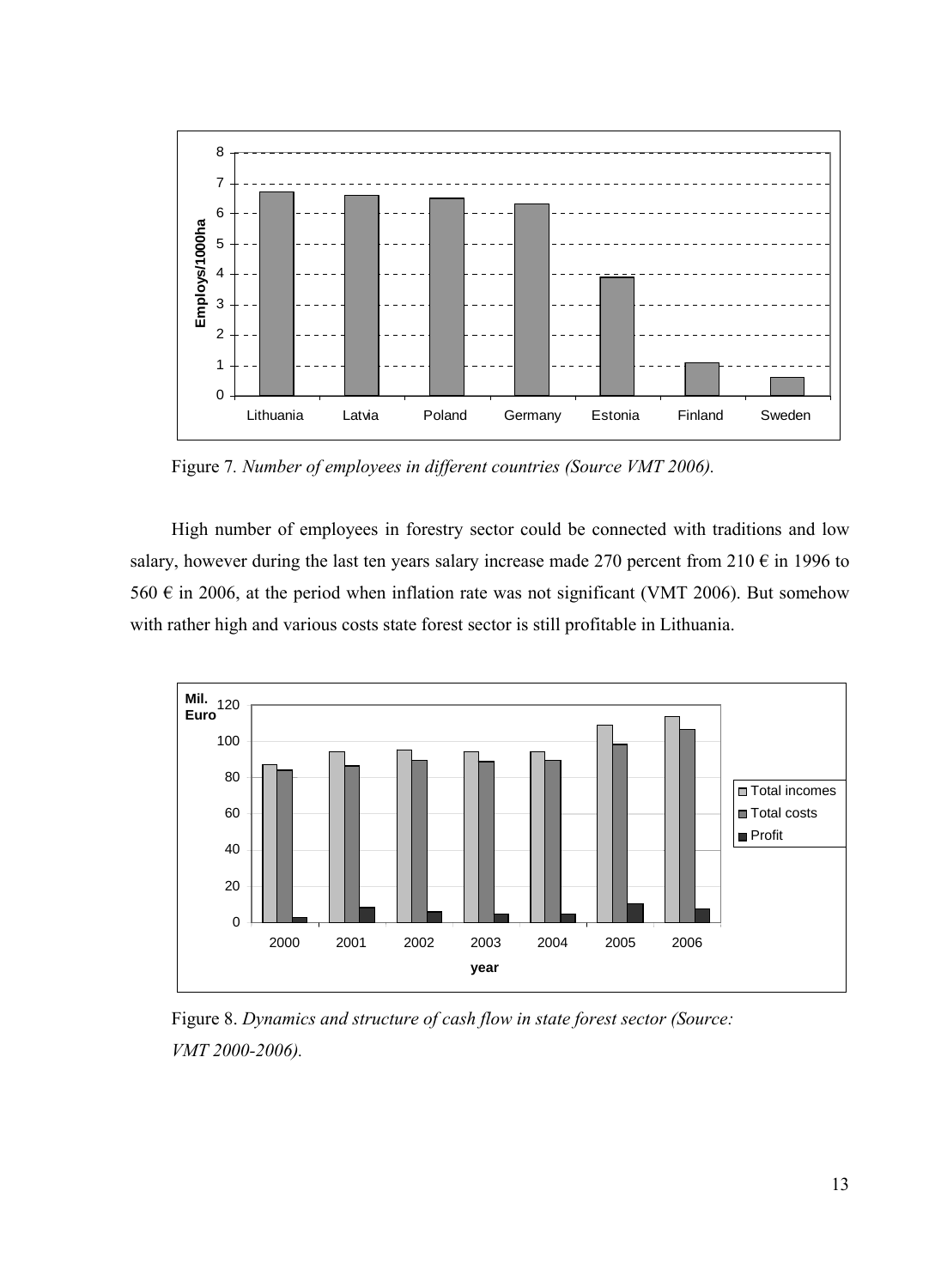

Figure 7*. Number of employees in different countries (Source VMT 2006).*

High number of employees in forestry sector could be connected with traditions and low salary, however during the last ten years salary increase made 270 percent from 210  $\epsilon$  in 1996 to 560  $\epsilon$  in 2006, at the period when inflation rate was not significant (VMT 2006). But somehow with rather high and various costs state forest sector is still profitable in Lithuania.



Figure 8. *Dynamics and structure of cash flow in state forest sector (Source: VMT 2000-2006).*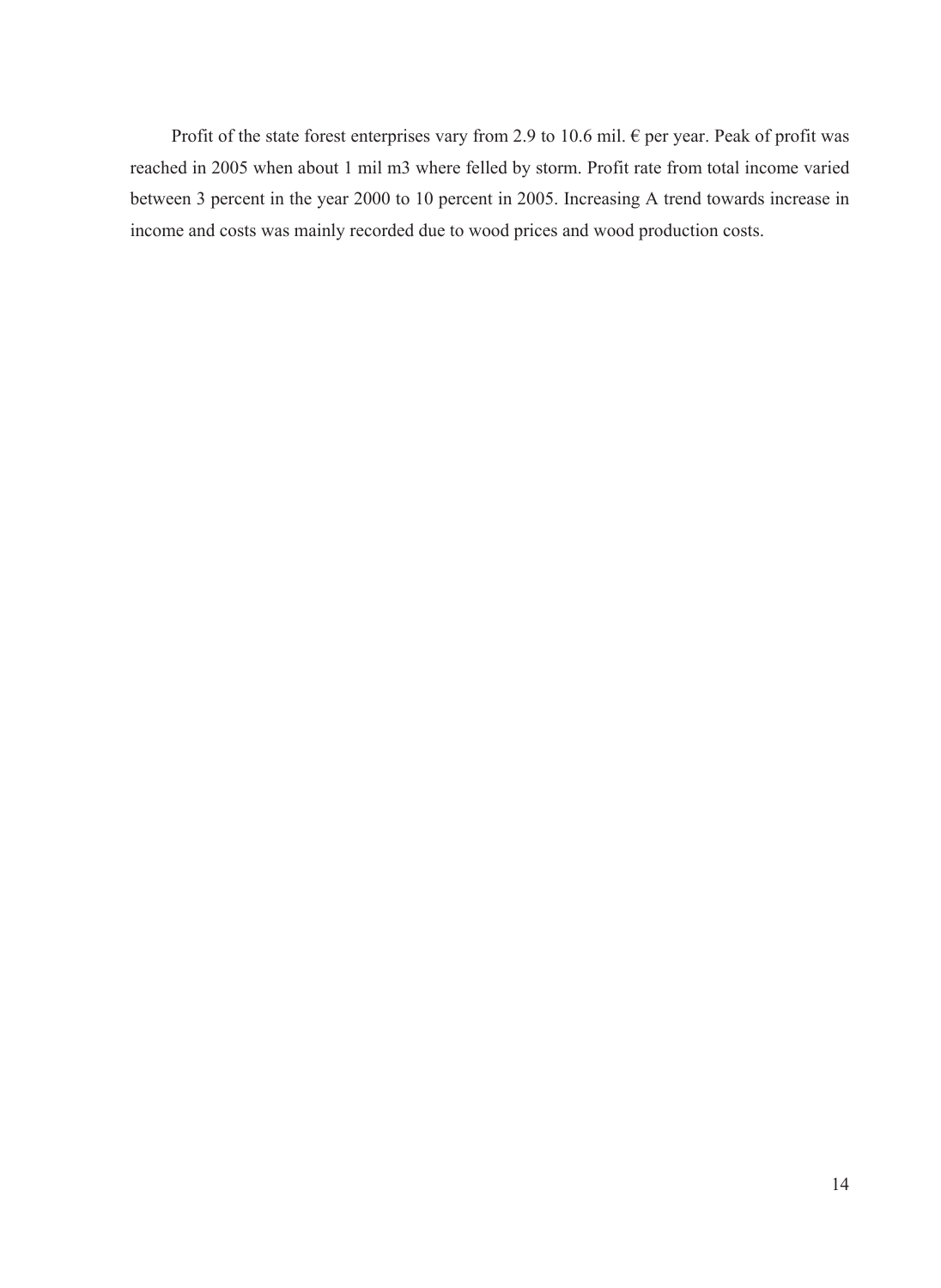Profit of the state forest enterprises vary from 2.9 to 10.6 mil.  $\epsilon$  per year. Peak of profit was reached in 2005 when about 1 mil m3 where felled by storm. Profit rate from total income varied between 3 percent in the year 2000 to 10 percent in 2005. Increasing A trend towards increase in income and costs was mainly recorded due to wood prices and wood production costs.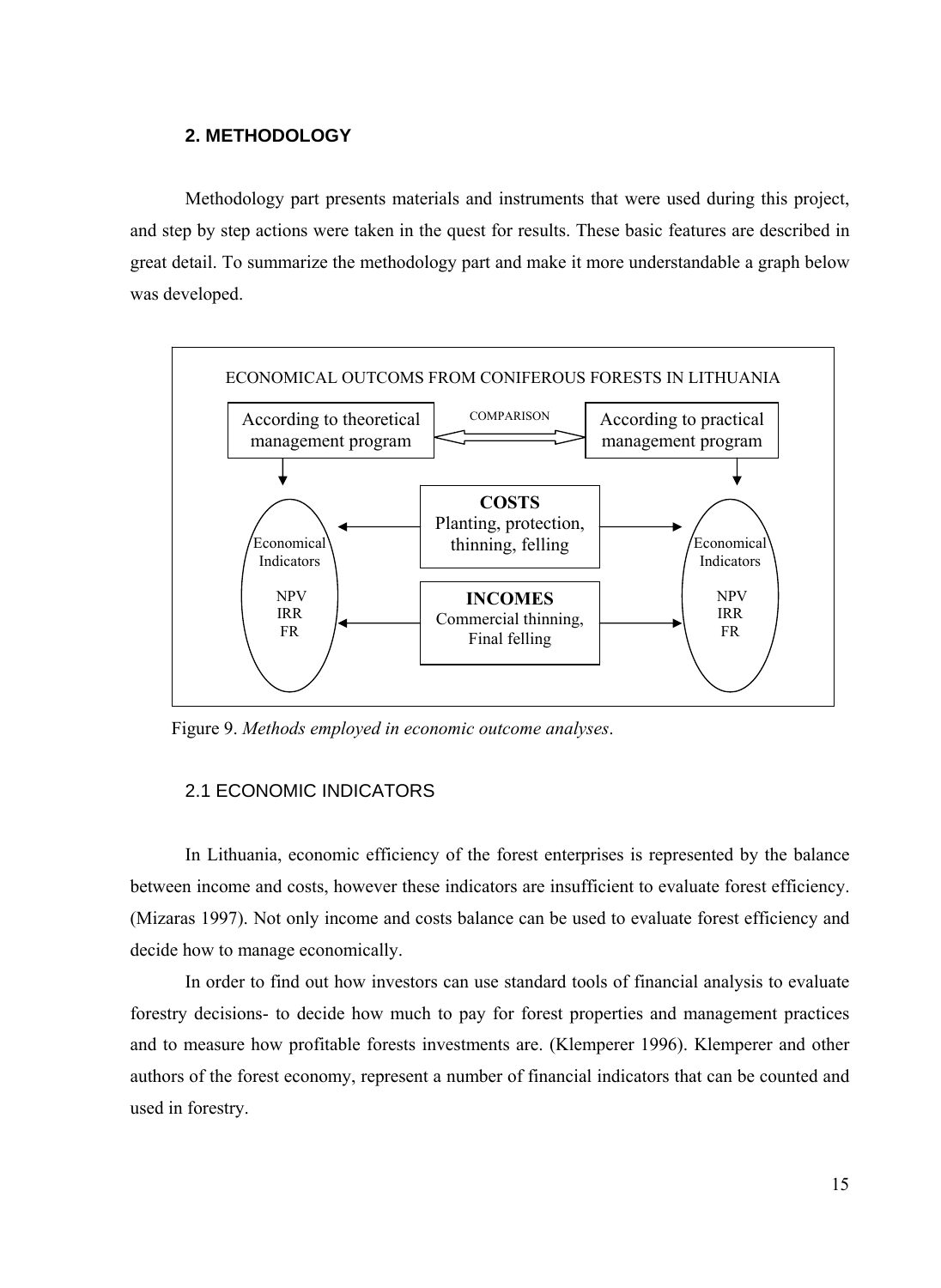## **2. METHODOLOGY**

<span id="page-16-0"></span>Methodology part presents materials and instruments that were used during this project, and step by step actions were taken in the quest for results. These basic features are described in great detail. To summarize the methodology part and make it more understandable a graph below was developed.



Figure 9. *Methods employed in economic outcome analyses*.

### 2.1 ECONOMIC INDICATORS

In Lithuania, economic efficiency of the forest enterprises is represented by the balance between income and costs, however these indicators are insufficient to evaluate forest efficiency. (Mizaras 1997). Not only income and costs balance can be used to evaluate forest efficiency and decide how to manage economically.

In order to find out how investors can use standard tools of financial analysis to evaluate forestry decisions- to decide how much to pay for forest properties and management practices and to measure how profitable forests investments are. (Klemperer 1996). Klemperer and other authors of the forest economy, represent a number of financial indicators that can be counted and used in forestry.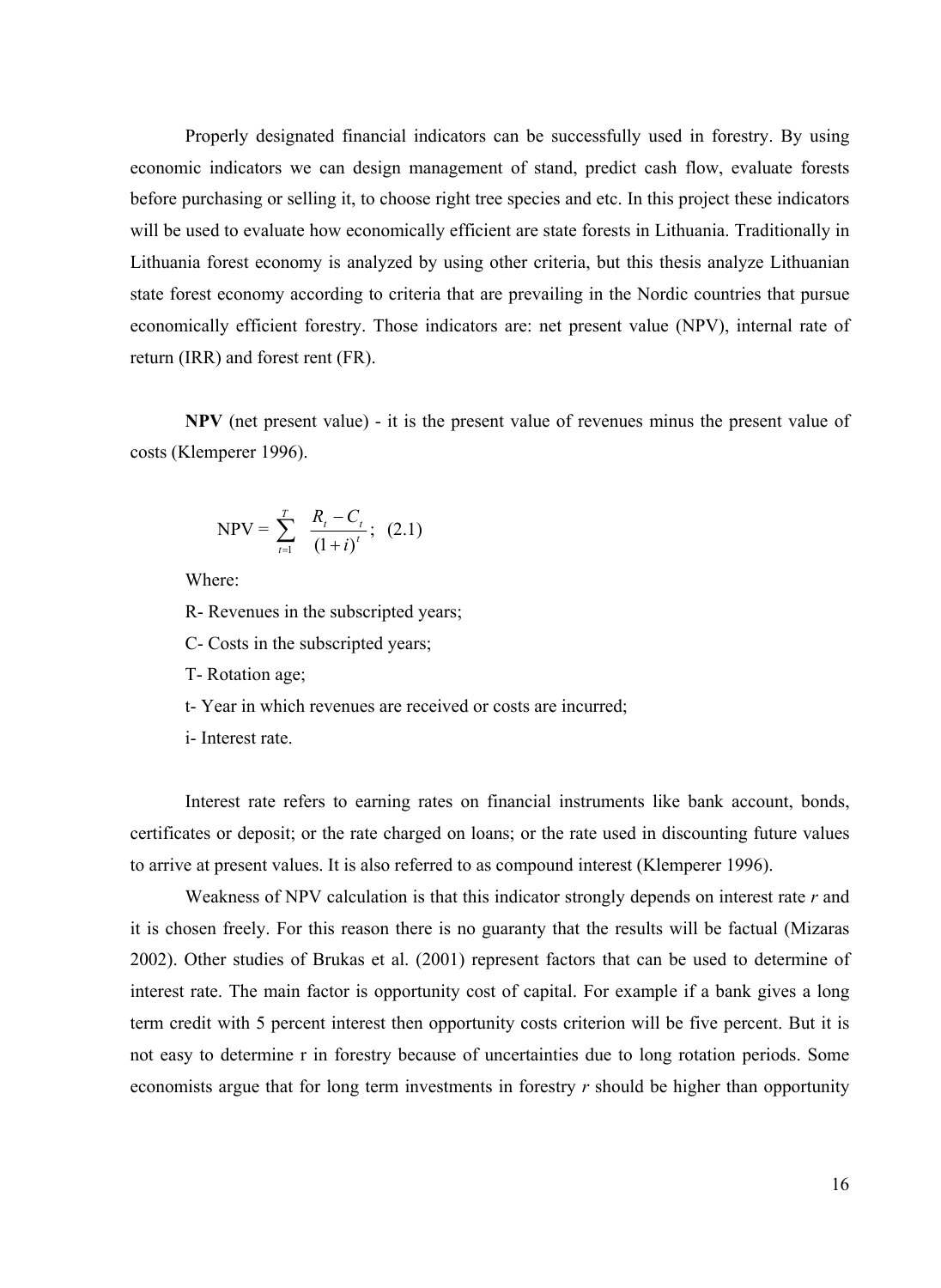Properly designated financial indicators can be successfully used in forestry. By using economic indicators we can design management of stand, predict cash flow, evaluate forests before purchasing or selling it, to choose right tree species and etc. In this project these indicators will be used to evaluate how economically efficient are state forests in Lithuania. Traditionally in Lithuania forest economy is analyzed by using other criteria, but this thesis analyze Lithuanian state forest economy according to criteria that are prevailing in the Nordic countries that pursue economically efficient forestry. Those indicators are: net present value (NPV), internal rate of return (IRR) and forest rent (FR).

**NPV** (net present value) - it is the present value of revenues minus the present value of costs (Klemperer 1996).

NPV = 
$$
\sum_{t=1}^{T} \frac{R_t - C_t}{(1+i)^t}
$$
; (2.1)

Where:

R- Revenues in the subscripted years;

- C- Costs in the subscripted years;
- T- Rotation age;

t- Year in which revenues are received or costs are incurred;

i- Interest rate.

Interest rate refers to earning rates on financial instruments like bank account, bonds, certificates or deposit; or the rate charged on loans; or the rate used in discounting future values to arrive at present values. It is also referred to as compound interest (Klemperer 1996).

Weakness of NPV calculation is that this indicator strongly depends on interest rate *r* and it is chosen freely. For this reason there is no guaranty that the results will be factual (Mizaras 2002). Other studies of Brukas et al. (2001) represent factors that can be used to determine of interest rate. The main factor is opportunity cost of capital. For example if a bank gives a long term credit with 5 percent interest then opportunity costs criterion will be five percent. But it is not easy to determine r in forestry because of uncertainties due to long rotation periods. Some economists argue that for long term investments in forestry *r* should be higher than opportunity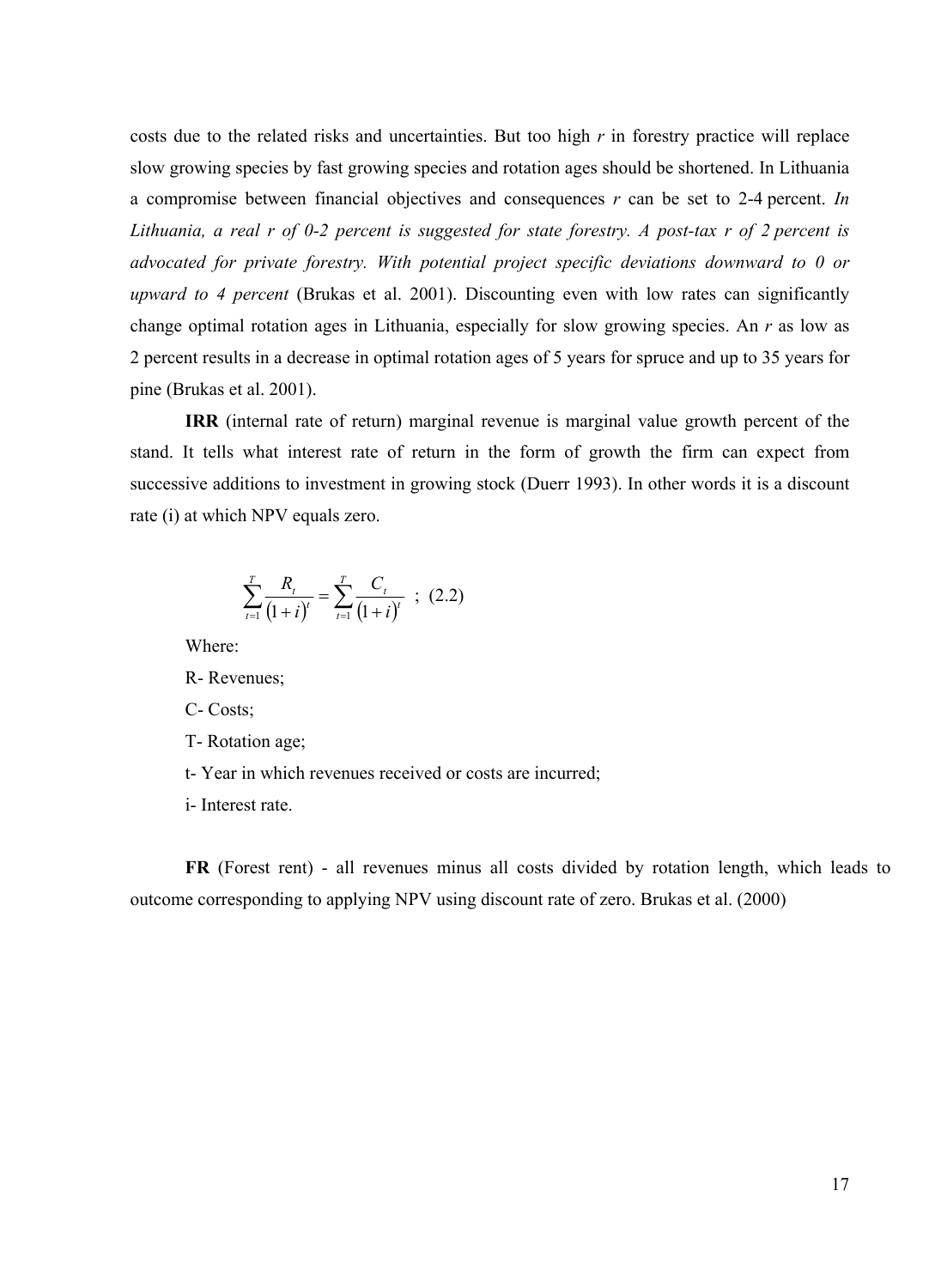costs due to the related risks and uncertainties. But too high *r* in forestry practice will replace slow growing species by fast growing species and rotation ages should be shortened. In Lithuania a compromise between financial objectives and consequences *r* can be set to 2-4 percent. *In Lithuania, a real r of 0-2 percent is suggested for state forestry. A post-tax r of 2 percent is advocated for private forestry. With potential project specific deviations downward to 0 or upward to 4 percent* (Brukas et al. 2001). Discounting even with low rates can significantly change optimal rotation ages in Lithuania, especially for slow growing species. An *r* as low as 2 percent results in a decrease in optimal rotation ages of 5 years for spruce and up to 35 years for pine (Brukas et al. 2001).

**IRR** (internal rate of return) marginal revenue is marginal value growth percent of the stand. It tells what interest rate of return in the form of growth the firm can expect from successive additions to investment in growing stock (Duerr 1993). In other words it is a discount rate (i) at which NPV equals zero.

$$
\sum_{t=1}^{T} \frac{R_t}{(1+i)^t} = \sum_{t=1}^{T} \frac{C_t}{(1+i)^t} \quad ; \quad (2.2)
$$

Where:

R- Revenues;

C- Costs;

T- Rotation age;

t- Year in which revenues received or costs are incurred;

i- Interest rate.

**FR** (Forest rent) - all revenues minus all costs divided by rotation length, which leads to outcome corresponding to applying NPV using discount rate of zero. Brukas et al. (2000)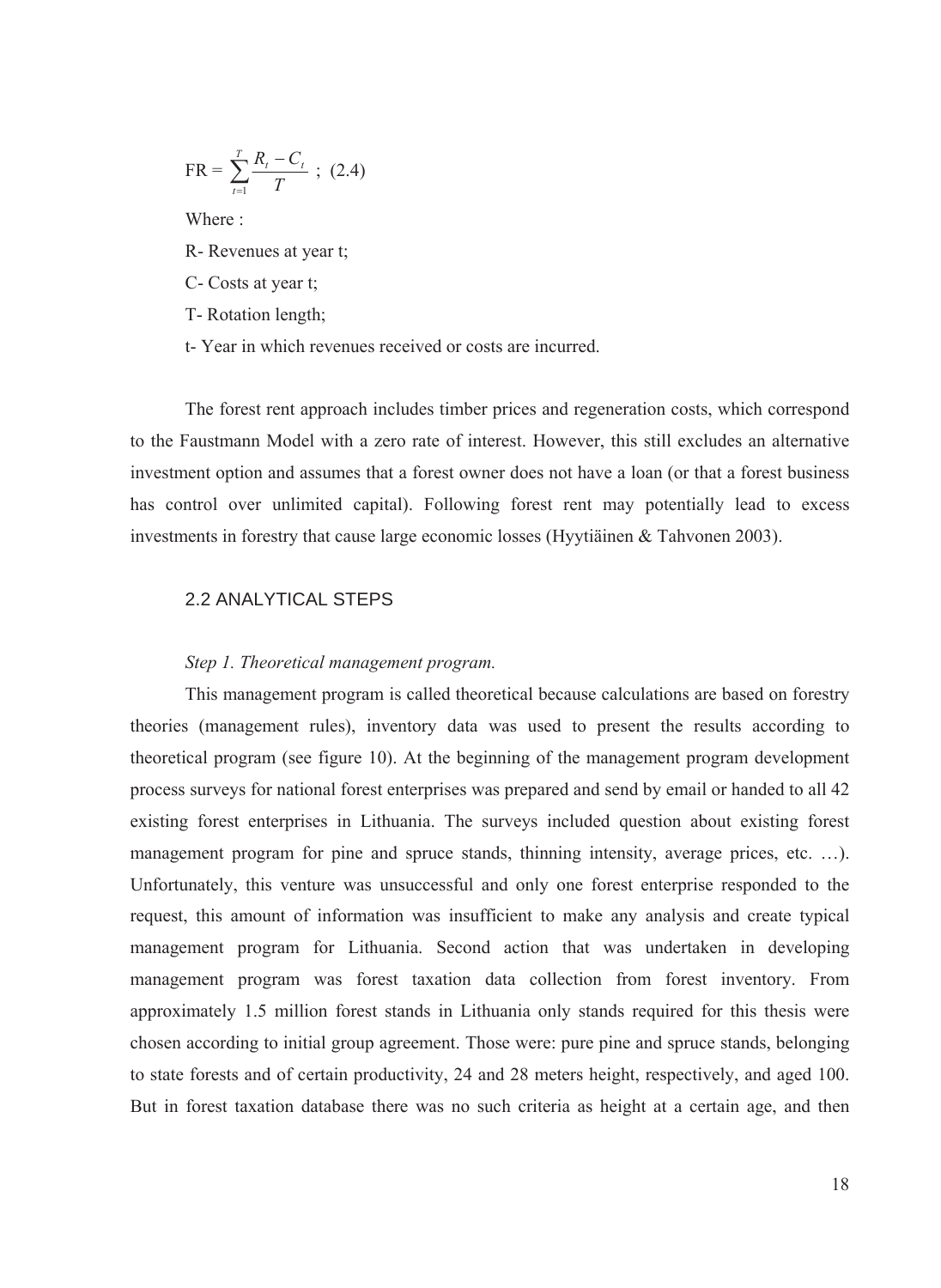<span id="page-19-0"></span>
$$
FR = \sum_{t=1}^{T} \frac{R_t - C_t}{T}
$$
 ; (2.4)  
Where :  
R- Revenues at year t;  
C- Costs at year t;  
T- Rotation length;

t- Year in which revenues received or costs are incurred.

The forest rent approach includes timber prices and regeneration costs, which correspond to the Faustmann Model with a zero rate of interest. However, this still excludes an alternative investment option and assumes that a forest owner does not have a loan (or that a forest business has control over unlimited capital). Following forest rent may potentially lead to excess investments in forestry that cause large economic losses (Hyytiäinen & Tahvonen 2003).

## 2.2 ANALYTICAL STEPS

## *Step 1. Theoretical management program.*

This management program is called theoretical because calculations are based on forestry theories (management rules), inventory data was used to present the results according to theoretical program (see figure 10). At the beginning of the management program development process surveys for national forest enterprises was prepared and send by email or handed to all 42 existing forest enterprises in Lithuania. The surveys included question about existing forest management program for pine and spruce stands, thinning intensity, average prices, etc. …). Unfortunately, this venture was unsuccessful and only one forest enterprise responded to the request, this amount of information was insufficient to make any analysis and create typical management program for Lithuania. Second action that was undertaken in developing management program was forest taxation data collection from forest inventory. From approximately 1.5 million forest stands in Lithuania only stands required for this thesis were chosen according to initial group agreement. Those were: pure pine and spruce stands, belonging to state forests and of certain productivity, 24 and 28 meters height, respectively, and aged 100. But in forest taxation database there was no such criteria as height at a certain age, and then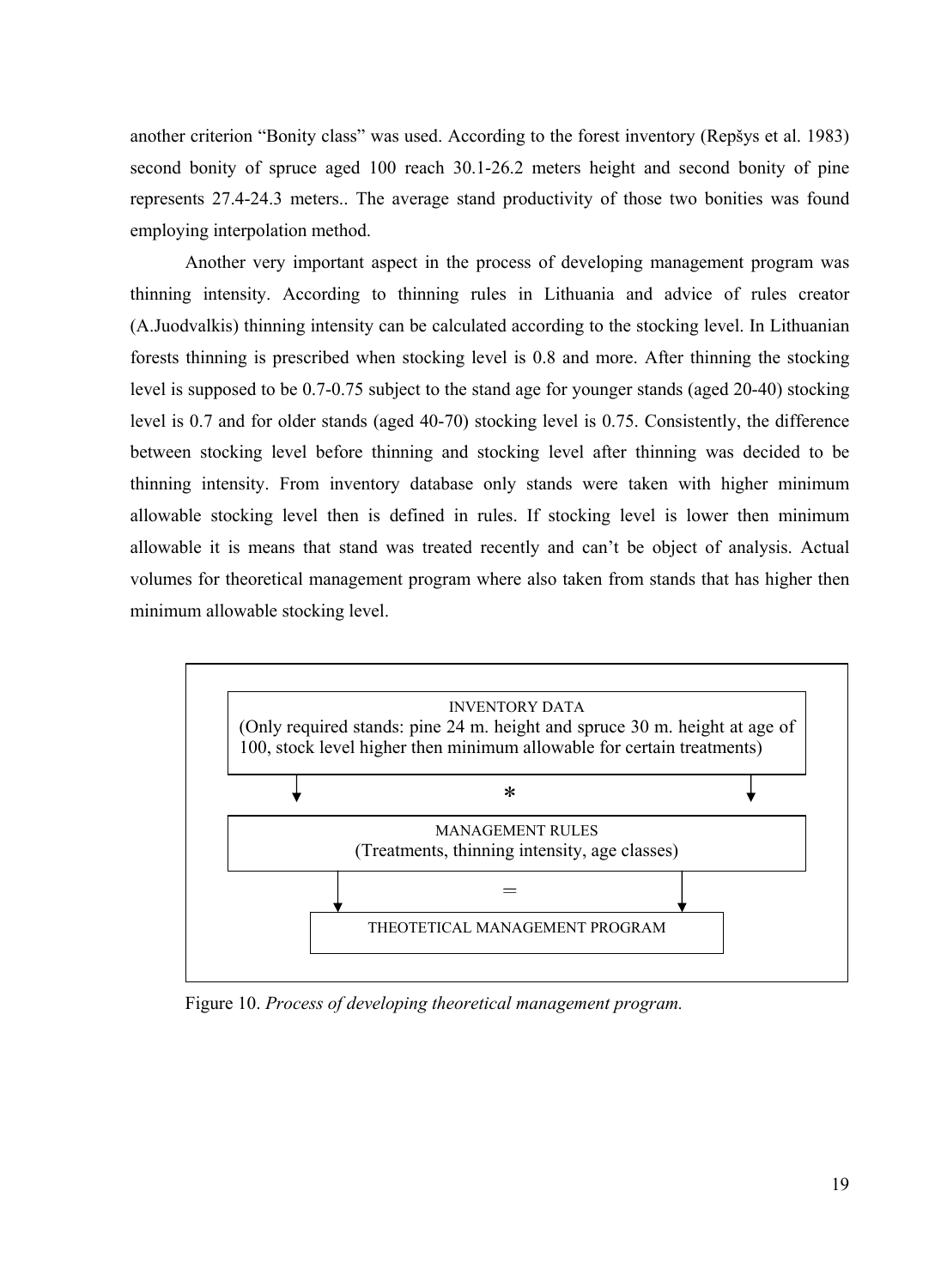another criterion "Bonity class" was used. According to the forest inventory (Repšys et al. 1983) second bonity of spruce aged 100 reach 30.1-26.2 meters height and second bonity of pine represents 27.4-24.3 meters.. The average stand productivity of those two bonities was found employing interpolation method.

Another very important aspect in the process of developing management program was thinning intensity. According to thinning rules in Lithuania and advice of rules creator (A.Juodvalkis) thinning intensity can be calculated according to the stocking level. In Lithuanian forests thinning is prescribed when stocking level is 0.8 and more. After thinning the stocking level is supposed to be 0.7-0.75 subject to the stand age for younger stands (aged 20-40) stocking level is 0.7 and for older stands (aged 40-70) stocking level is 0.75. Consistently, the difference between stocking level before thinning and stocking level after thinning was decided to be thinning intensity. From inventory database only stands were taken with higher minimum allowable stocking level then is defined in rules. If stocking level is lower then minimum allowable it is means that stand was treated recently and can't be object of analysis. Actual volumes for theoretical management program where also taken from stands that has higher then minimum allowable stocking level.



Figure 10. *Process of developing theoretical management program.*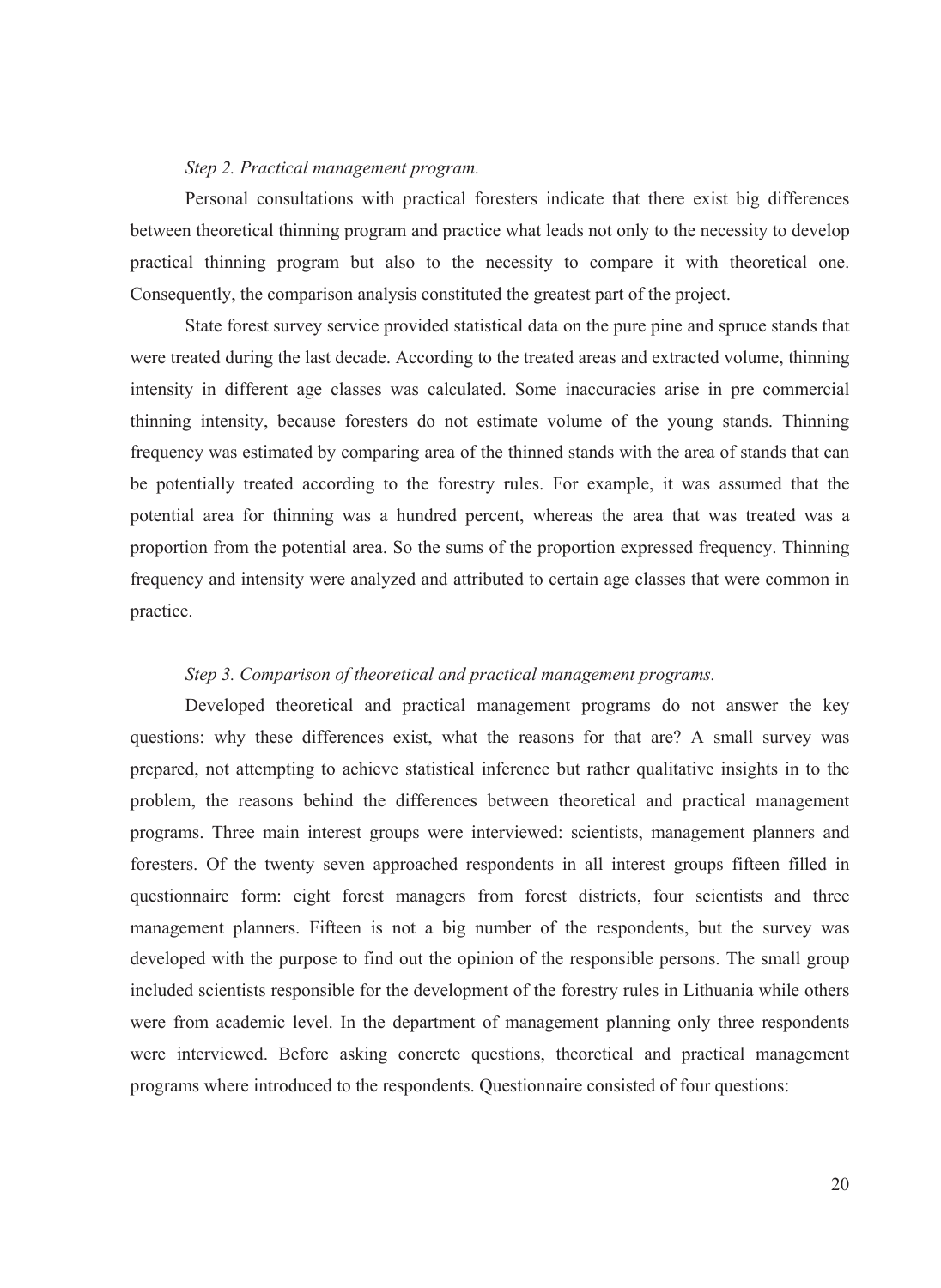#### *Step 2. Practical management program.*

Personal consultations with practical foresters indicate that there exist big differences between theoretical thinning program and practice what leads not only to the necessity to develop practical thinning program but also to the necessity to compare it with theoretical one. Consequently, the comparison analysis constituted the greatest part of the project.

State forest survey service provided statistical data on the pure pine and spruce stands that were treated during the last decade. According to the treated areas and extracted volume, thinning intensity in different age classes was calculated. Some inaccuracies arise in pre commercial thinning intensity, because foresters do not estimate volume of the young stands. Thinning frequency was estimated by comparing area of the thinned stands with the area of stands that can be potentially treated according to the forestry rules. For example, it was assumed that the potential area for thinning was a hundred percent, whereas the area that was treated was a proportion from the potential area. So the sums of the proportion expressed frequency. Thinning frequency and intensity were analyzed and attributed to certain age classes that were common in practice.

#### *Step 3. Comparison of theoretical and practical management programs.*

Developed theoretical and practical management programs do not answer the key questions: why these differences exist, what the reasons for that are? A small survey was prepared, not attempting to achieve statistical inference but rather qualitative insights in to the problem, the reasons behind the differences between theoretical and practical management programs. Three main interest groups were interviewed: scientists, management planners and foresters. Of the twenty seven approached respondents in all interest groups fifteen filled in questionnaire form: eight forest managers from forest districts, four scientists and three management planners. Fifteen is not a big number of the respondents, but the survey was developed with the purpose to find out the opinion of the responsible persons. The small group included scientists responsible for the development of the forestry rules in Lithuania while others were from academic level. In the department of management planning only three respondents were interviewed. Before asking concrete questions, theoretical and practical management programs where introduced to the respondents. Questionnaire consisted of four questions: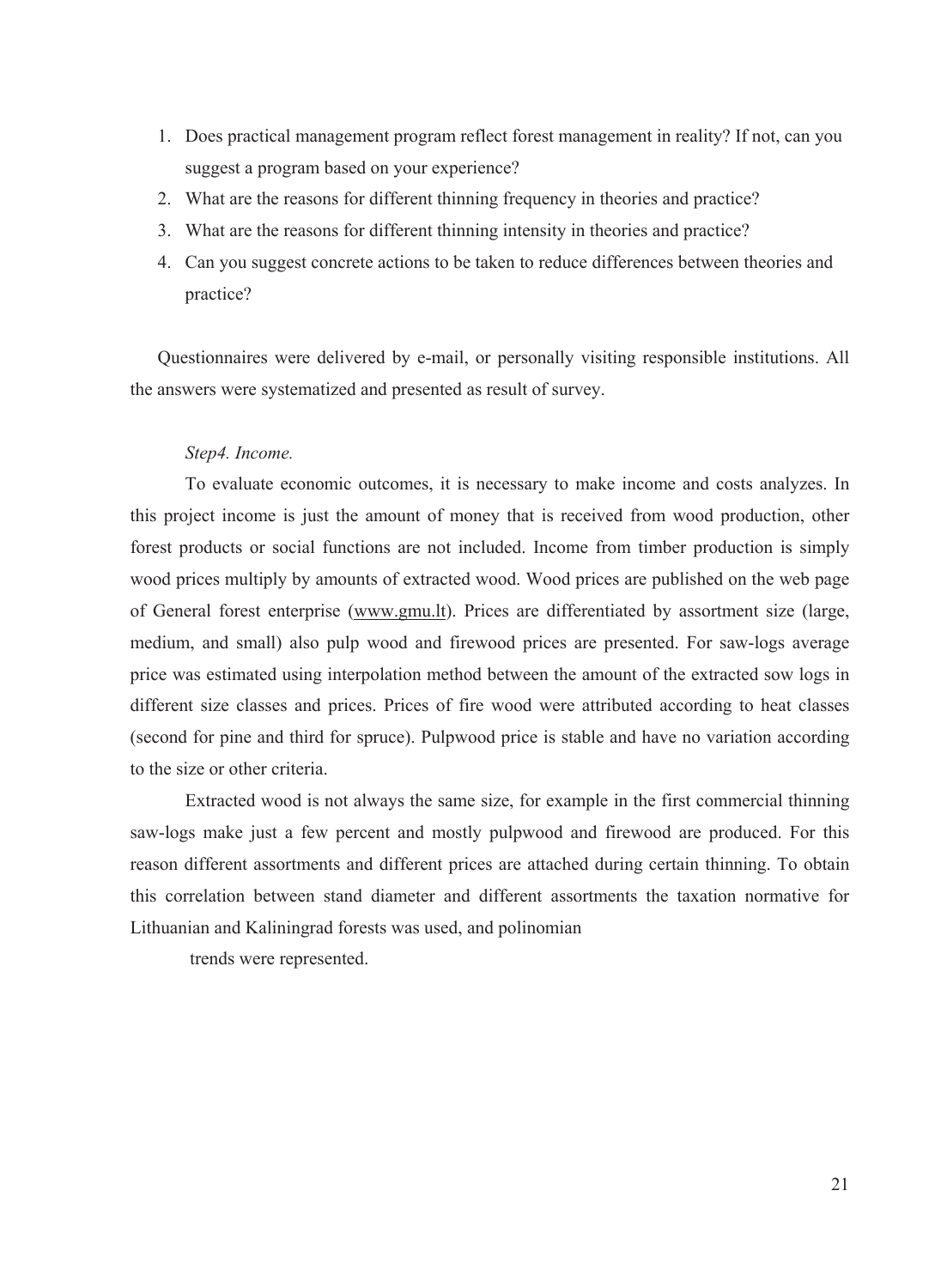- 1. Does practical management program reflect forest management in reality? If not, can you suggest a program based on your experience?
- 2. What are the reasons for different thinning frequency in theories and practice?
- 3. What are the reasons for different thinning intensity in theories and practice?
- 4. Can you suggest concrete actions to be taken to reduce differences between theories and practice?

Questionnaires were delivered by e-mail, or personally visiting responsible institutions. All the answers were systematized and presented as result of survey.

## *Step4. Income.*

To evaluate economic outcomes, it is necessary to make income and costs analyzes. In this project income is just the amount of money that is received from wood production, other forest products or social functions are not included. Income from timber production is simply wood prices multiply by amounts of extracted wood. Wood prices are published on the web page of General forest enterprise (www.gmu.lt). Prices are differentiated by assortment size (large, medium, and small) also pulp wood and firewood prices are presented. For saw-logs average price was estimated using interpolation method between the amount of the extracted sow logs in different size classes and prices. Prices of fire wood were attributed according to heat classes (second for pine and third for spruce). Pulpwood price is stable and have no variation according to the size or other criteria.

Extracted wood is not always the same size, for example in the first commercial thinning saw-logs make just a few percent and mostly pulpwood and firewood are produced. For this reason different assortments and different prices are attached during certain thinning. To obtain this correlation between stand diameter and different assortments the taxation normative for Lithuanian and Kaliningrad forests was used, and polinomian

trends were represented.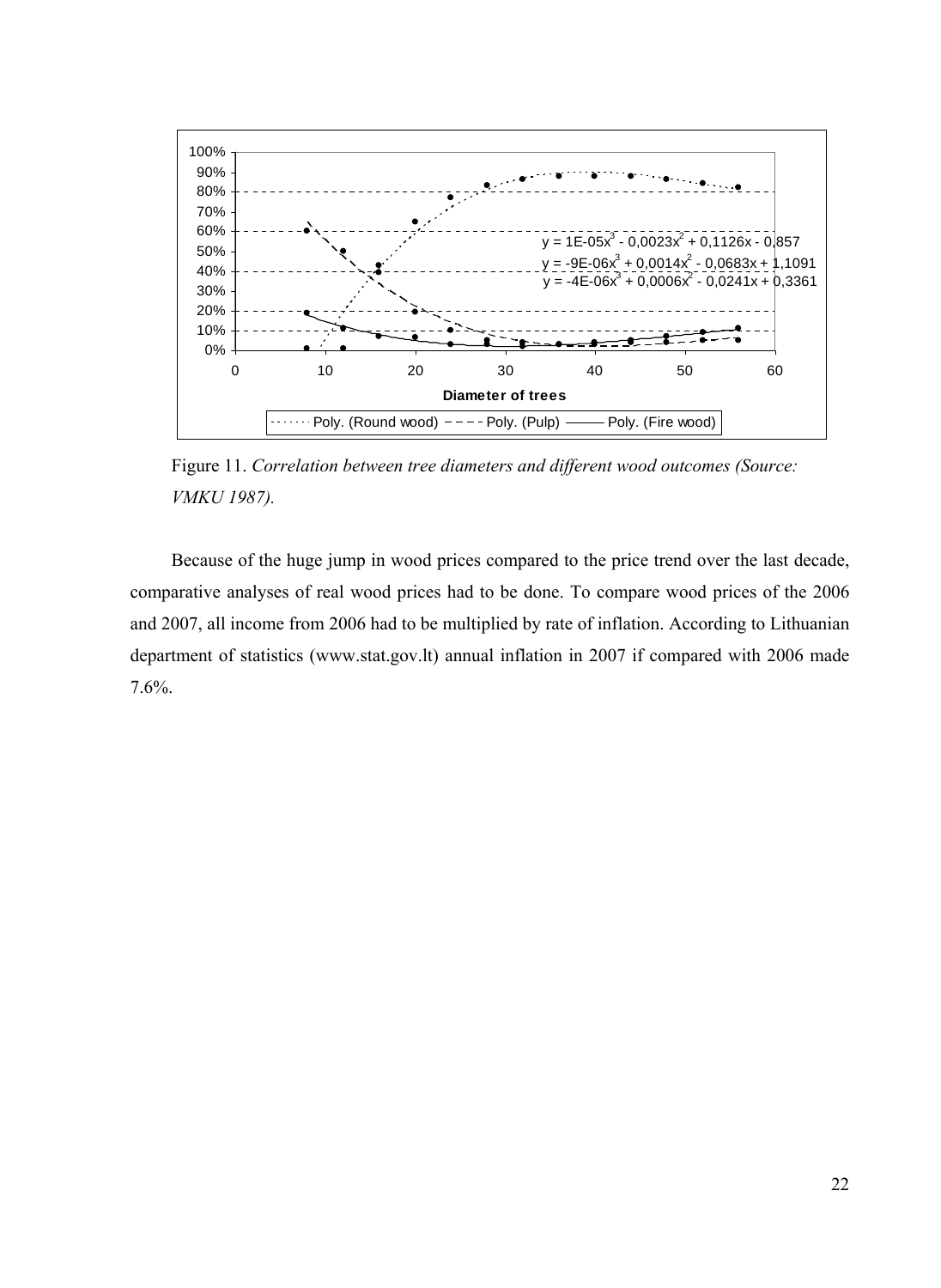

Figure 11. *Correlation between tree diameters and different wood outcomes (Source: VMKU 1987).* 

Because of the huge jump in wood prices compared to the price trend over the last decade, comparative analyses of real wood prices had to be done. To compare wood prices of the 2006 and 2007, all income from 2006 had to be multiplied by rate of inflation. According to Lithuanian department of statistics (www.stat.gov.lt) annual inflation in 2007 if compared with 2006 made 7.6%.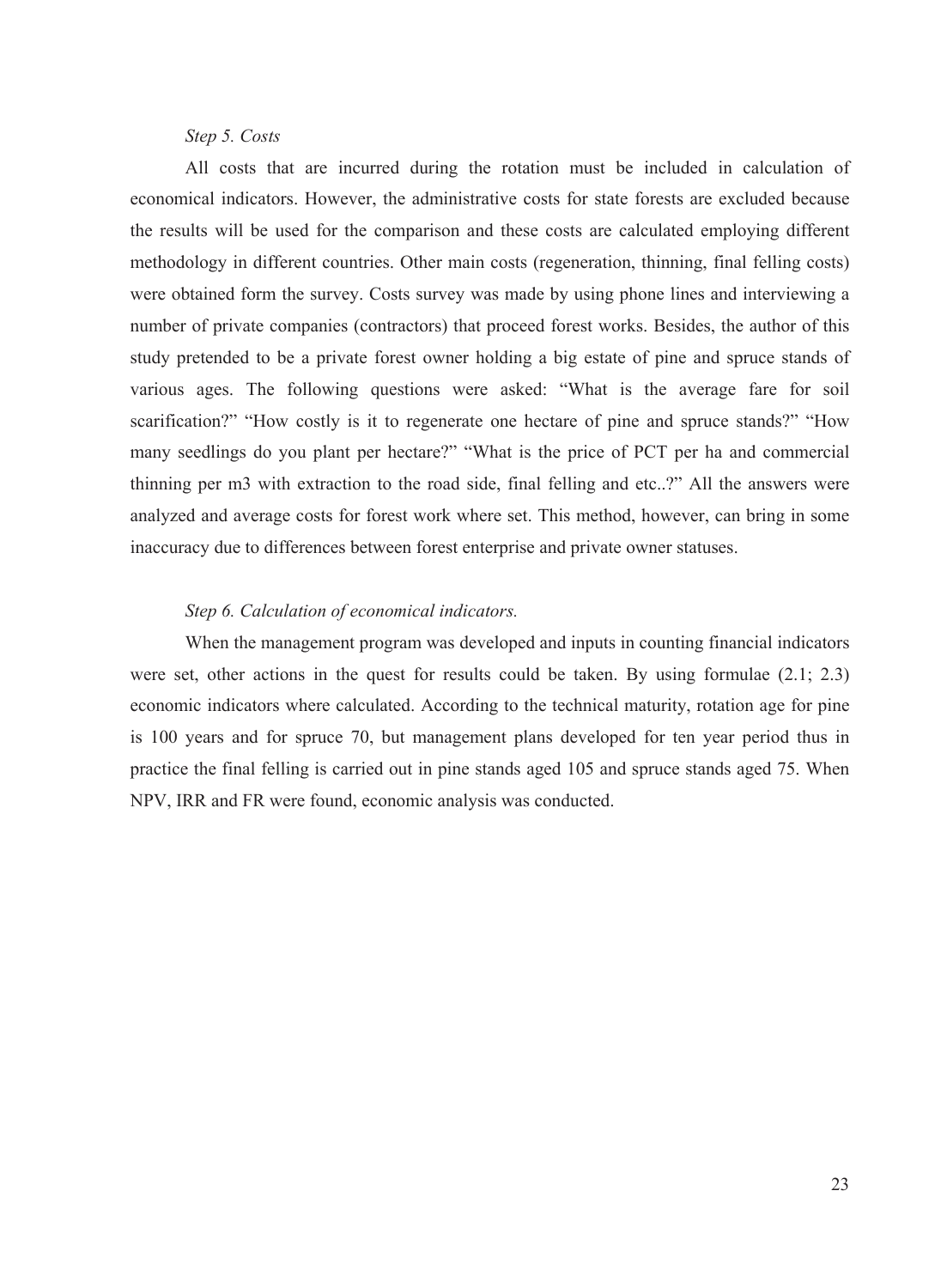#### *Step 5. Costs*

All costs that are incurred during the rotation must be included in calculation of economical indicators. However, the administrative costs for state forests are excluded because the results will be used for the comparison and these costs are calculated employing different methodology in different countries. Other main costs (regeneration, thinning, final felling costs) were obtained form the survey. Costs survey was made by using phone lines and interviewing a number of private companies (contractors) that proceed forest works. Besides, the author of this study pretended to be a private forest owner holding a big estate of pine and spruce stands of various ages. The following questions were asked: "What is the average fare for soil scarification?" "How costly is it to regenerate one hectare of pine and spruce stands?" "How many seedlings do you plant per hectare?" "What is the price of PCT per ha and commercial thinning per m3 with extraction to the road side, final felling and etc..?" All the answers were analyzed and average costs for forest work where set. This method, however, can bring in some inaccuracy due to differences between forest enterprise and private owner statuses.

## *Step 6. Calculation of economical indicators.*

When the management program was developed and inputs in counting financial indicators were set, other actions in the quest for results could be taken. By using formulae (2.1; 2.3) economic indicators where calculated. According to the technical maturity, rotation age for pine is 100 years and for spruce 70, but management plans developed for ten year period thus in practice the final felling is carried out in pine stands aged 105 and spruce stands aged 75. When NPV, IRR and FR were found, economic analysis was conducted.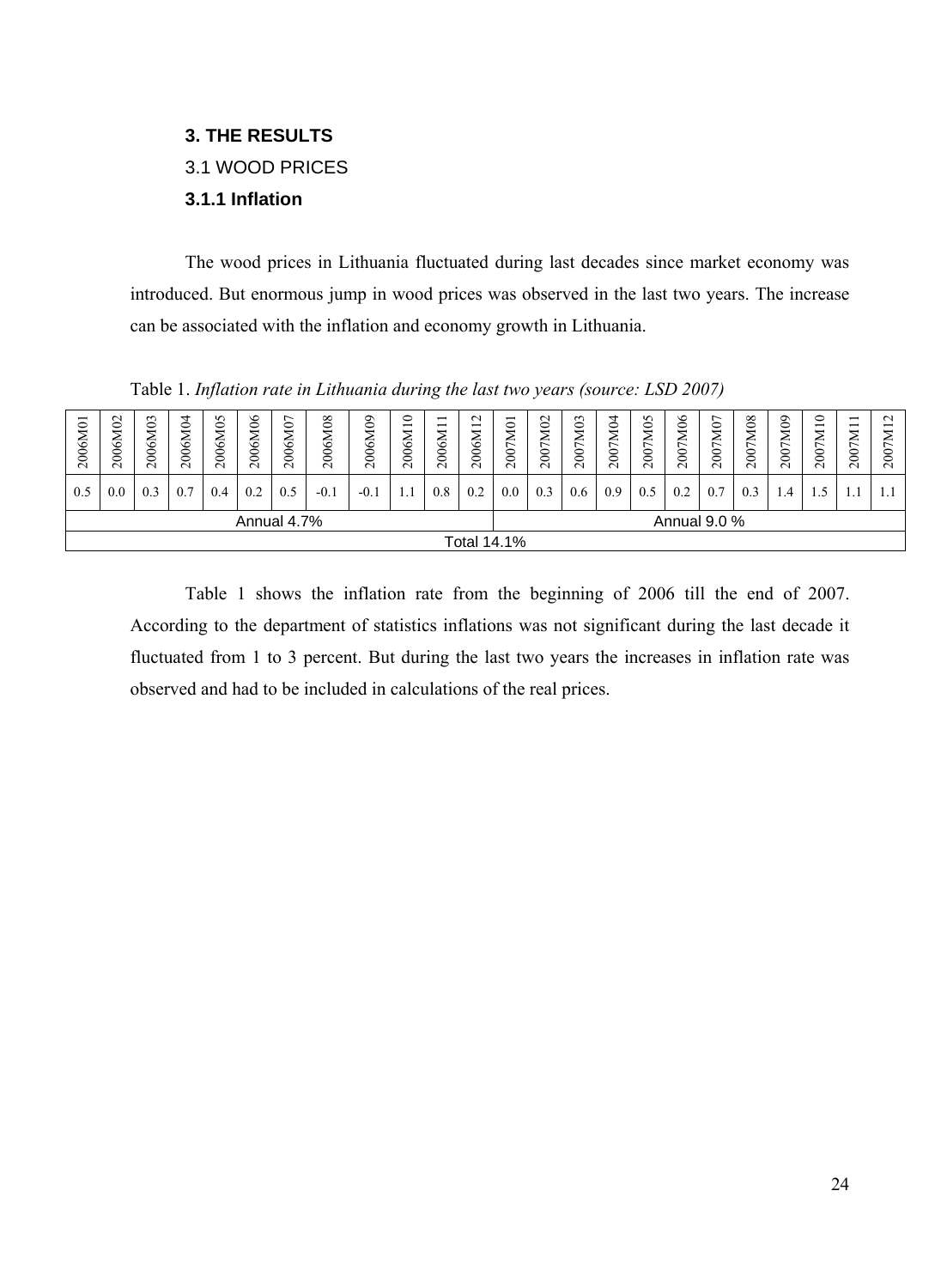## <span id="page-25-0"></span>**3. THE RESULTS**

## 3.1 WOOD PRICES

## **3.1.1 Inflation**

The wood prices in Lithuania fluctuated during last decades since market economy was introduced. But enormous jump in wood prices was observed in the last two years. The increase can be associated with the inflation and economy growth in Lithuania.

| −<br>2006M0 | 2006M02                     | 2006M03 | 2006M04 | $\sim$<br>$\circ$<br>↽<br>2006N | 406<br>2006N | $\overline{ }$<br>$\circ$<br>↽<br>2006N | ${}^{\circ}$<br>⊂<br>↽<br>6<br>$\rm{200}$ | ව<br>↤<br>6<br>200 | $\circ$<br>$\overline{\phantom{0}}$<br>2006M | $\overline{\phantom{0}}$<br>$\overline{\phantom{0}}$<br>↽<br>2006N | $\mathbf{\sim}$<br>$\overline{\phantom{0}}$<br>2006M | $\overline{\phantom{0}}$<br>$\circ$<br>M<br>200 | 7M02<br>$200^\circ$ | 7M03<br>200 | 404<br>₹<br>$200^\circ$ | S<br>⊝<br>↽<br>F<br>200 | $\delta$<br>$\overline{\phantom{0}}$<br>∼<br>200 | $\overline{ }$<br>$\circ$<br>↽<br>€<br>$\mathbf{\hat{s}}$<br>$\sim$ | $\infty$<br>↽<br>∼<br>$\infty$<br>$\sim$ | 7M09<br>$200^\circ$ | ⊂<br>$\overline{\phantom{0}}$<br>↽<br>⋍<br>$\overline{\phantom{0}}$<br>$\mathbf{\hat{s}}$<br>$\sim$ | $\overline{\phantom{0}}$<br>$\overline{\phantom{0}}$<br>XΚ<br>$200^{\circ}$ | $\sim$<br>–<br>ຮ<br>$\sim$ |
|-------------|-----------------------------|---------|---------|---------------------------------|--------------|-----------------------------------------|-------------------------------------------|--------------------|----------------------------------------------|--------------------------------------------------------------------|------------------------------------------------------|-------------------------------------------------|---------------------|-------------|-------------------------|-------------------------|--------------------------------------------------|---------------------------------------------------------------------|------------------------------------------|---------------------|-----------------------------------------------------------------------------------------------------|-----------------------------------------------------------------------------|----------------------------|
| 0.5         | 0.0                         | 0.3     | 0.7     | 0.4                             | 0.2          | 0.5                                     | $-0.1$                                    | $-0.$              | 1.1                                          | $0.8\,$                                                            | 0.2                                                  | 0.0                                             | 0.3                 | 0.6         | 0.9                     | 0.5                     | 0.2                                              |                                                                     | 0.3                                      | $\mathcal{A}$       |                                                                                                     |                                                                             |                            |
|             | Annual 4.7%<br>Annual 9.0 % |         |         |                                 |              |                                         |                                           |                    |                                              |                                                                    |                                                      |                                                 |                     |             |                         |                         |                                                  |                                                                     |                                          |                     |                                                                                                     |                                                                             |                            |
|             | <b>Total 14.1%</b>          |         |         |                                 |              |                                         |                                           |                    |                                              |                                                                    |                                                      |                                                 |                     |             |                         |                         |                                                  |                                                                     |                                          |                     |                                                                                                     |                                                                             |                            |

Table 1. *Inflation rate in Lithuania during the last two years (source: LSD 2007)* 

Table 1 shows the inflation rate from the beginning of 2006 till the end of 2007. According to the department of statistics inflations was not significant during the last decade it fluctuated from 1 to 3 percent. But during the last two years the increases in inflation rate was observed and had to be included in calculations of the real prices.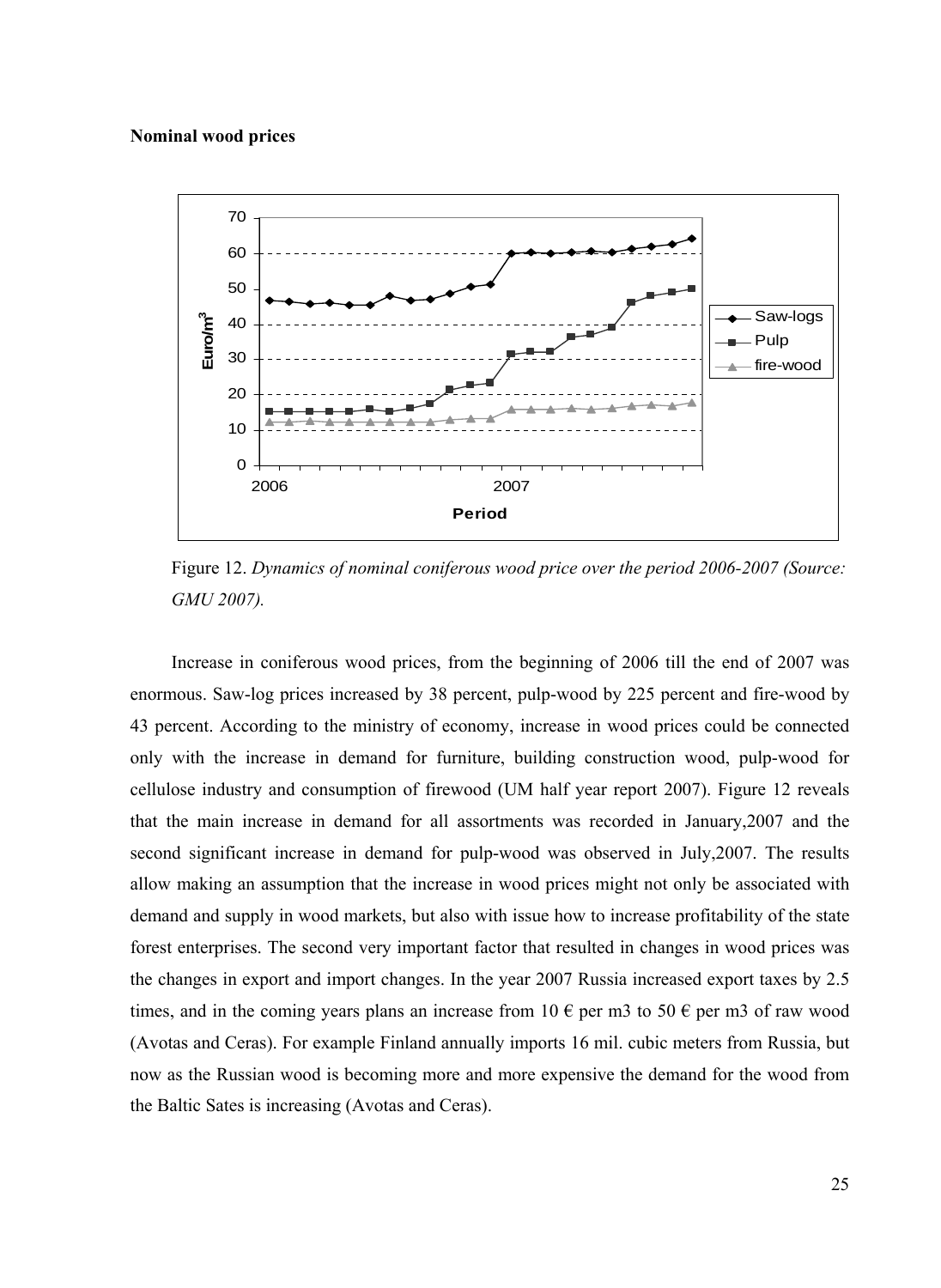#### **Nominal wood prices**



Figure 12. *Dynamics of nominal coniferous wood price over the period 2006-2007 (Source: GMU 2007).* 

Increase in coniferous wood prices, from the beginning of 2006 till the end of 2007 was enormous. Saw-log prices increased by 38 percent, pulp-wood by 225 percent and fire-wood by 43 percent. According to the ministry of economy, increase in wood prices could be connected only with the increase in demand for furniture, building construction wood, pulp-wood for cellulose industry and consumption of firewood (UM half year report 2007). Figure 12 reveals that the main increase in demand for all assortments was recorded in January,2007 and the second significant increase in demand for pulp-wood was observed in July,2007. The results allow making an assumption that the increase in wood prices might not only be associated with demand and supply in wood markets, but also with issue how to increase profitability of the state forest enterprises. The second very important factor that resulted in changes in wood prices was the changes in export and import changes. In the year 2007 Russia increased export taxes by 2.5 times, and in the coming years plans an increase from 10  $\epsilon$  per m3 to 50  $\epsilon$  per m3 of raw wood (Avotas and Ceras). For example Finland annually imports 16 mil. cubic meters from Russia, but now as the Russian wood is becoming more and more expensive the demand for the wood from the Baltic Sates is increasing (Avotas and Ceras).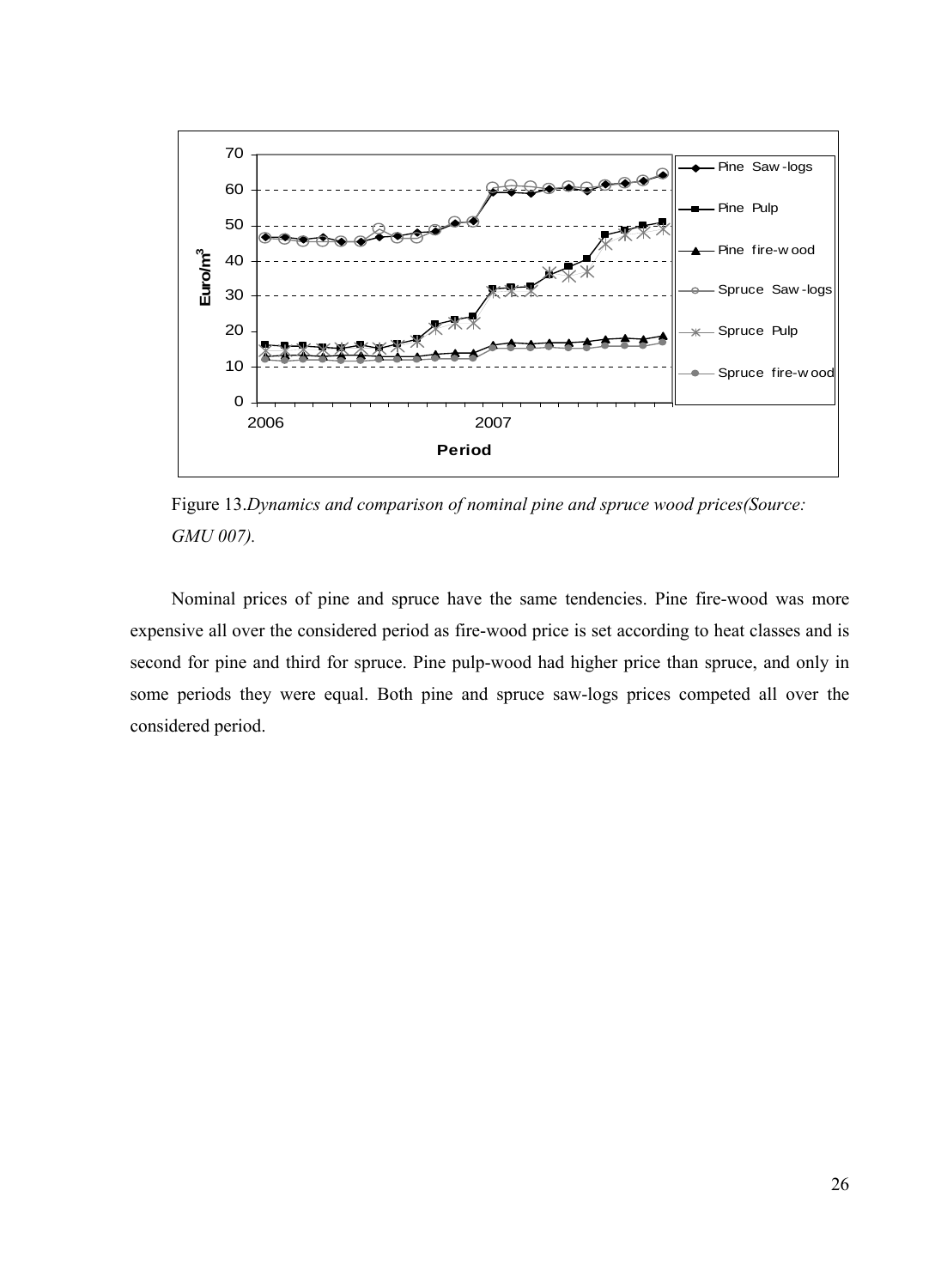

Figure 13.*Dynamics and comparison of nominal pine and spruce wood prices(Source: GMU 007).* 

Nominal prices of pine and spruce have the same tendencies. Pine fire-wood was more expensive all over the considered period as fire-wood price is set according to heat classes and is second for pine and third for spruce. Pine pulp-wood had higher price than spruce, and only in some periods they were equal. Both pine and spruce saw-logs prices competed all over the considered period.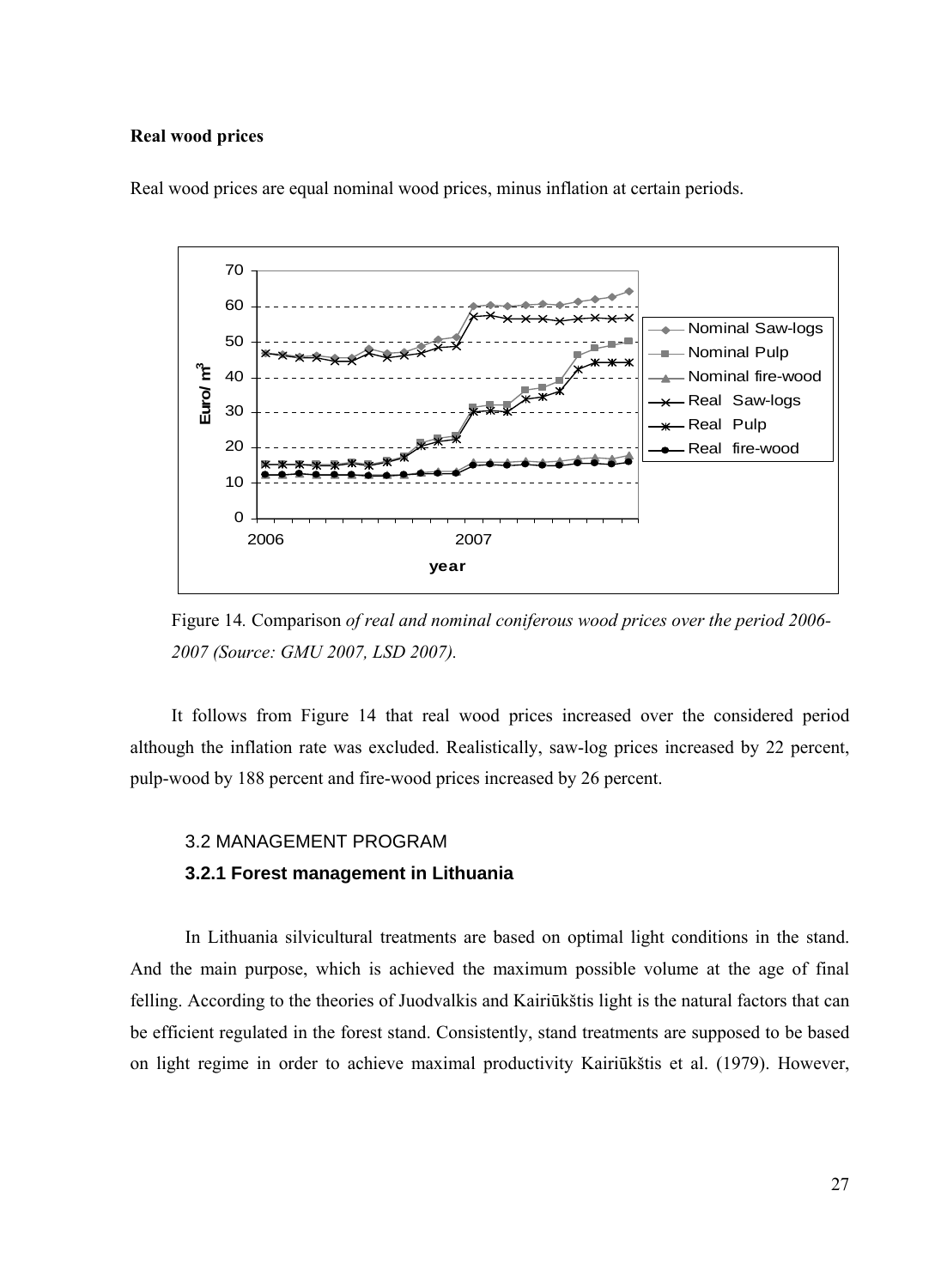#### <span id="page-28-0"></span>**Real wood prices**



Real wood prices are equal nominal wood prices, minus inflation at certain periods.

Figure 14*.* Comparison *of real and nominal coniferous wood prices over the period 2006- 2007 (Source: GMU 2007, LSD 2007).*

It follows from Figure 14 that real wood prices increased over the considered period although the inflation rate was excluded. Realistically, saw-log prices increased by 22 percent, pulp-wood by 188 percent and fire-wood prices increased by 26 percent.

### 3.2 MANAGEMENT PROGRAM

#### **3.2.1 Forest management in Lithuania**

In Lithuania silvicultural treatments are based on optimal light conditions in the stand. And the main purpose, which is achieved the maximum possible volume at the age of final felling. According to the theories of Juodvalkis and Kairiūkštis light is the natural factors that can be efficient regulated in the forest stand. Consistently, stand treatments are supposed to be based on light regime in order to achieve maximal productivity Kairiūkštis et al. (1979). However,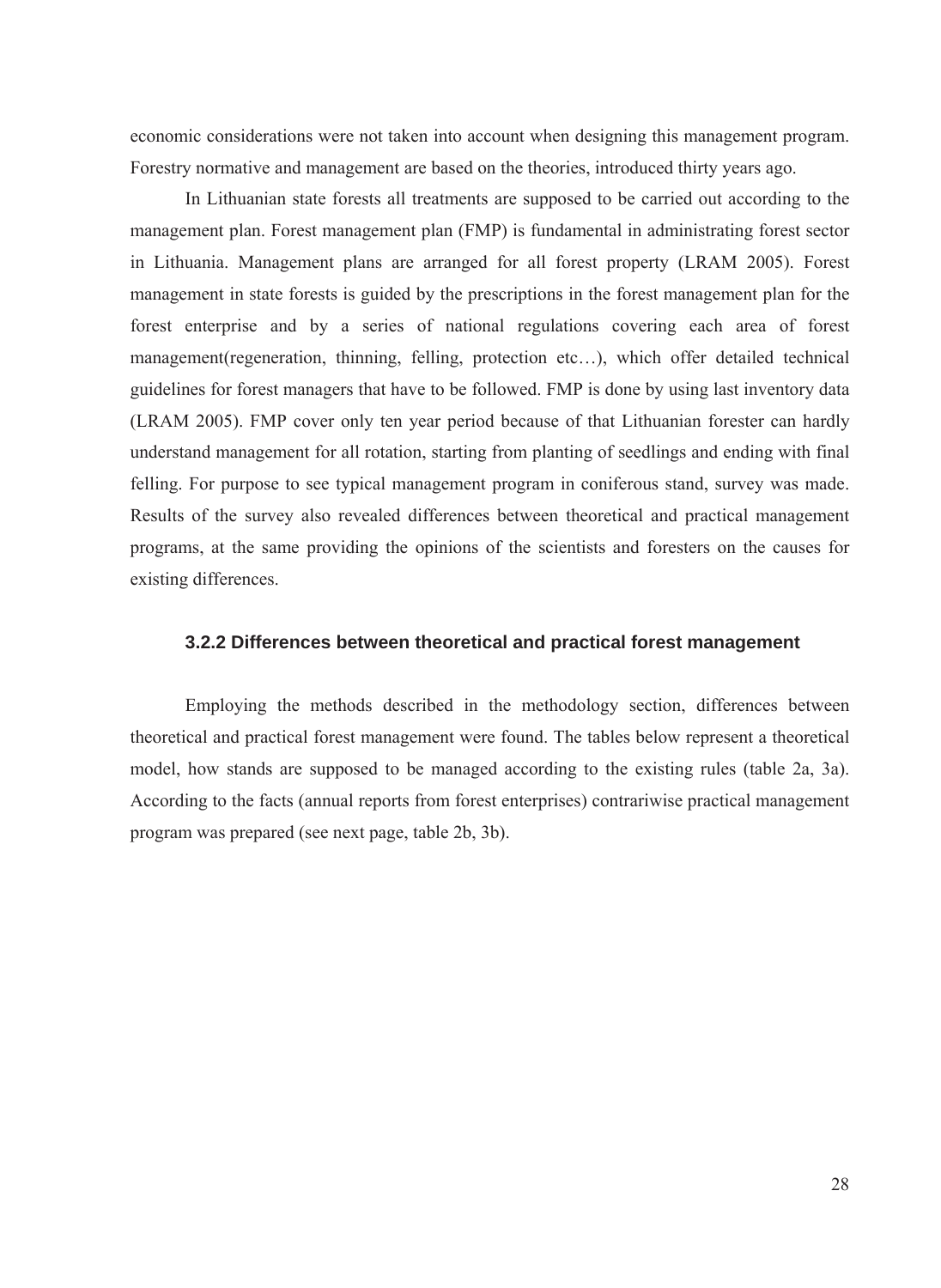<span id="page-29-0"></span>economic considerations were not taken into account when designing this management program. Forestry normative and management are based on the theories, introduced thirty years ago.

In Lithuanian state forests all treatments are supposed to be carried out according to the management plan. Forest management plan (FMP) is fundamental in administrating forest sector in Lithuania. Management plans are arranged for all forest property (LRAM 2005). Forest management in state forests is guided by the prescriptions in the forest management plan for the forest enterprise and by a series of national regulations covering each area of forest management(regeneration, thinning, felling, protection etc…), which offer detailed technical guidelines for forest managers that have to be followed. FMP is done by using last inventory data (LRAM 2005). FMP cover only ten year period because of that Lithuanian forester can hardly understand management for all rotation, starting from planting of seedlings and ending with final felling. For purpose to see typical management program in coniferous stand, survey was made. Results of the survey also revealed differences between theoretical and practical management programs, at the same providing the opinions of the scientists and foresters on the causes for existing differences.

## **3.2.2 Differences between theoretical and practical forest management**

Employing the methods described in the methodology section, differences between theoretical and practical forest management were found. The tables below represent a theoretical model, how stands are supposed to be managed according to the existing rules (table 2a, 3a). According to the facts (annual reports from forest enterprises) contrariwise practical management program was prepared (see next page, table 2b, 3b).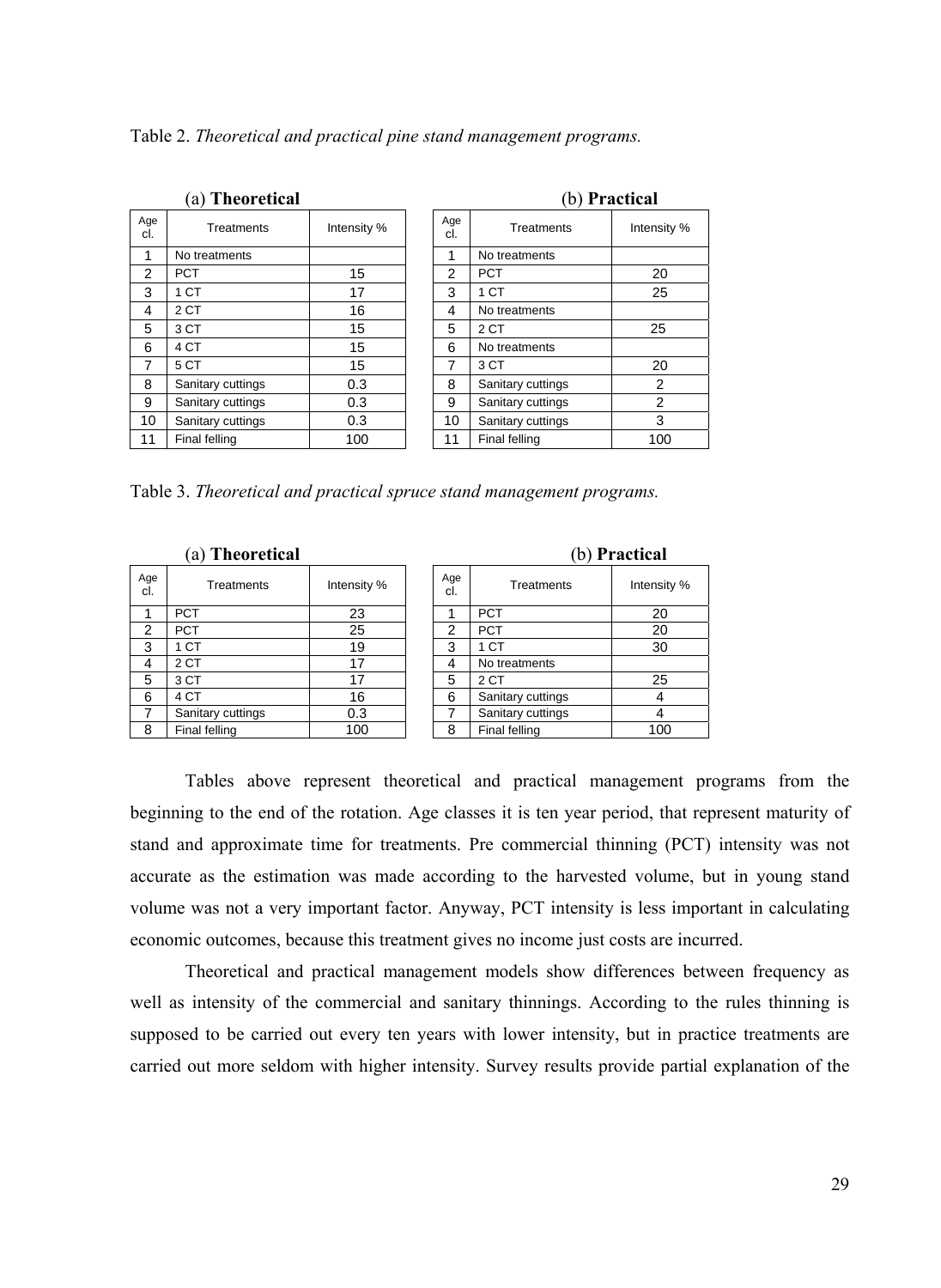Table 2. *Theoretical and practical pine stand management programs.*

| (a) Theoretical |                   |             |  | (b) Practical |                   |                |  |  |
|-----------------|-------------------|-------------|--|---------------|-------------------|----------------|--|--|
| Age<br>cl.      | Treatments        | Intensity % |  | Age<br>cl.    | Treatments        | Intensity %    |  |  |
| 1               | No treatments     |             |  | 1             | No treatments     |                |  |  |
| 2               | <b>PCT</b>        | 15          |  | 2             | <b>PCT</b>        | 20             |  |  |
| 3               | 1 CT              | 17          |  | 3             | 1 CT              | 25             |  |  |
| 4               | 2 CT              | 16          |  | 4             | No treatments     |                |  |  |
| 5               | 3 CT              | 15          |  | 5             | 2 CT              | 25             |  |  |
| 6               | 4 CT              | 15          |  | 6             | No treatments     |                |  |  |
| 7               | 5 CT              | 15          |  | 7             | 3 CT              | 20             |  |  |
| 8               | Sanitary cuttings | 0.3         |  | 8             | Sanitary cuttings | $\overline{2}$ |  |  |
| 9               | Sanitary cuttings | 0.3         |  | 9             | Sanitary cuttings | $\overline{2}$ |  |  |
| 10              | Sanitary cuttings | 0.3         |  | 10            | Sanitary cuttings | 3              |  |  |
| 11              | Final felling     | 100         |  | 11            | Final felling     | 100            |  |  |

Table 3. *Theoretical and practical spruce stand management programs.* 

|               | (a) Theoretical   |             |            |                   | (b) Practical |
|---------------|-------------------|-------------|------------|-------------------|---------------|
| Age<br>cl.    | Treatments        | Intensity % | Age<br>cl. | Treatments        | Intensity     |
|               | <b>PCT</b>        | 23          | 1          | <b>PCT</b>        | 20            |
| $\mathcal{P}$ | <b>PCT</b>        | 25          | 2          | <b>PCT</b>        | 20            |
| 3             | 1 CT              | 19          | 3          | 1 CT              | 30            |
| 4             | 2 CT              | 17          | 4          | No treatments     |               |
| 5             | 3 CT              | 17          | 5          | 2 CT              | 25            |
| 6             | 4 CT              | 16          | 6          | Sanitary cuttings |               |
| 7             | Sanitary cuttings | 0.3         | 7          | Sanitary cuttings | 4             |
| 8             | Final felling     | 100         | 8          | Final felling     | 100           |

|            |                   | (b) Practical |
|------------|-------------------|---------------|
| Age<br>cl. | Treatments        | Intensity %   |
|            | <b>PCT</b>        | 20            |
| 2          | <b>PCT</b>        | 20            |
| 3          | 1 CT              | 30            |
| 4          | No treatments     |               |
| 5          | 2 CT              | 25            |
| 6          | Sanitary cuttings |               |
|            | Sanitary cuttings |               |
| 8          | Final felling     | 100           |

Tables above represent theoretical and practical management programs from the beginning to the end of the rotation. Age classes it is ten year period, that represent maturity of stand and approximate time for treatments. Pre commercial thinning (PCT) intensity was not accurate as the estimation was made according to the harvested volume, but in young stand volume was not a very important factor. Anyway, PCT intensity is less important in calculating economic outcomes, because this treatment gives no income just costs are incurred.

Theoretical and practical management models show differences between frequency as well as intensity of the commercial and sanitary thinnings. According to the rules thinning is supposed to be carried out every ten years with lower intensity, but in practice treatments are carried out more seldom with higher intensity. Survey results provide partial explanation of the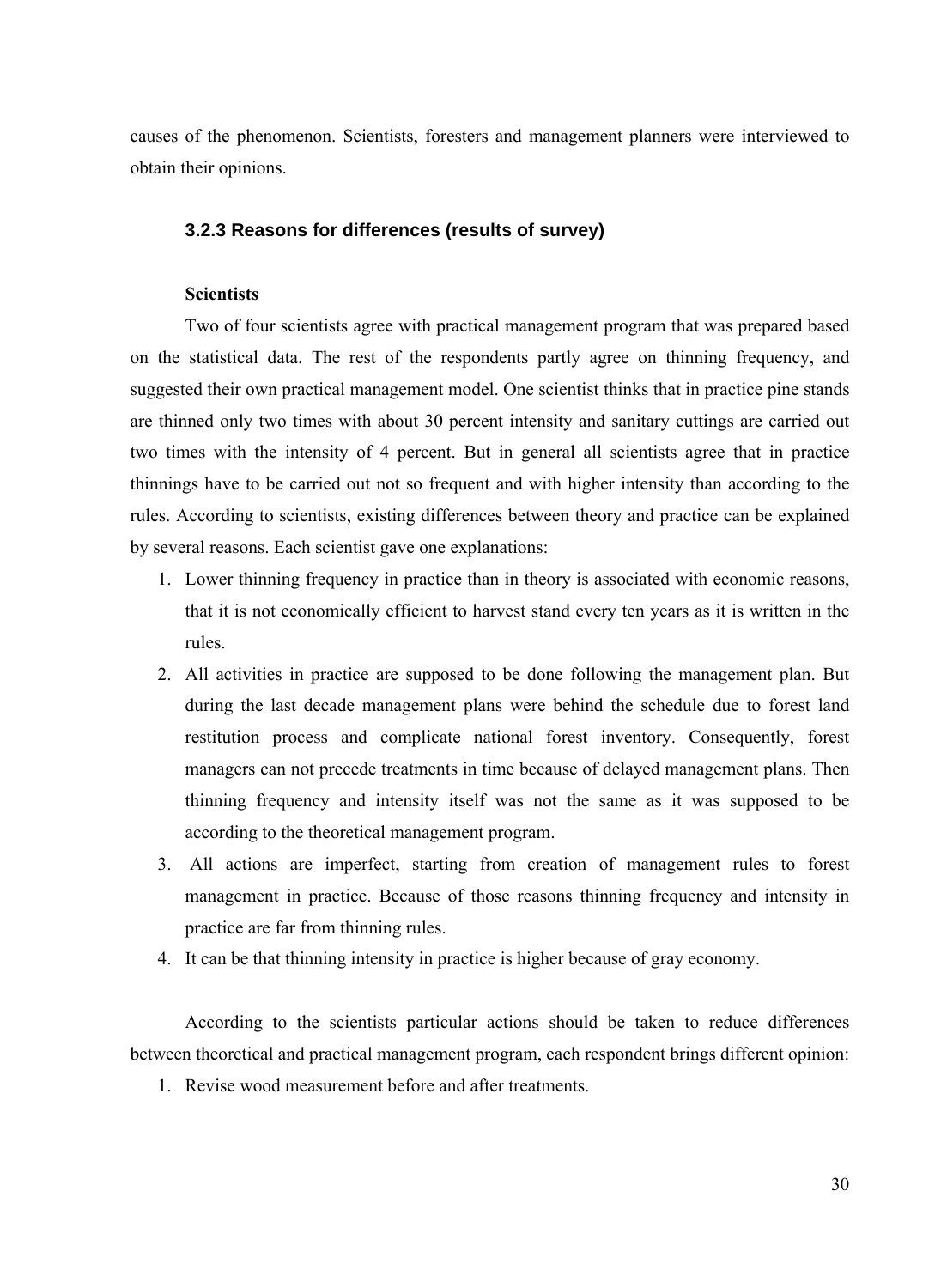<span id="page-31-0"></span>causes of the phenomenon. Scientists, foresters and management planners were interviewed to obtain their opinions.

## **3.2.3 Reasons for differences (results of survey)**

## **Scientists**

Two of four scientists agree with practical management program that was prepared based on the statistical data. The rest of the respondents partly agree on thinning frequency, and suggested their own practical management model. One scientist thinks that in practice pine stands are thinned only two times with about 30 percent intensity and sanitary cuttings are carried out two times with the intensity of 4 percent. But in general all scientists agree that in practice thinnings have to be carried out not so frequent and with higher intensity than according to the rules. According to scientists, existing differences between theory and practice can be explained by several reasons. Each scientist gave one explanations:

- 1. Lower thinning frequency in practice than in theory is associated with economic reasons, that it is not economically efficient to harvest stand every ten years as it is written in the rules.
- 2. All activities in practice are supposed to be done following the management plan. But during the last decade management plans were behind the schedule due to forest land restitution process and complicate national forest inventory. Consequently, forest managers can not precede treatments in time because of delayed management plans. Then thinning frequency and intensity itself was not the same as it was supposed to be according to the theoretical management program.
- 3. All actions are imperfect, starting from creation of management rules to forest management in practice. Because of those reasons thinning frequency and intensity in practice are far from thinning rules.
- 4. It can be that thinning intensity in practice is higher because of gray economy.

According to the scientists particular actions should be taken to reduce differences between theoretical and practical management program, each respondent brings different opinion:

1. Revise wood measurement before and after treatments.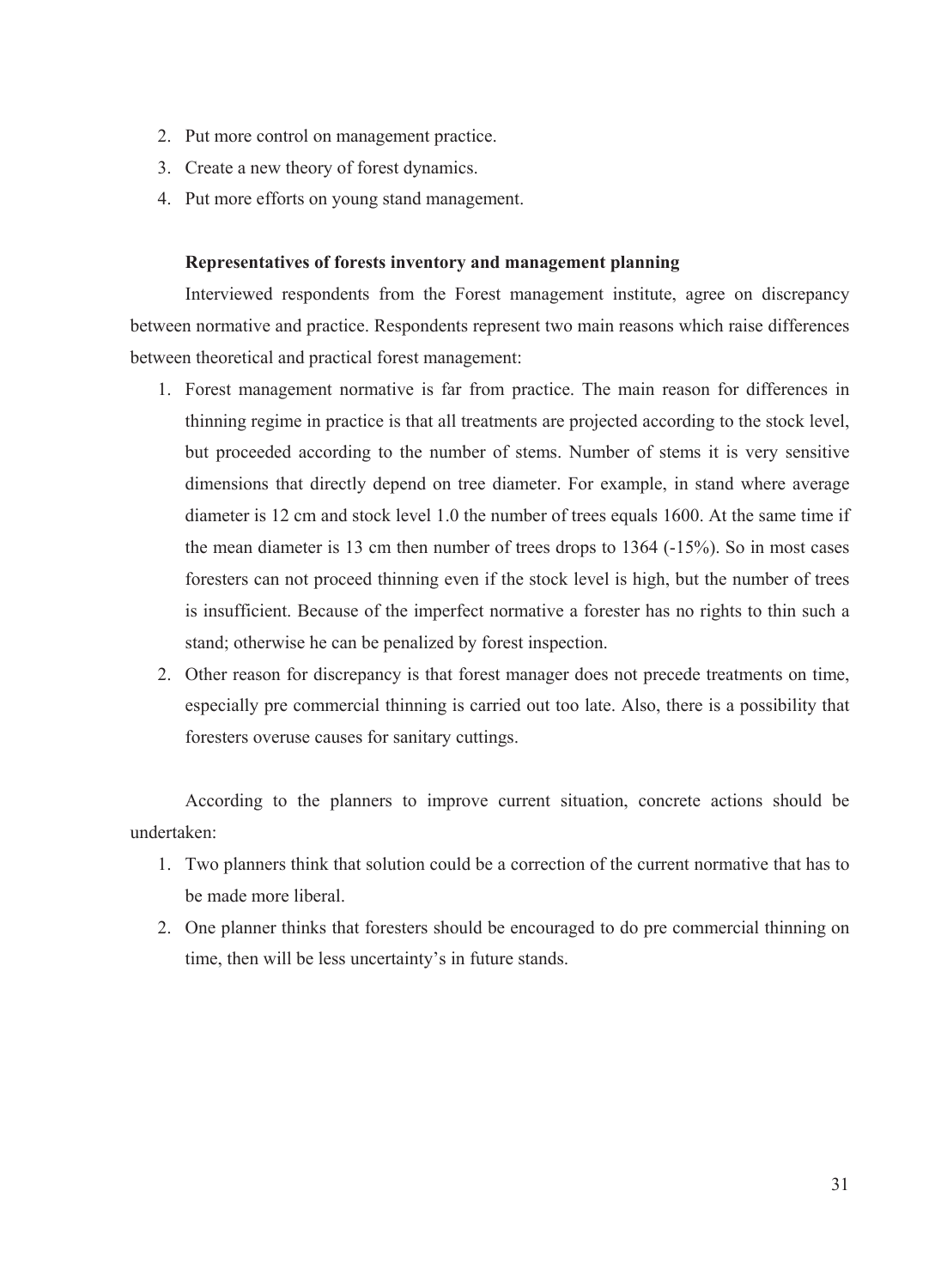- 2. Put more control on management practice.
- 3. Create a new theory of forest dynamics.
- 4. Put more efforts on young stand management.

### **Representatives of forests inventory and management planning**

Interviewed respondents from the Forest management institute, agree on discrepancy between normative and practice. Respondents represent two main reasons which raise differences between theoretical and practical forest management:

- 1. Forest management normative is far from practice. The main reason for differences in thinning regime in practice is that all treatments are projected according to the stock level, but proceeded according to the number of stems. Number of stems it is very sensitive dimensions that directly depend on tree diameter. For example, in stand where average diameter is 12 cm and stock level 1.0 the number of trees equals 1600. At the same time if the mean diameter is 13 cm then number of trees drops to 1364 (-15%). So in most cases foresters can not proceed thinning even if the stock level is high, but the number of trees is insufficient. Because of the imperfect normative a forester has no rights to thin such a stand; otherwise he can be penalized by forest inspection.
- 2. Other reason for discrepancy is that forest manager does not precede treatments on time, especially pre commercial thinning is carried out too late. Also, there is a possibility that foresters overuse causes for sanitary cuttings.

According to the planners to improve current situation, concrete actions should be undertaken:

- 1. Two planners think that solution could be a correction of the current normative that has to be made more liberal.
- 2. One planner thinks that foresters should be encouraged to do pre commercial thinning on time, then will be less uncertainty's in future stands.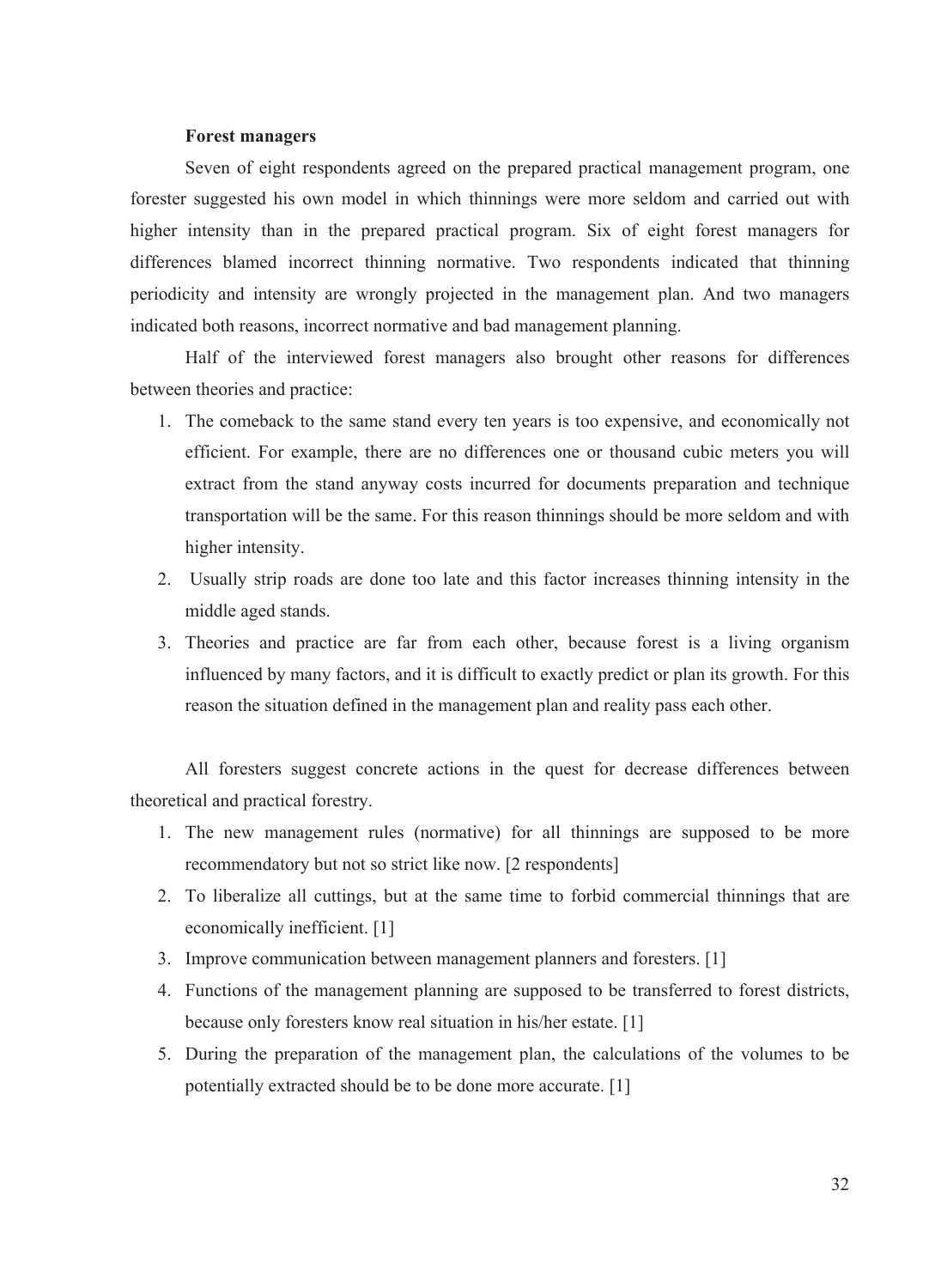#### **Forest managers**

Seven of eight respondents agreed on the prepared practical management program, one forester suggested his own model in which thinnings were more seldom and carried out with higher intensity than in the prepared practical program. Six of eight forest managers for differences blamed incorrect thinning normative. Two respondents indicated that thinning periodicity and intensity are wrongly projected in the management plan. And two managers indicated both reasons, incorrect normative and bad management planning.

Half of the interviewed forest managers also brought other reasons for differences between theories and practice:

- 1. The comeback to the same stand every ten years is too expensive, and economically not efficient. For example, there are no differences one or thousand cubic meters you will extract from the stand anyway costs incurred for documents preparation and technique transportation will be the same. For this reason thinnings should be more seldom and with higher intensity.
- 2. Usually strip roads are done too late and this factor increases thinning intensity in the middle aged stands.
- 3. Theories and practice are far from each other, because forest is a living organism influenced by many factors, and it is difficult to exactly predict or plan its growth. For this reason the situation defined in the management plan and reality pass each other.

All foresters suggest concrete actions in the quest for decrease differences between theoretical and practical forestry.

- 1. The new management rules (normative) for all thinnings are supposed to be more recommendatory but not so strict like now. [2 respondents]
- 2. To liberalize all cuttings, but at the same time to forbid commercial thinnings that are economically inefficient. [1]
- 3. Improve communication between management planners and foresters. [1]
- 4. Functions of the management planning are supposed to be transferred to forest districts, because only foresters know real situation in his/her estate. [1]
- 5. During the preparation of the management plan, the calculations of the volumes to be potentially extracted should be to be done more accurate. [1]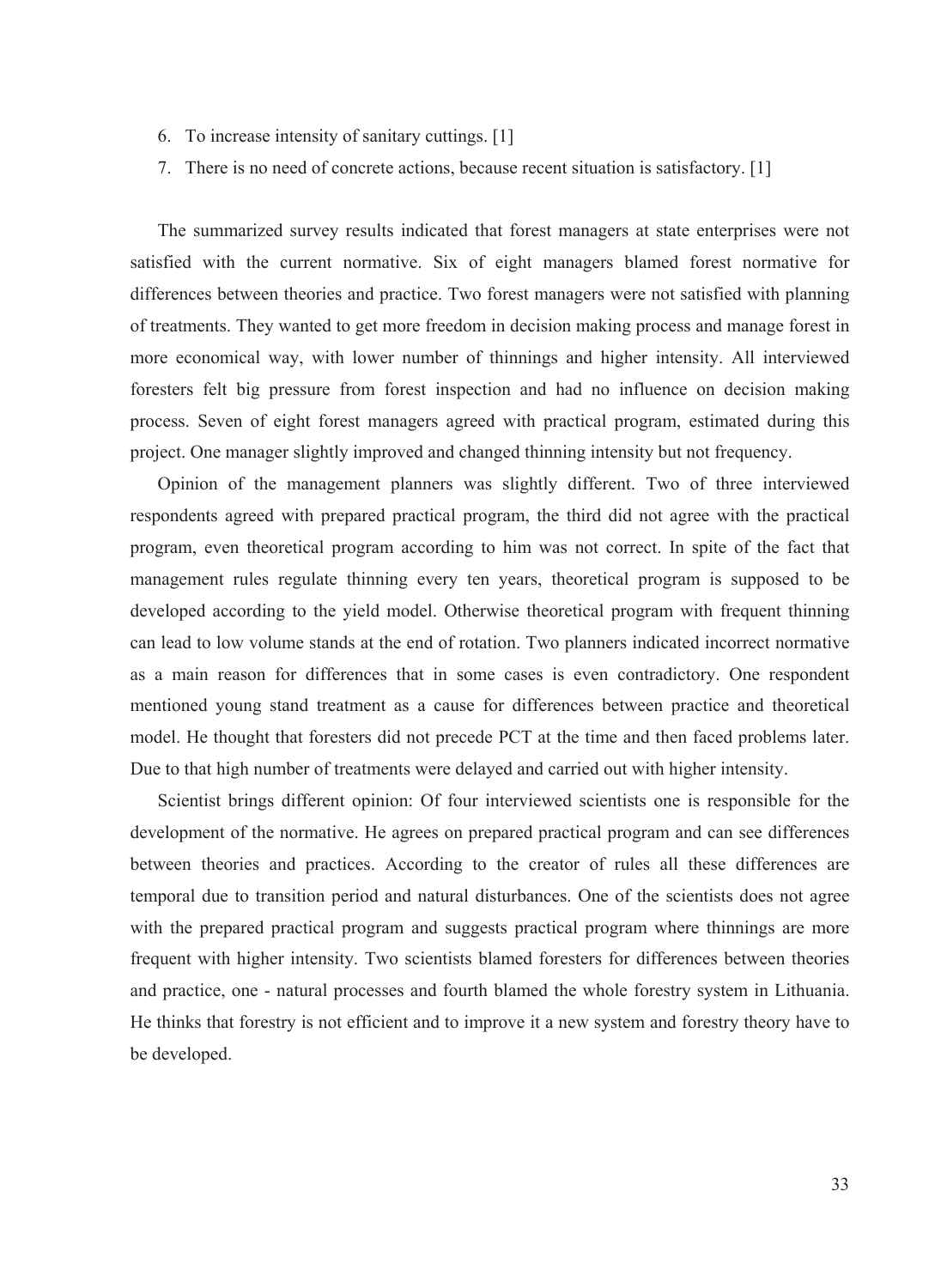- 6. To increase intensity of sanitary cuttings. [1]
- 7. There is no need of concrete actions, because recent situation is satisfactory. [1]

The summarized survey results indicated that forest managers at state enterprises were not satisfied with the current normative. Six of eight managers blamed forest normative for differences between theories and practice. Two forest managers were not satisfied with planning of treatments. They wanted to get more freedom in decision making process and manage forest in more economical way, with lower number of thinnings and higher intensity. All interviewed foresters felt big pressure from forest inspection and had no influence on decision making process. Seven of eight forest managers agreed with practical program, estimated during this project. One manager slightly improved and changed thinning intensity but not frequency.

Opinion of the management planners was slightly different. Two of three interviewed respondents agreed with prepared practical program, the third did not agree with the practical program, even theoretical program according to him was not correct. In spite of the fact that management rules regulate thinning every ten years, theoretical program is supposed to be developed according to the yield model. Otherwise theoretical program with frequent thinning can lead to low volume stands at the end of rotation. Two planners indicated incorrect normative as a main reason for differences that in some cases is even contradictory. One respondent mentioned young stand treatment as a cause for differences between practice and theoretical model. He thought that foresters did not precede PCT at the time and then faced problems later. Due to that high number of treatments were delayed and carried out with higher intensity.

Scientist brings different opinion: Of four interviewed scientists one is responsible for the development of the normative. He agrees on prepared practical program and can see differences between theories and practices. According to the creator of rules all these differences are temporal due to transition period and natural disturbances. One of the scientists does not agree with the prepared practical program and suggests practical program where thinnings are more frequent with higher intensity. Two scientists blamed foresters for differences between theories and practice, one - natural processes and fourth blamed the whole forestry system in Lithuania. He thinks that forestry is not efficient and to improve it a new system and forestry theory have to be developed.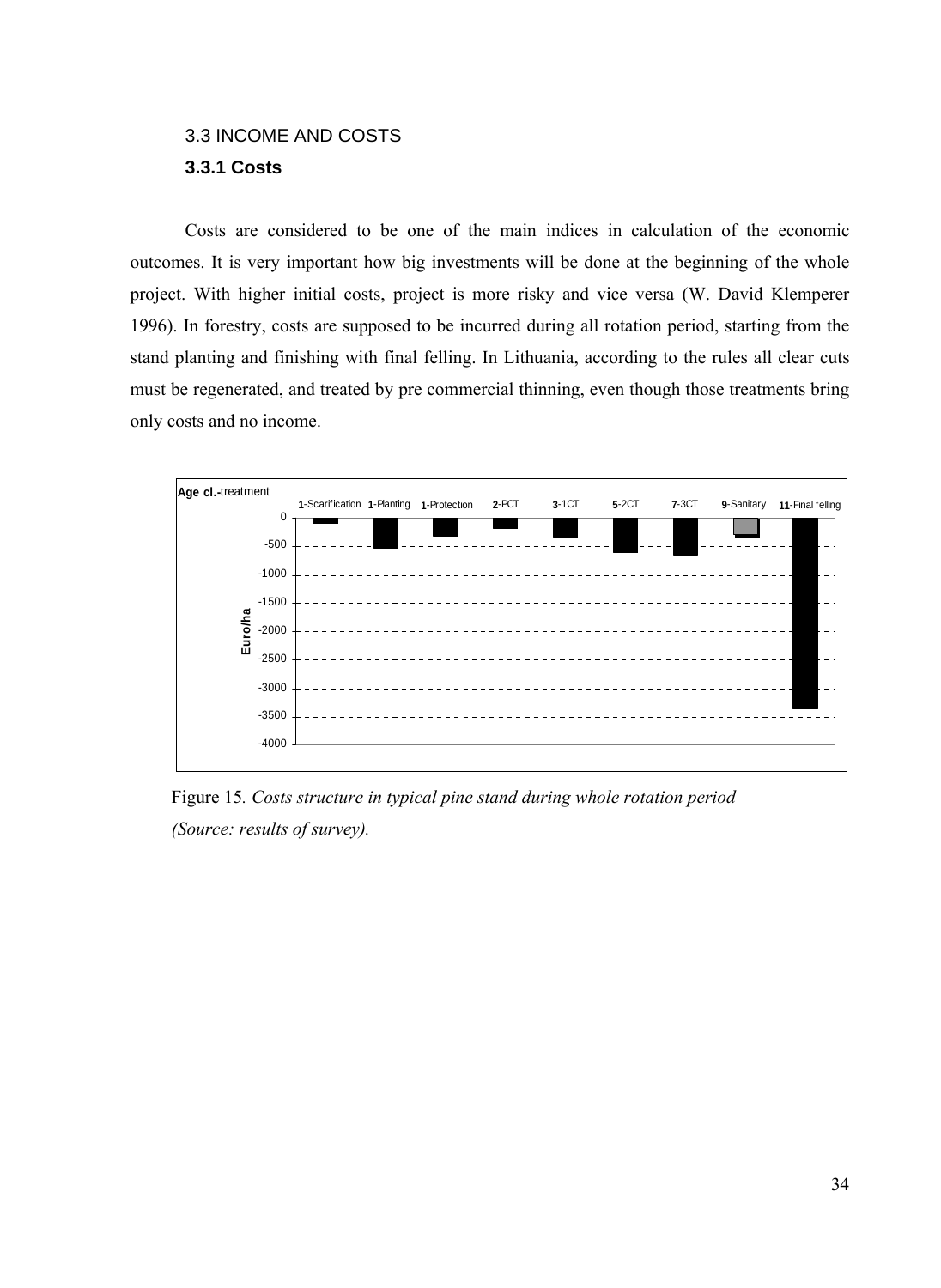# <span id="page-35-0"></span>3.3 INCOME AND COSTS **3.3.1 Costs**

Costs are considered to be one of the main indices in calculation of the economic outcomes. It is very important how big investments will be done at the beginning of the whole project. With higher initial costs, project is more risky and vice versa (W. David Klemperer 1996). In forestry, costs are supposed to be incurred during all rotation period, starting from the stand planting and finishing with final felling. In Lithuania, according to the rules all clear cuts must be regenerated, and treated by pre commercial thinning, even though those treatments bring only costs and no income.



Figure 15*. Costs structure in typical pine stand during whole rotation period (Source: results of survey).*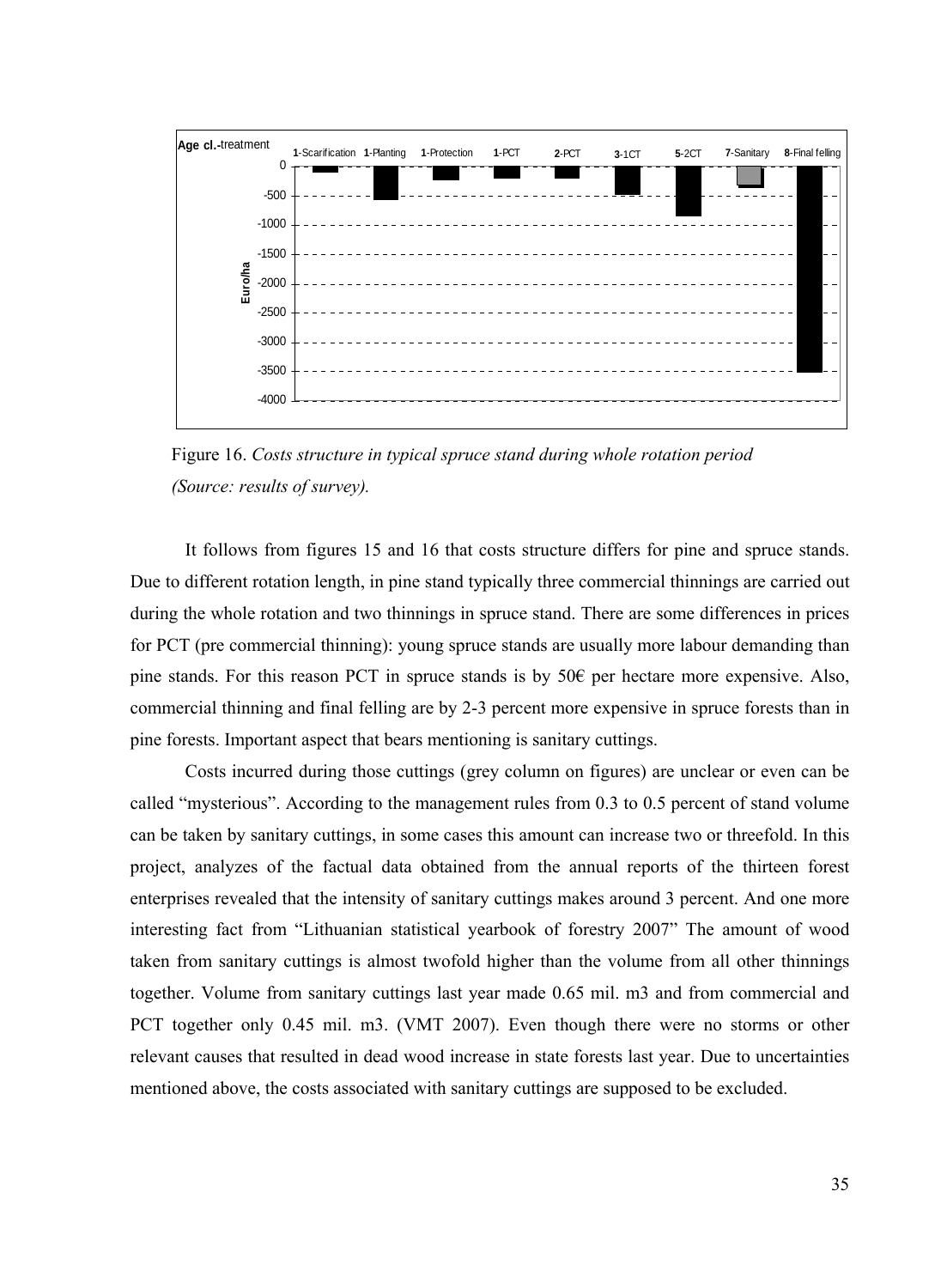

Figure 16. *Costs structure in typical spruce stand during whole rotation period (Source: results of survey).*

It follows from figures 15 and 16 that costs structure differs for pine and spruce stands. Due to different rotation length, in pine stand typically three commercial thinnings are carried out during the whole rotation and two thinnings in spruce stand. There are some differences in prices for PCT (pre commercial thinning): young spruce stands are usually more labour demanding than pine stands. For this reason PCT in spruce stands is by 50€ per hectare more expensive. Also, commercial thinning and final felling are by 2-3 percent more expensive in spruce forests than in pine forests. Important aspect that bears mentioning is sanitary cuttings.

Costs incurred during those cuttings (grey column on figures) are unclear or even can be called "mysterious". According to the management rules from 0.3 to 0.5 percent of stand volume can be taken by sanitary cuttings, in some cases this amount can increase two or threefold. In this project, analyzes of the factual data obtained from the annual reports of the thirteen forest enterprises revealed that the intensity of sanitary cuttings makes around 3 percent. And one more interesting fact from "Lithuanian statistical yearbook of forestry 2007" The amount of wood taken from sanitary cuttings is almost twofold higher than the volume from all other thinnings together. Volume from sanitary cuttings last year made 0.65 mil. m3 and from commercial and PCT together only 0.45 mil. m3. (VMT 2007). Even though there were no storms or other relevant causes that resulted in dead wood increase in state forests last year. Due to uncertainties mentioned above, the costs associated with sanitary cuttings are supposed to be excluded.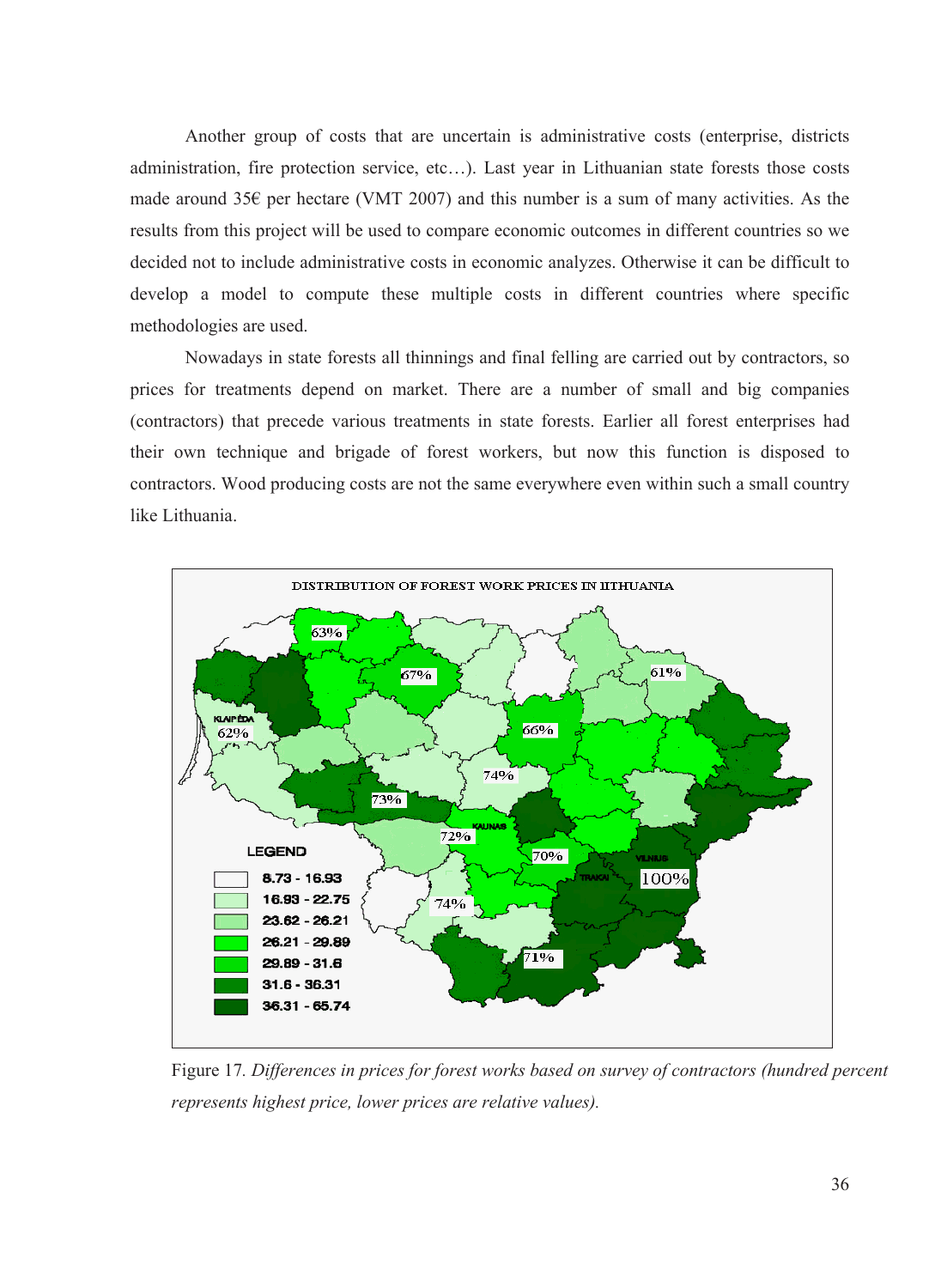Another group of costs that are uncertain is administrative costs (enterprise, districts administration, fire protection service, etc…). Last year in Lithuanian state forests those costs made around 35 $\epsilon$  per hectare (VMT 2007) and this number is a sum of many activities. As the results from this project will be used to compare economic outcomes in different countries so we decided not to include administrative costs in economic analyzes. Otherwise it can be difficult to develop a model to compute these multiple costs in different countries where specific methodologies are used.

Nowadays in state forests all thinnings and final felling are carried out by contractors, so prices for treatments depend on market. There are a number of small and big companies (contractors) that precede various treatments in state forests. Earlier all forest enterprises had their own technique and brigade of forest workers, but now this function is disposed to contractors. Wood producing costs are not the same everywhere even within such a small country like Lithuania.



Figure 17*. Differences in prices for forest works based on survey of contractors (hundred percent represents highest price, lower prices are relative values).*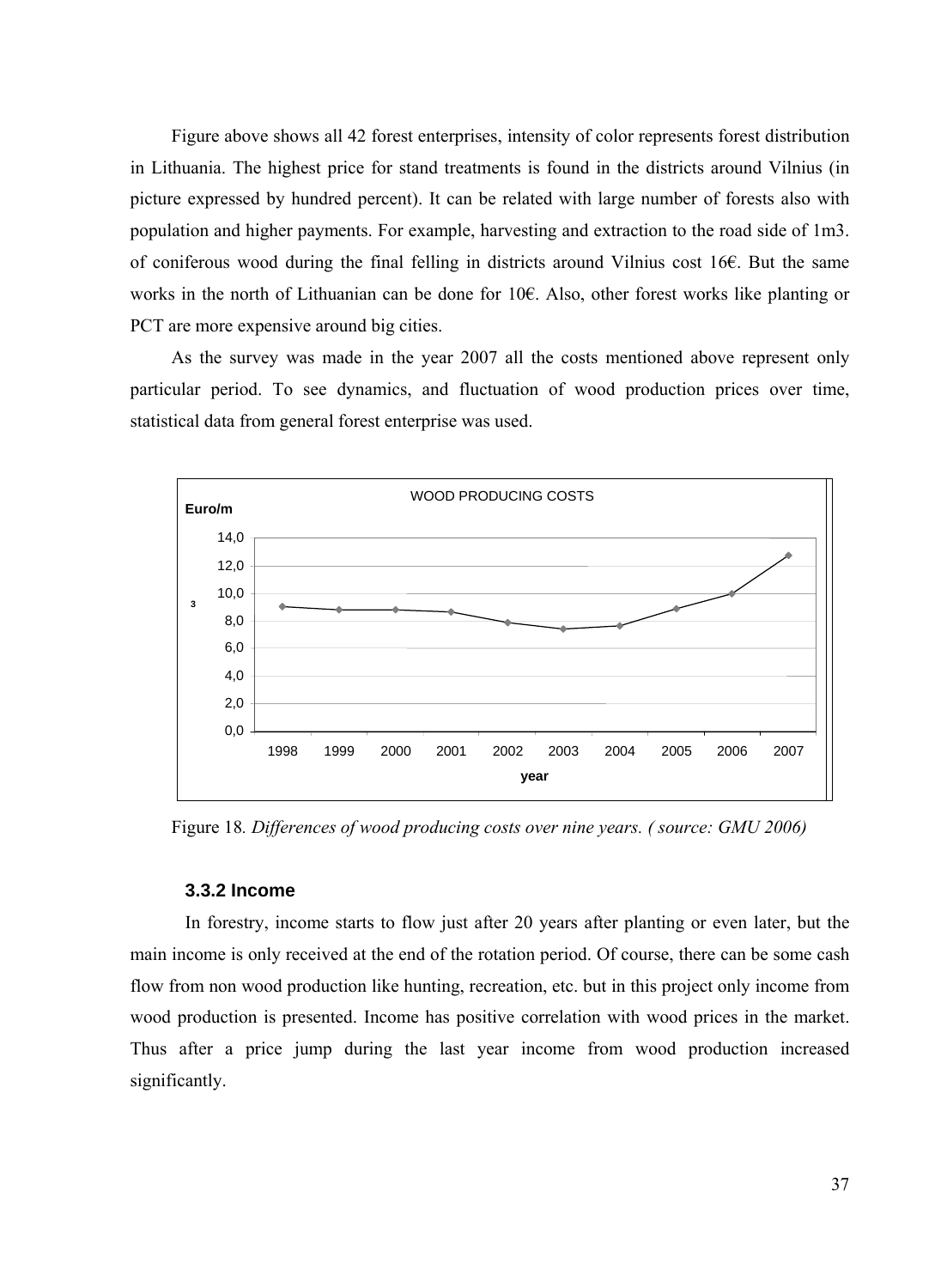<span id="page-38-0"></span>Figure above shows all 42 forest enterprises, intensity of color represents forest distribution in Lithuania. The highest price for stand treatments is found in the districts around Vilnius (in picture expressed by hundred percent). It can be related with large number of forests also with population and higher payments. For example, harvesting and extraction to the road side of 1m3. of coniferous wood during the final felling in districts around Vilnius cost 16€. But the same works in the north of Lithuanian can be done for 10€. Also, other forest works like planting or PCT are more expensive around big cities.

As the survey was made in the year 2007 all the costs mentioned above represent only particular period. To see dynamics, and fluctuation of wood production prices over time, statistical data from general forest enterprise was used.



Figure 18*. Differences of wood producing costs over nine years. ( source: GMU 2006)*

## **3.3.2 Income**

In forestry, income starts to flow just after 20 years after planting or even later, but the main income is only received at the end of the rotation period. Of course, there can be some cash flow from non wood production like hunting, recreation, etc. but in this project only income from wood production is presented. Income has positive correlation with wood prices in the market. Thus after a price jump during the last year income from wood production increased significantly.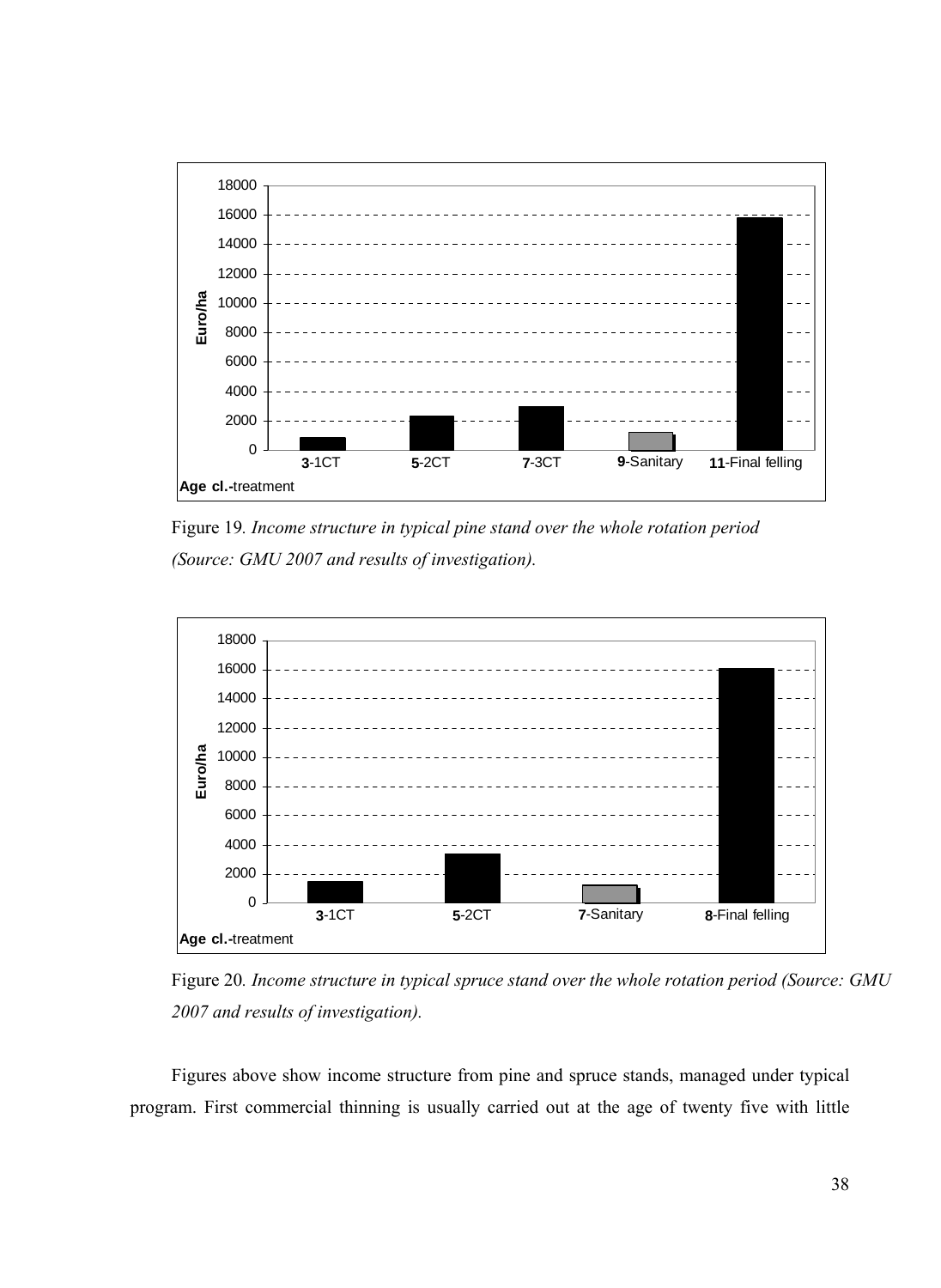

Figure 19*. Income structure in typical pine stand over the whole rotation period (Source: GMU 2007 and results of investigation).*



Figure 20*. Income structure in typical spruce stand over the whole rotation period (Source: GMU 2007 and results of investigation).* 

Figures above show income structure from pine and spruce stands, managed under typical program. First commercial thinning is usually carried out at the age of twenty five with little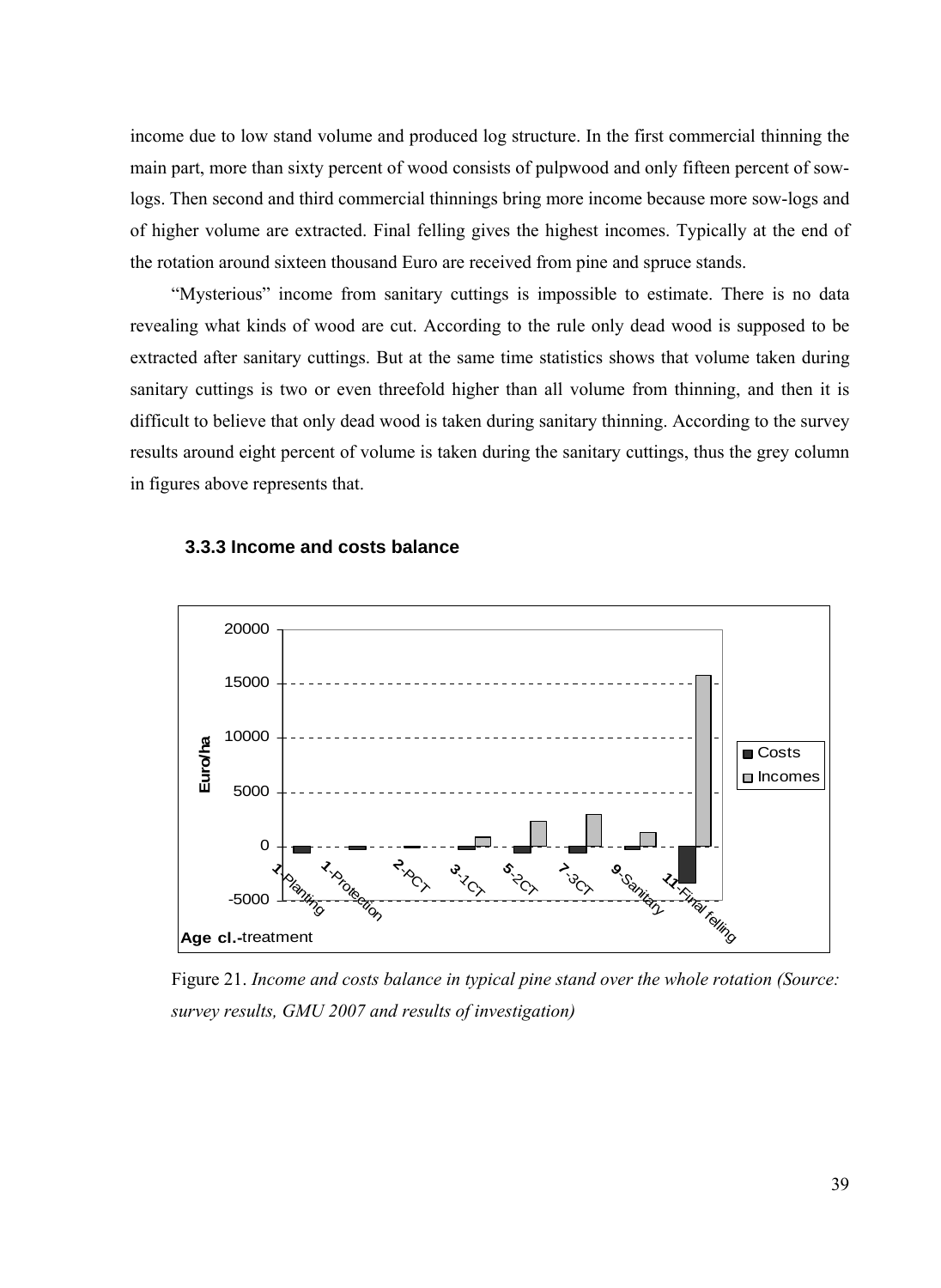<span id="page-40-0"></span>income due to low stand volume and produced log structure. In the first commercial thinning the main part, more than sixty percent of wood consists of pulpwood and only fifteen percent of sowlogs. Then second and third commercial thinnings bring more income because more sow-logs and of higher volume are extracted. Final felling gives the highest incomes. Typically at the end of the rotation around sixteen thousand Euro are received from pine and spruce stands.

"Mysterious" income from sanitary cuttings is impossible to estimate. There is no data revealing what kinds of wood are cut. According to the rule only dead wood is supposed to be extracted after sanitary cuttings. But at the same time statistics shows that volume taken during sanitary cuttings is two or even threefold higher than all volume from thinning, and then it is difficult to believe that only dead wood is taken during sanitary thinning. According to the survey results around eight percent of volume is taken during the sanitary cuttings, thus the grey column in figures above represents that.



#### **3.3.3 Income and costs balance**

Figure 21. *Income and costs balance in typical pine stand over the whole rotation (Source: survey results, GMU 2007 and results of investigation)*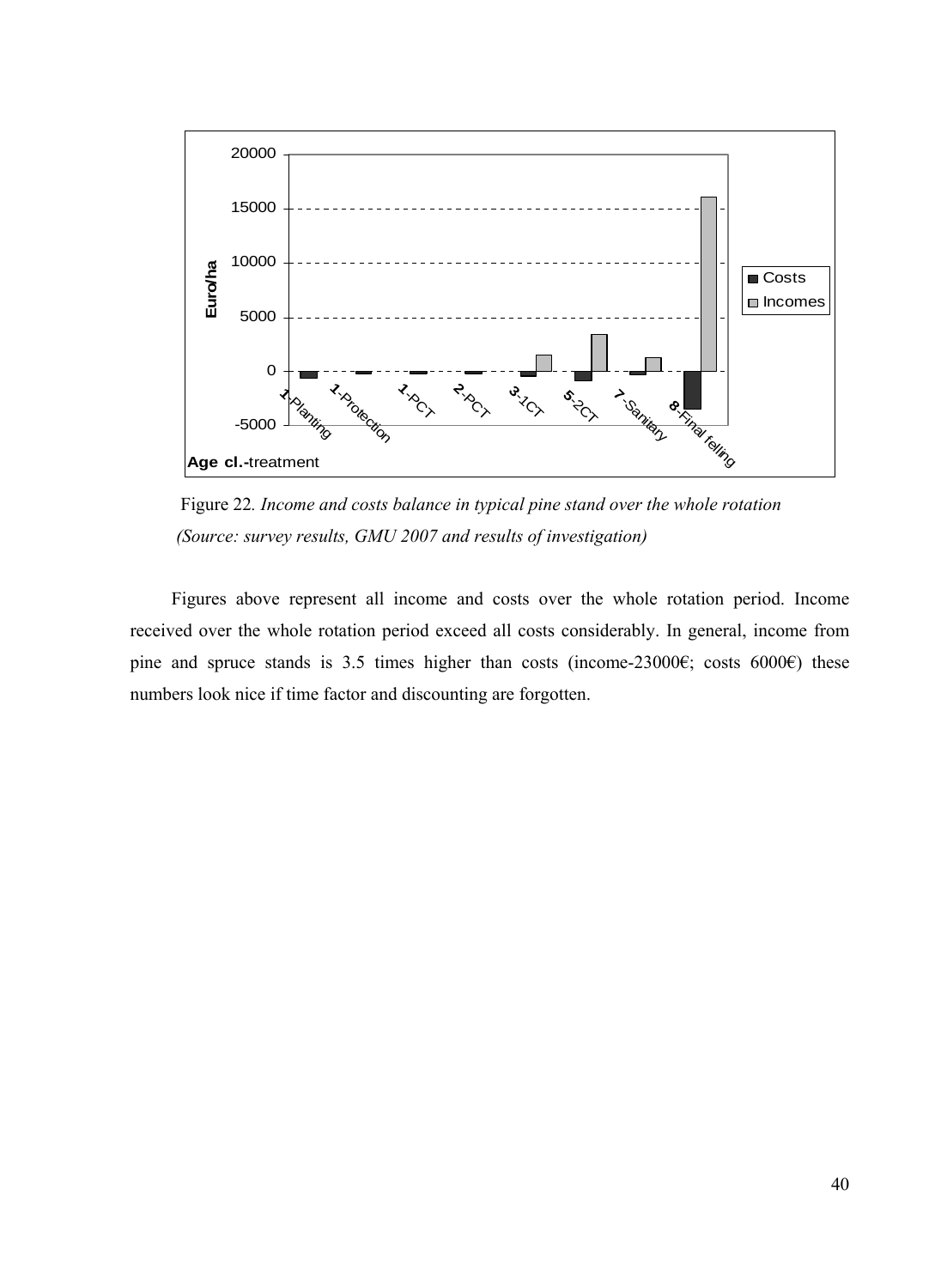

 Figure 22*. Income and costs balance in typical pine stand over the whole rotation (Source: survey results, GMU 2007 and results of investigation)* 

Figures above represent all income and costs over the whole rotation period. Income received over the whole rotation period exceed all costs considerably. In general, income from pine and spruce stands is 3.5 times higher than costs (income-23000€; costs 6000€) these numbers look nice if time factor and discounting are forgotten.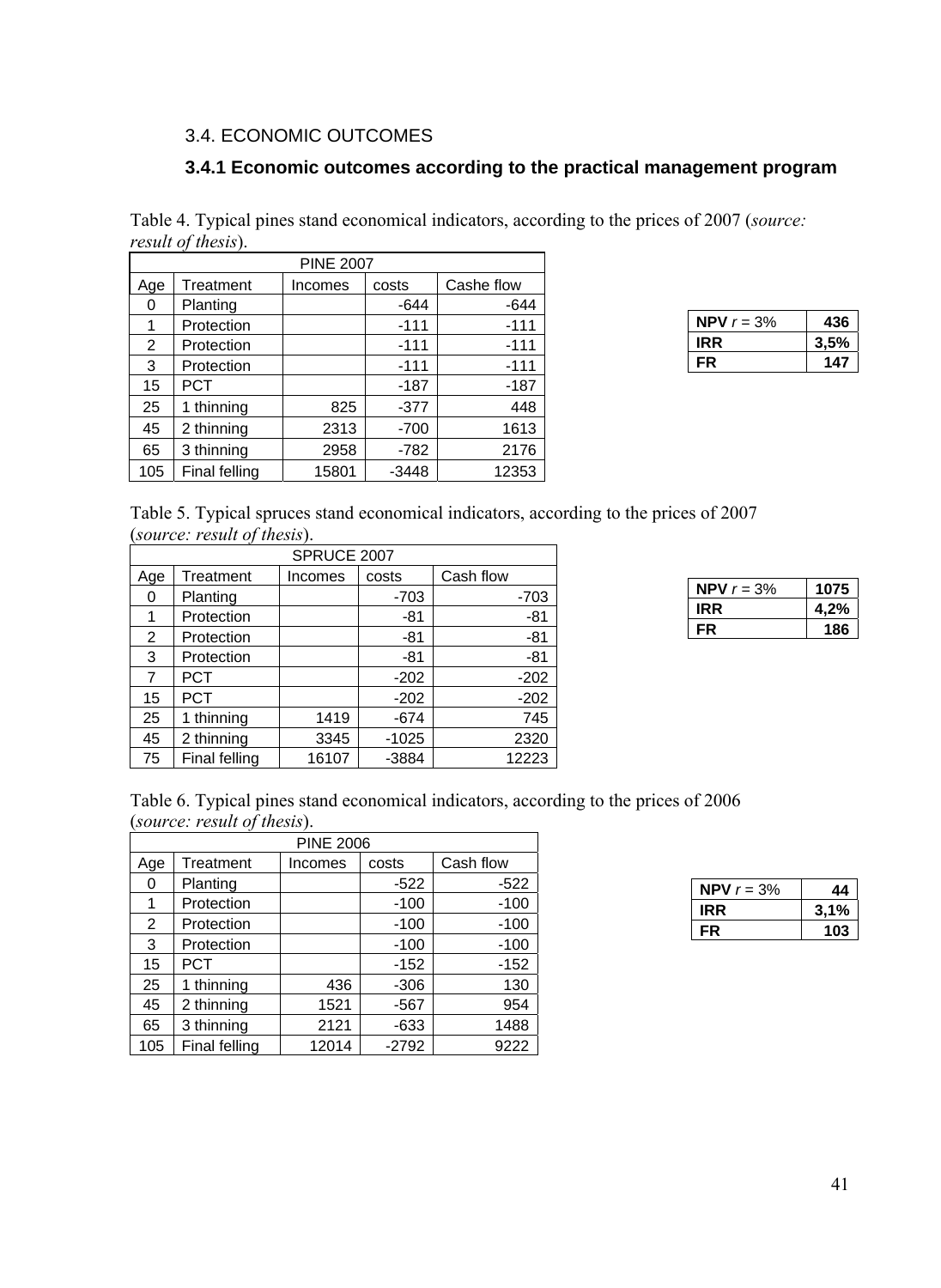## <span id="page-42-0"></span>3.4. ECONOMIC OUTCOMES

## **3.4.1 Economic outcomes according to the practical management program**

Table 4. Typical pines stand economical indicators, according to the prices of 2007 (*source: result of thesis*).

| <b>PINE 2007</b> |               |         |         |            |  |  |  |  |
|------------------|---------------|---------|---------|------------|--|--|--|--|
| Age              | Treatment     | Incomes | costs   | Cashe flow |  |  |  |  |
| 0                | Planting      |         | $-644$  | $-644$     |  |  |  |  |
| 1                | Protection    |         | $-111$  | $-111$     |  |  |  |  |
| 2                | Protection    |         | $-111$  | $-111$     |  |  |  |  |
| 3                | Protection    |         | $-111$  | $-111$     |  |  |  |  |
| 15               | <b>PCT</b>    |         | -187    | -187       |  |  |  |  |
| 25               | 1 thinning    | 825     | $-377$  | 448        |  |  |  |  |
| 45               | 2 thinning    | 2313    | $-700$  | 1613       |  |  |  |  |
| 65               | 3 thinning    | 2958    | $-782$  | 2176       |  |  |  |  |
| 105              | Final felling | 15801   | $-3448$ | 12353      |  |  |  |  |

| <b>NPV</b> $r = 3\%$ | 436  |
|----------------------|------|
| <b>IRR</b>           | 3,5% |
| FR                   | 147  |

Table 5. Typical spruces stand economical indicators, according to the prices of 2007 (*source: result of thesis*).

| SPRUCE 2007 |               |         |         |           |  |  |  |
|-------------|---------------|---------|---------|-----------|--|--|--|
| Age         | Treatment     | Incomes | costs   | Cash flow |  |  |  |
| 0           | Planting      |         | $-703$  | $-703$    |  |  |  |
|             | Protection    |         | -81     | -81       |  |  |  |
| 2           | Protection    |         | -81     | -81       |  |  |  |
| 3           | Protection    |         | -81     | $-81$     |  |  |  |
| 7           | <b>PCT</b>    |         | $-202$  | $-202$    |  |  |  |
| 15          | <b>PCT</b>    |         | $-202$  | $-202$    |  |  |  |
| 25          | 1 thinning    | 1419    | $-674$  | 745       |  |  |  |
| 45          | 2 thinning    | 3345    | $-1025$ | 2320      |  |  |  |
| 75          | Final felling | 16107   | $-3884$ | 12223     |  |  |  |

| NPV $r = 3\%$ | 1075 |
|---------------|------|
| IRR           | 4,2% |
| FR            | 186  |

Table 6. Typical pines stand economical indicators, according to the prices of 2006 (*source: result of thesis*).

| <b>PINE 2006</b> |               |         |         |           |  |  |  |  |
|------------------|---------------|---------|---------|-----------|--|--|--|--|
| Age              | Treatment     | Incomes | costs   | Cash flow |  |  |  |  |
| 0                | Planting      |         | $-522$  | $-522$    |  |  |  |  |
| 1                | Protection    |         | $-100$  | $-100$    |  |  |  |  |
| 2                | Protection    |         | $-100$  | $-100$    |  |  |  |  |
| 3                | Protection    |         | $-100$  | $-100$    |  |  |  |  |
| 15               | <b>PCT</b>    |         | $-152$  | $-152$    |  |  |  |  |
| 25               | 1 thinning    | 436     | $-306$  | 130       |  |  |  |  |
| 45               | 2 thinning    | 1521    | -567    | 954       |  |  |  |  |
| 65               | 3 thinning    | 2121    | $-633$  | 1488      |  |  |  |  |
| 105              | Final felling | 12014   | $-2792$ | 9222      |  |  |  |  |

| <b>NPV</b> $r = 3%$ |      |
|---------------------|------|
| IRR.                | 3,1% |
| нR.                 | 103  |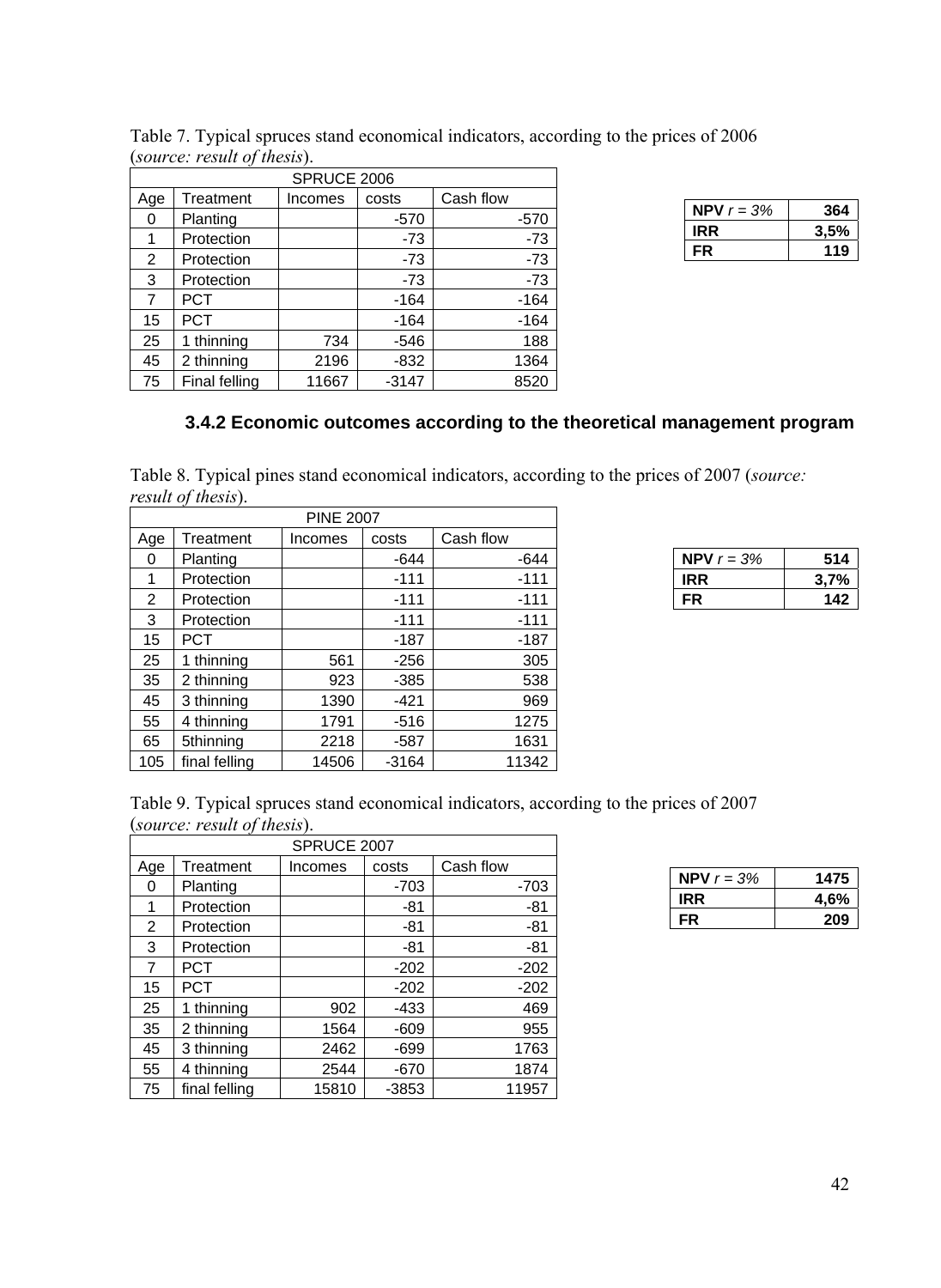|     | SPRUCE 2006   |         |         |           |  |  |  |  |
|-----|---------------|---------|---------|-----------|--|--|--|--|
| Age | Treatment     | Incomes | costs   | Cash flow |  |  |  |  |
| 0   | Planting      |         | $-570$  | $-570$    |  |  |  |  |
| 1   | Protection    |         | -73     | $-73$     |  |  |  |  |
| 2   | Protection    |         | -73     | $-73$     |  |  |  |  |
| 3   | Protection    |         | $-73$   | $-73$     |  |  |  |  |
| 7   | <b>PCT</b>    |         | $-164$  | -164      |  |  |  |  |
| 15  | <b>PCT</b>    |         | $-164$  | $-164$    |  |  |  |  |
| 25  | thinning      | 734     | $-546$  | 188       |  |  |  |  |
| 45  | 2 thinning    | 2196    | $-832$  | 1364      |  |  |  |  |
| 75  | Final felling | 11667   | $-3147$ | 8520      |  |  |  |  |

<span id="page-43-0"></span>

|                             |  |  | Table 7. Typical spruces stand economical indicators, according to the prices of 2006 |  |
|-----------------------------|--|--|---------------------------------------------------------------------------------------|--|
| (source: result of thesis). |  |  |                                                                                       |  |

| <b>NPV</b> $r = 3%$ | 364  |
|---------------------|------|
| IRR.                | 3,5% |
| FR                  | 119  |

## **3.4.2 Economic outcomes according to the theoretical management program**

Table 8. Typical pines stand economical indicators, according to the prices of 2007 (*source: result of thesis*).

| <b>PINE 2007</b> |               |         |         |           |  |
|------------------|---------------|---------|---------|-----------|--|
| Age              | Treatment     | Incomes | costs   | Cash flow |  |
| 0                | Planting      |         | $-644$  | $-644$    |  |
| 1                | Protection    |         | $-111$  | $-111$    |  |
| 2                | Protection    |         | $-111$  | $-111$    |  |
| 3                | Protection    |         | $-111$  | $-111$    |  |
| 15               | <b>PCT</b>    |         | -187    | $-187$    |  |
| 25               | 1 thinning    | 561     | $-256$  | 305       |  |
| 35               | 2 thinning    | 923     | $-385$  | 538       |  |
| 45               | 3 thinning    | 1390    | $-421$  | 969       |  |
| 55               | 4 thinning    | 1791    | $-516$  | 1275      |  |
| 65               | 5thinning     | 2218    | $-587$  | 1631      |  |
| 105              | final felling | 14506   | $-3164$ | 11342     |  |

| NPV $r = 3\%$ | 514  |
|---------------|------|
| IRR.          | 3,7% |
| FR            | 142  |

Table 9. Typical spruces stand economical indicators, according to the prices of 2007 (*source: result of thesis*).

| SPRUCE 2007 |               |         |         |           |  |
|-------------|---------------|---------|---------|-----------|--|
| Age         | Treatment     | Incomes | costs   | Cash flow |  |
| 0           | Planting      |         | $-703$  | $-703$    |  |
| 1           | Protection    |         | -81     | $-81$     |  |
| 2           | Protection    |         | $-81$   | $-81$     |  |
| 3           | Protection    |         | -81     | $-81$     |  |
| 7           | PCT           |         | $-202$  | $-202$    |  |
| 15          | PCT           |         | $-202$  | $-202$    |  |
| 25          | 1 thinning    | 902     | $-433$  | 469       |  |
| 35          | 2 thinning    | 1564    | $-609$  | 955       |  |
| 45          | 3 thinning    | 2462    | -699    | 1763      |  |
| 55          | 4 thinning    | 2544    | $-670$  | 1874      |  |
| 75          | final felling | 15810   | $-3853$ | 11957     |  |

| <b>NPV</b> $r = 3%$ | 1475 |
|---------------------|------|
| IRR.                | 4,6% |
| FR                  | 209  |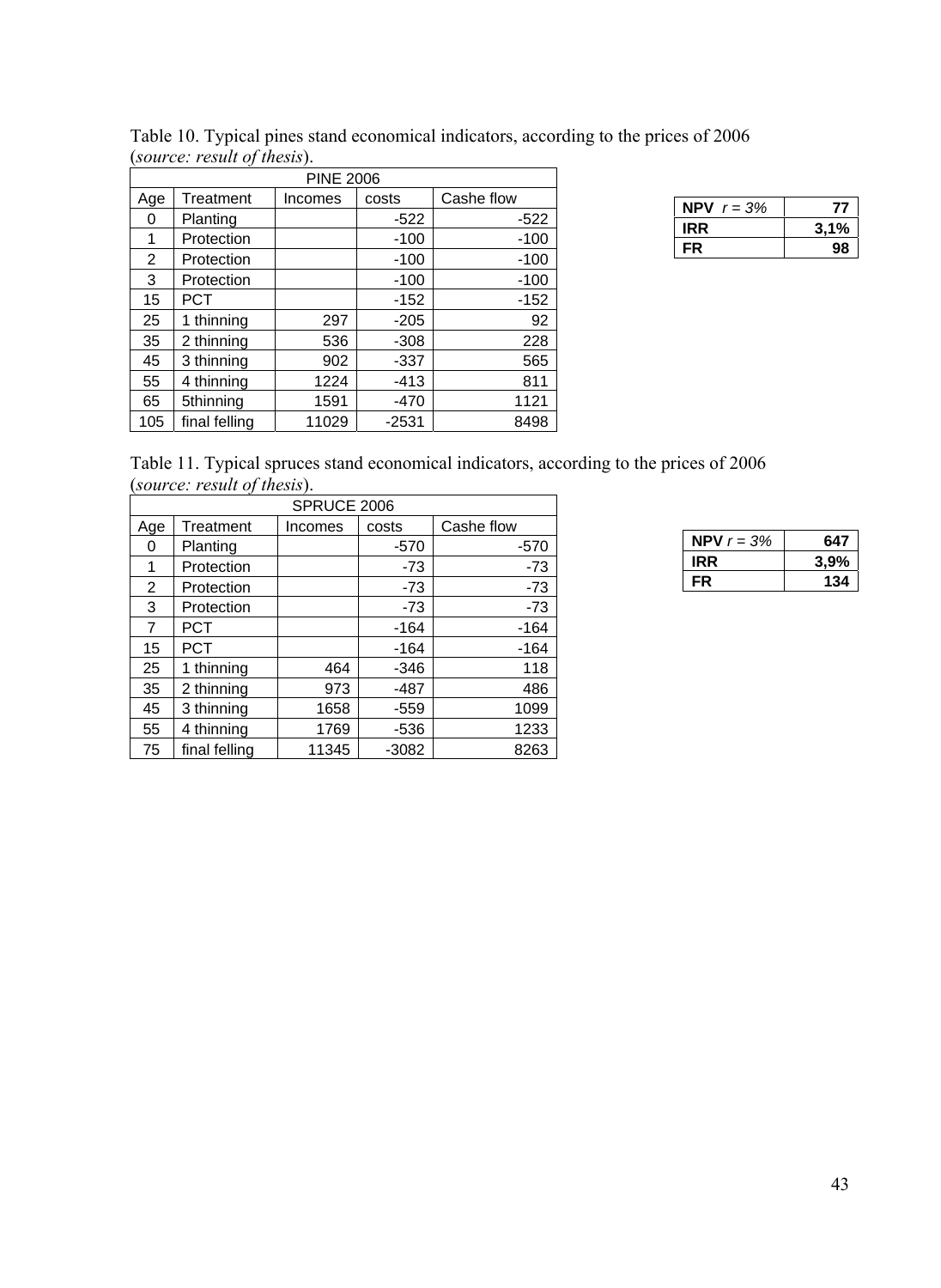|     | <b>PINE 2006</b> |         |         |            |  |  |
|-----|------------------|---------|---------|------------|--|--|
| Age | Treatment        | Incomes | costs   | Cashe flow |  |  |
| 0   | Planting         |         | $-522$  | $-522$     |  |  |
| 1   | Protection       |         | $-100$  | $-100$     |  |  |
| 2   | Protection       |         | $-100$  | $-100$     |  |  |
| 3   | Protection       |         | $-100$  | $-100$     |  |  |
| 15  | <b>PCT</b>       |         | $-152$  | $-152$     |  |  |
| 25  | 1 thinning       | 297     | $-205$  | 92         |  |  |
| 35  | 2 thinning       | 536     | $-308$  | 228        |  |  |
| 45  | 3 thinning       | 902     | $-337$  | 565        |  |  |
| 55  | 4 thinning       | 1224    | -413    | 811        |  |  |
| 65  | 5thinning        | 1591    | $-470$  | 1121       |  |  |
| 105 | final felling    | 11029   | $-2531$ | 8498       |  |  |

(*source: result of thesis*).

| NPV.<br>$r = 3%$ |      |
|------------------|------|
| <b>IRR</b>       | 3,1% |
| FR               |      |

Table 11. Typical spruces stand economical indicators, according to the prices of 2006 (*source: result of thesis*).

Table 10. Typical pines stand economical indicators, according to the prices of 2006

| SPRUCE 2006    |               |         |         |            |  |
|----------------|---------------|---------|---------|------------|--|
| Age            | Treatment     | Incomes | costs   | Cashe flow |  |
| 0              | Planting      |         | $-570$  | $-570$     |  |
| 1              | Protection    |         | $-73$   | $-73$      |  |
| $\overline{2}$ | Protection    |         | $-73$   | $-73$      |  |
| 3              | Protection    |         | -73     | $-73$      |  |
| 7              | <b>PCT</b>    |         | $-164$  | $-164$     |  |
| 15             | <b>PCT</b>    |         | $-164$  | -164       |  |
| 25             | 1 thinning    | 464     | $-346$  | 118        |  |
| 35             | 2 thinning    | 973     | $-487$  | 486        |  |
| 45             | 3 thinning    | 1658    | $-559$  | 1099       |  |
| 55             | 4 thinning    | 1769    | $-536$  | 1233       |  |
| 75             | final felling | 11345   | $-3082$ | 8263       |  |

| NPV $r = 3\%$ | 647  |
|---------------|------|
| IRR           | 3.9% |
| FR.           | 134  |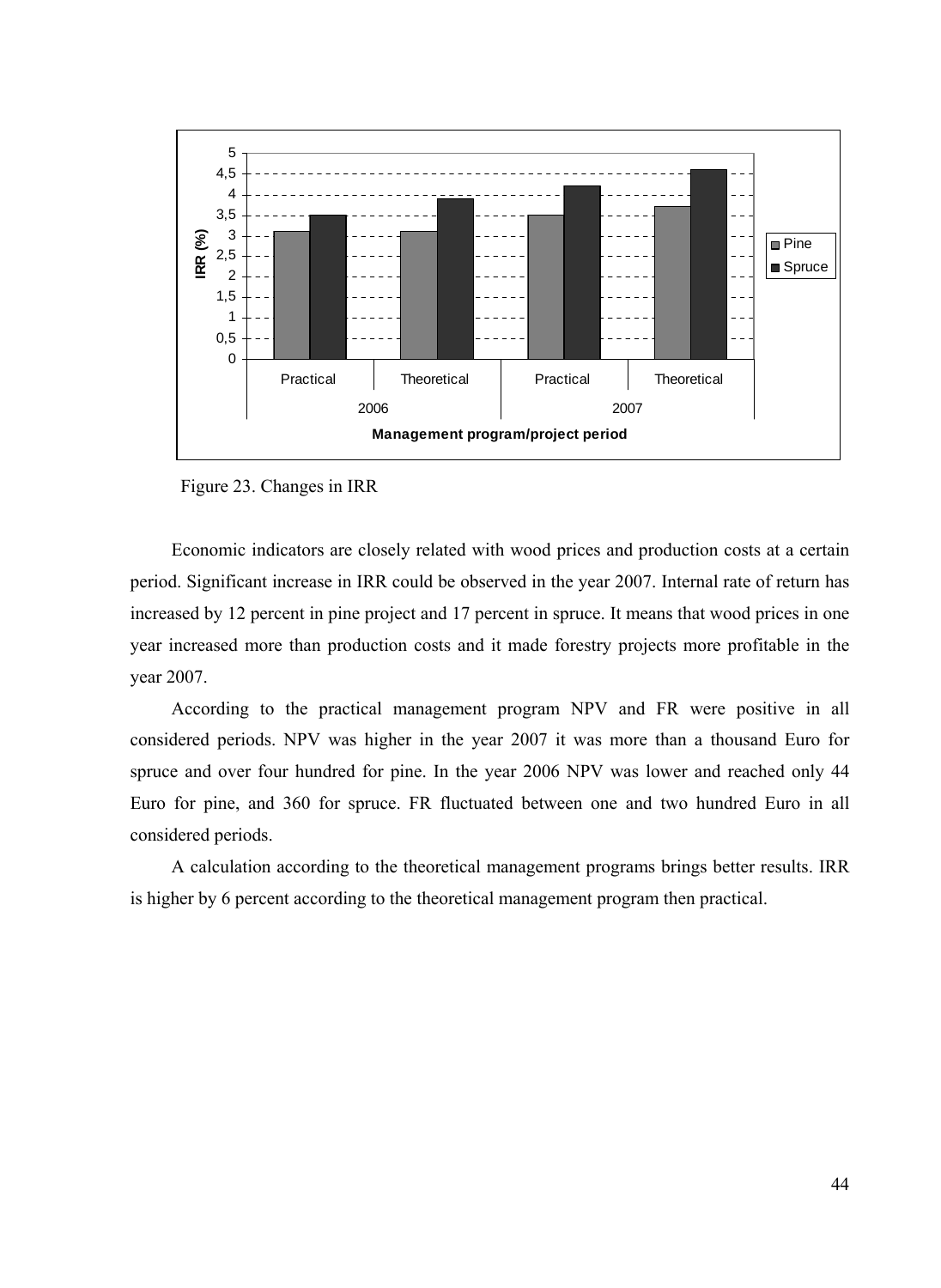

Figure 23. Changes in IRR

Economic indicators are closely related with wood prices and production costs at a certain period. Significant increase in IRR could be observed in the year 2007. Internal rate of return has increased by 12 percent in pine project and 17 percent in spruce. It means that wood prices in one year increased more than production costs and it made forestry projects more profitable in the year 2007.

According to the practical management program NPV and FR were positive in all considered periods. NPV was higher in the year 2007 it was more than a thousand Euro for spruce and over four hundred for pine. In the year 2006 NPV was lower and reached only 44 Euro for pine, and 360 for spruce. FR fluctuated between one and two hundred Euro in all considered periods.

A calculation according to the theoretical management programs brings better results. IRR is higher by 6 percent according to the theoretical management program then practical.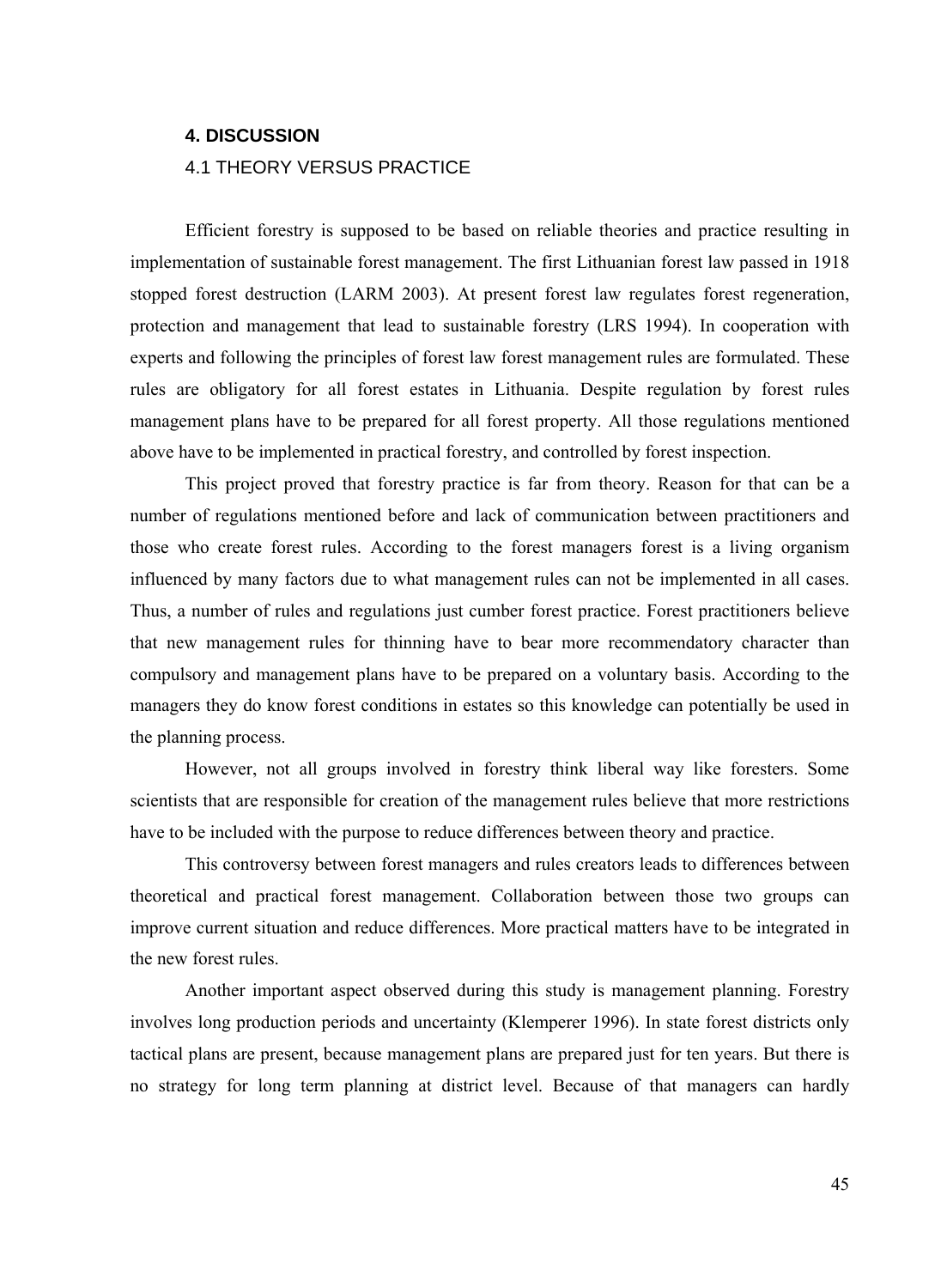#### <span id="page-46-0"></span>**4. DISCUSSION**

#### 4.1 THEORY VERSUS PRACTICE

Efficient forestry is supposed to be based on reliable theories and practice resulting in implementation of sustainable forest management. The first Lithuanian forest law passed in 1918 stopped forest destruction (LARM 2003). At present forest law regulates forest regeneration, protection and management that lead to sustainable forestry (LRS 1994). In cooperation with experts and following the principles of forest law forest management rules are formulated. These rules are obligatory for all forest estates in Lithuania. Despite regulation by forest rules management plans have to be prepared for all forest property. All those regulations mentioned above have to be implemented in practical forestry, and controlled by forest inspection.

This project proved that forestry practice is far from theory. Reason for that can be a number of regulations mentioned before and lack of communication between practitioners and those who create forest rules. According to the forest managers forest is a living organism influenced by many factors due to what management rules can not be implemented in all cases. Thus, a number of rules and regulations just cumber forest practice. Forest practitioners believe that new management rules for thinning have to bear more recommendatory character than compulsory and management plans have to be prepared on a voluntary basis. According to the managers they do know forest conditions in estates so this knowledge can potentially be used in the planning process.

However, not all groups involved in forestry think liberal way like foresters. Some scientists that are responsible for creation of the management rules believe that more restrictions have to be included with the purpose to reduce differences between theory and practice.

This controversy between forest managers and rules creators leads to differences between theoretical and practical forest management. Collaboration between those two groups can improve current situation and reduce differences. More practical matters have to be integrated in the new forest rules.

Another important aspect observed during this study is management planning. Forestry involves long production periods and uncertainty (Klemperer 1996). In state forest districts only tactical plans are present, because management plans are prepared just for ten years. But there is no strategy for long term planning at district level. Because of that managers can hardly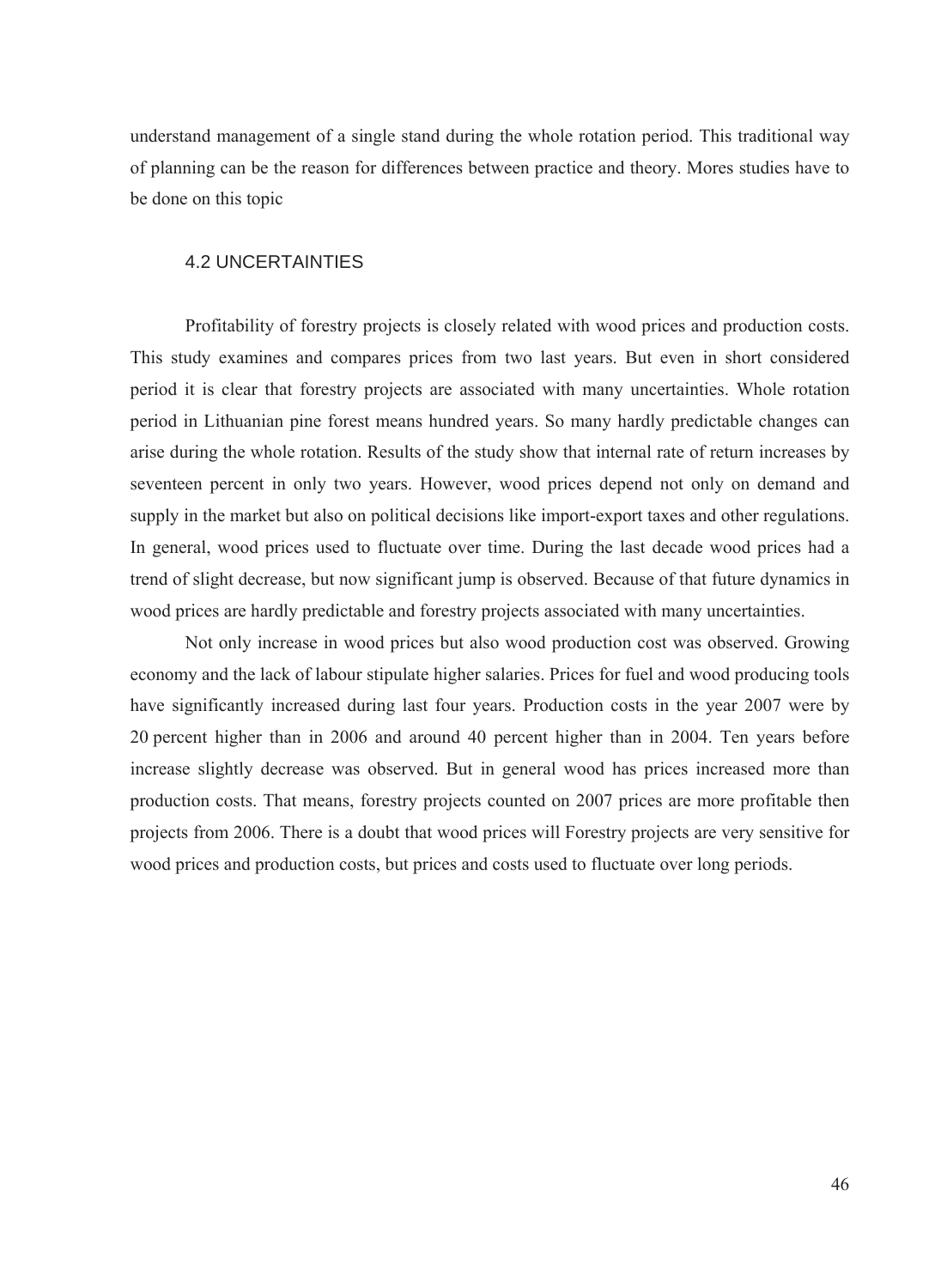<span id="page-47-0"></span>understand management of a single stand during the whole rotation period. This traditional way of planning can be the reason for differences between practice and theory. Mores studies have to be done on this topic

### 4.2 UNCERTAINTIES

Profitability of forestry projects is closely related with wood prices and production costs. This study examines and compares prices from two last years. But even in short considered period it is clear that forestry projects are associated with many uncertainties. Whole rotation period in Lithuanian pine forest means hundred years. So many hardly predictable changes can arise during the whole rotation. Results of the study show that internal rate of return increases by seventeen percent in only two years. However, wood prices depend not only on demand and supply in the market but also on political decisions like import-export taxes and other regulations. In general, wood prices used to fluctuate over time. During the last decade wood prices had a trend of slight decrease, but now significant jump is observed. Because of that future dynamics in wood prices are hardly predictable and forestry projects associated with many uncertainties.

Not only increase in wood prices but also wood production cost was observed. Growing economy and the lack of labour stipulate higher salaries. Prices for fuel and wood producing tools have significantly increased during last four years. Production costs in the year 2007 were by 20 percent higher than in 2006 and around 40 percent higher than in 2004. Ten years before increase slightly decrease was observed. But in general wood has prices increased more than production costs. That means, forestry projects counted on 2007 prices are more profitable then projects from 2006. There is a doubt that wood prices will Forestry projects are very sensitive for wood prices and production costs, but prices and costs used to fluctuate over long periods.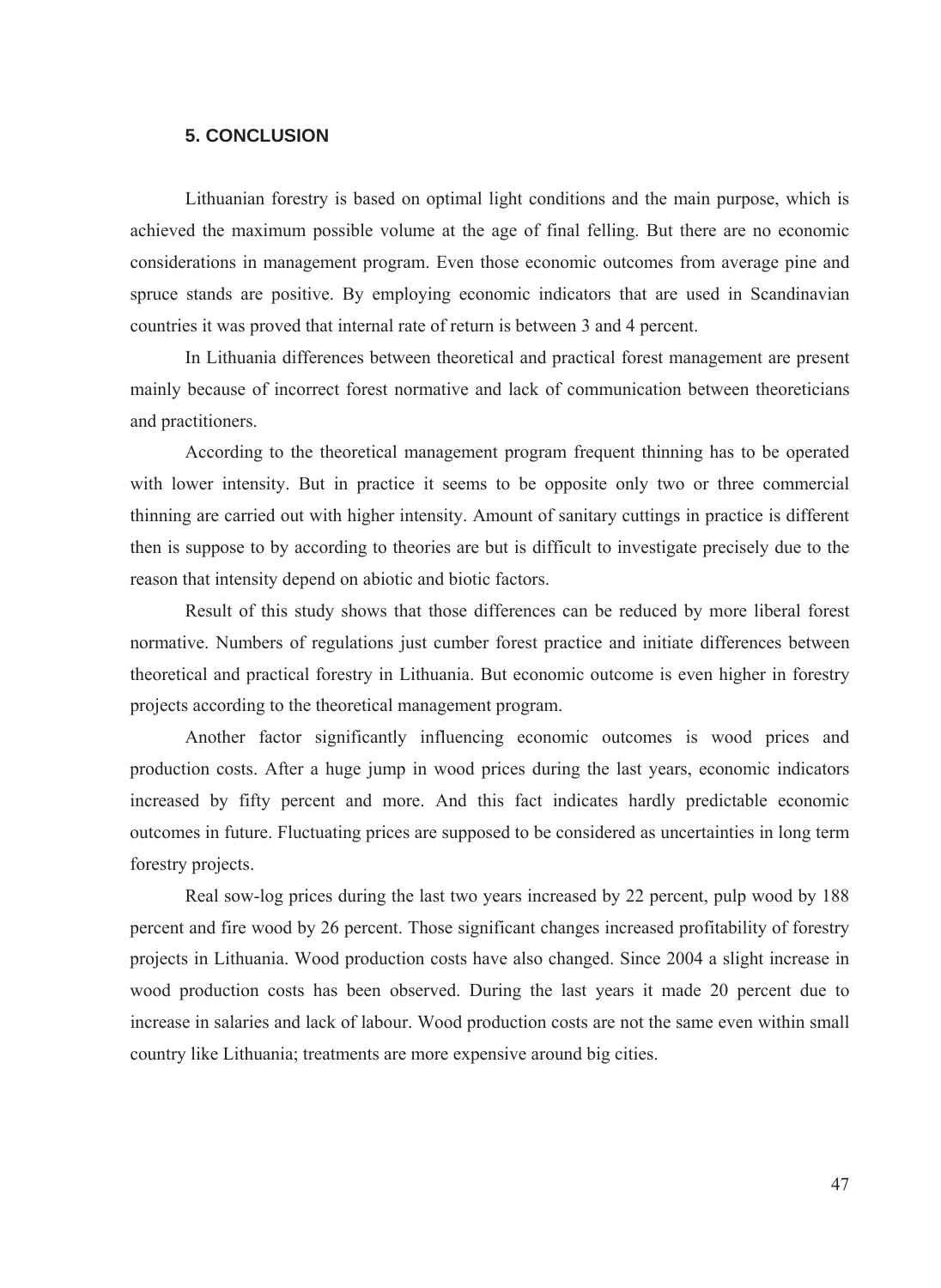## **5. CONCLUSION**

<span id="page-48-0"></span>Lithuanian forestry is based on optimal light conditions and the main purpose, which is achieved the maximum possible volume at the age of final felling. But there are no economic considerations in management program. Even those economic outcomes from average pine and spruce stands are positive. By employing economic indicators that are used in Scandinavian countries it was proved that internal rate of return is between 3 and 4 percent.

In Lithuania differences between theoretical and practical forest management are present mainly because of incorrect forest normative and lack of communication between theoreticians and practitioners.

According to the theoretical management program frequent thinning has to be operated with lower intensity. But in practice it seems to be opposite only two or three commercial thinning are carried out with higher intensity. Amount of sanitary cuttings in practice is different then is suppose to by according to theories are but is difficult to investigate precisely due to the reason that intensity depend on abiotic and biotic factors.

Result of this study shows that those differences can be reduced by more liberal forest normative. Numbers of regulations just cumber forest practice and initiate differences between theoretical and practical forestry in Lithuania. But economic outcome is even higher in forestry projects according to the theoretical management program.

Another factor significantly influencing economic outcomes is wood prices and production costs. After a huge jump in wood prices during the last years, economic indicators increased by fifty percent and more. And this fact indicates hardly predictable economic outcomes in future. Fluctuating prices are supposed to be considered as uncertainties in long term forestry projects.

Real sow-log prices during the last two years increased by 22 percent, pulp wood by 188 percent and fire wood by 26 percent. Those significant changes increased profitability of forestry projects in Lithuania. Wood production costs have also changed. Since 2004 a slight increase in wood production costs has been observed. During the last years it made 20 percent due to increase in salaries and lack of labour. Wood production costs are not the same even within small country like Lithuania; treatments are more expensive around big cities.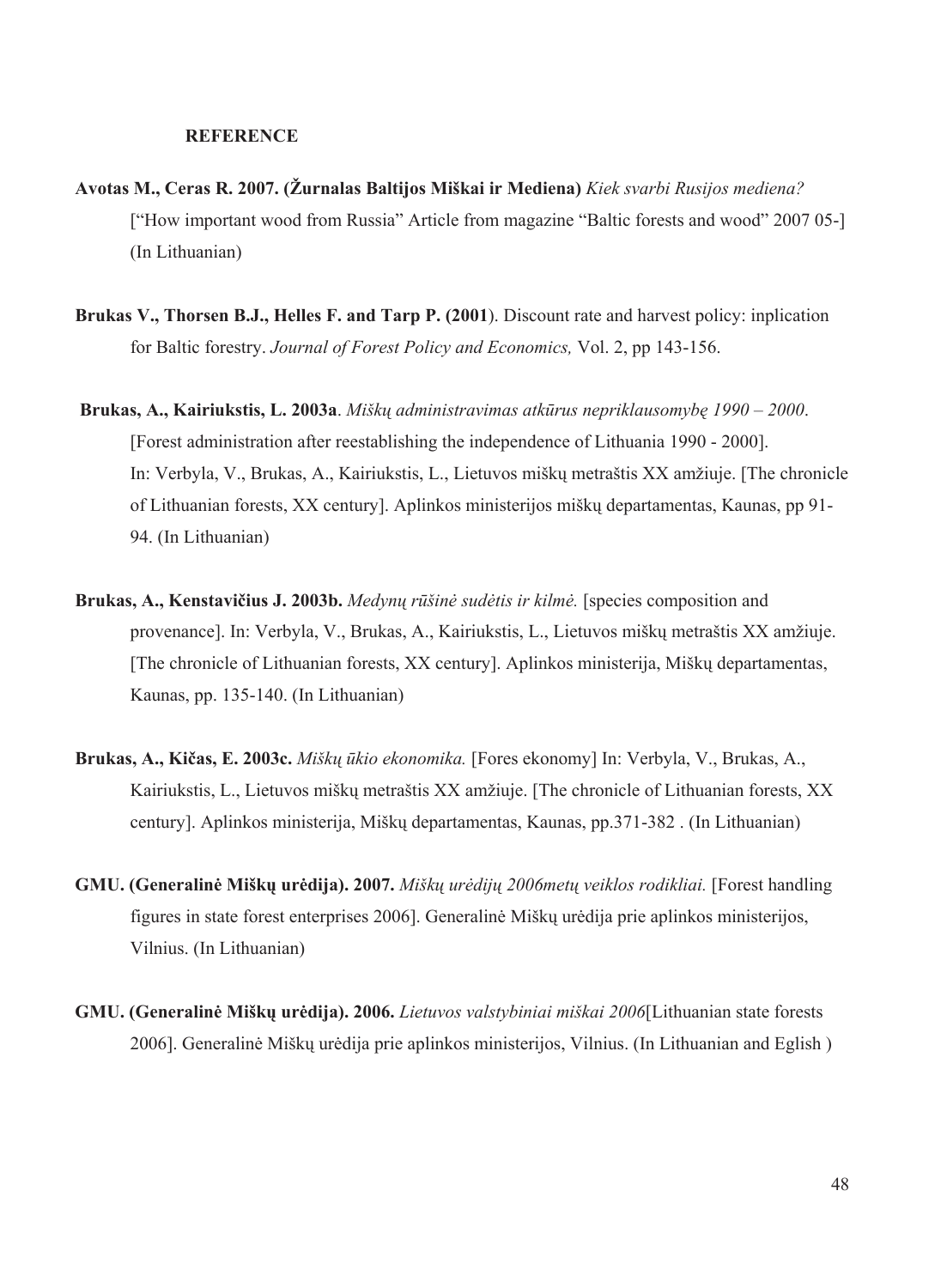#### **REFERENCE**

- <span id="page-49-0"></span>**Avotas M., Ceras R. 2007. (Žurnalas Baltijos Miškai ir Mediena)** *Kiek svarbi Rusijos mediena?*  ["How important wood from Russia" Article from magazine "Baltic forests and wood" 2007 05-] (In Lithuanian)
- **Brukas V., Thorsen B.J., Helles F. and Tarp P. (2001**). Discount rate and harvest policy: inplication for Baltic forestry. *Journal of Forest Policy and Economics,* Vol. 2, pp 143-156.
- **Brukas, A., Kairiukstis, L. 2003a**. *Miškų administravimas atkūrus nepriklausomybę 1990 2000*. [Forest administration after reestablishing the independence of Lithuania 1990 - 2000]. In: Verbyla, V., Brukas, A., Kairiukstis, L., Lietuvos miškų metraštis XX amžiuje. [The chronicle of Lithuanian forests, XX century]. Aplinkos ministerijos miškų departamentas, Kaunas, pp 91- 94. (In Lithuanian)
- **Brukas, A., Kenstavičius J. 2003b.** *Medynų rūšinė sudėtis ir kilmė.* [species composition and provenance]. In: Verbyla, V., Brukas, A., Kairiukstis, L., Lietuvos miškų metraštis XX amžiuje. [The chronicle of Lithuanian forests, XX century]. Aplinkos ministerija, Miškų departamentas, Kaunas, pp. 135-140. (In Lithuanian)
- **Brukas, A., Kičas, E. 2003c.** *Miškų ūkio ekonomika.* [Fores ekonomy] In: Verbyla, V., Brukas, A., Kairiukstis, L., Lietuvos miškų metraštis XX amžiuje. [The chronicle of Lithuanian forests, XX century]. Aplinkos ministerija, Miškų departamentas, Kaunas, pp.371-382 . (In Lithuanian)
- **GMU. (Generalinė Miškų urėdija). 2007.** *Miškų urėdijų 2006metų veiklos rodikliai.* [Forest handling figures in state forest enterprises 2006]. Generalinė Miškų urėdija prie aplinkos ministerijos, Vilnius. (In Lithuanian)
- **GMU. (Generalinė Miškų urėdija). 2006.** *Lietuvos valstybiniai miškai 2006*[Lithuanian state forests 2006]. Generalinė Miškų urėdija prie aplinkos ministerijos, Vilnius. (In Lithuanian and Eglish )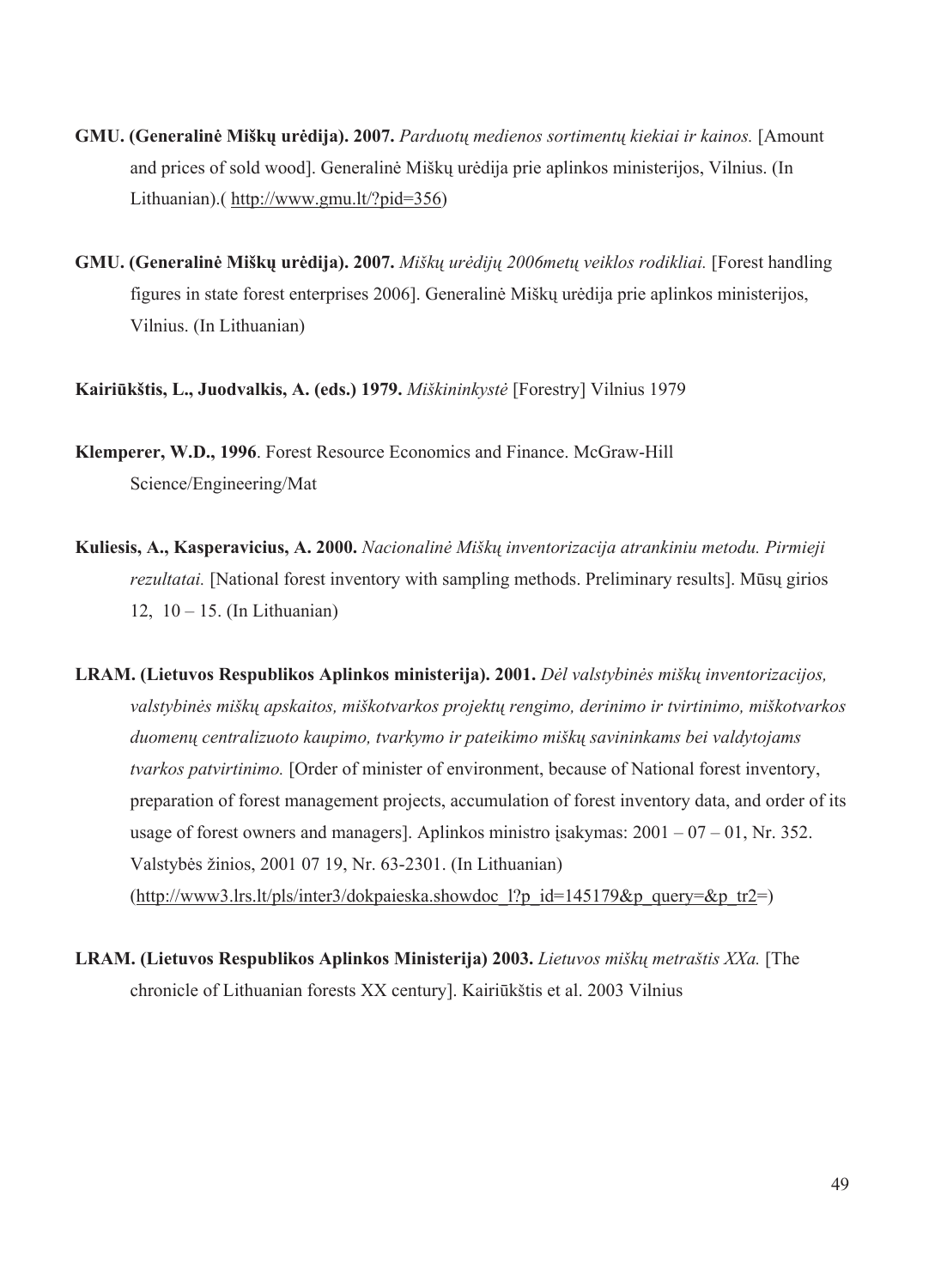- **GMU. (Generalinė Miškų urėdija). 2007.** *Parduotų medienos sortimentų kiekiai ir kainos.* [Amount and prices of sold wood]. Generalinė Miškų urėdija prie aplinkos ministerijos, Vilnius. (In Lithuanian).( [http://www.gmu.lt/?pid=356\)](http://www.gmu.lt/?pid=356)
- **GMU. (Generalinė Miškų urėdija). 2007.** *Miškų urėdijų 2006metų veiklos rodikliai.* [Forest handling figures in state forest enterprises 2006]. Generalinė Miškų urėdija prie aplinkos ministerijos, Vilnius. (In Lithuanian)

**Kairiūkštis, L., Juodvalkis, A. (eds.) 1979.** *Miškininkystė* [Forestry] Vilnius 1979

- **Klemperer, W.D., 1996**. Forest Resource Economics and Finance. McGraw-Hill Science/Engineering/Mat
- **Kuliesis, A., Kasperavicius, A. 2000.** *Nacionalinė Miškų inventorizacija atrankiniu metodu. Pirmieji rezultatai.* [National forest inventory with sampling methods. Preliminary results]. Mūsų girios 12,  $10 - 15$ . (In Lithuanian)
- **LRAM. (Lietuvos Respublikos Aplinkos ministerija). 2001.** *Dėl valstybinės miškų inventorizacijos, valstybinės miškų apskaitos, miškotvarkos projektų rengimo, derinimo ir tvirtinimo, miškotvarkos duomenų centralizuoto kaupimo, tvarkymo ir pateikimo miškų savininkams bei valdytojams tvarkos patvirtinimo.* [Order of minister of environment, because of National forest inventory, preparation of forest management projects, accumulation of forest inventory data, and order of its usage of forest owners and managers]. Aplinkos ministro isakymas:  $2001 - 07 - 01$ , Nr. 352. Valstybės žinios, 2001 07 19, Nr. 63-2301. (In Lithuanian) (http://www3.lrs.lt/pls/inter3/dokpaieska.showdoc 1?p\_id=145179&p\_query=&p\_tr2=)
- **LRAM. (Lietuvos Respublikos Aplinkos Ministerija) 2003.** *Lietuvos miškų metraštis XXa.* [The chronicle of Lithuanian forests XX century]. Kairiūkštis et al. 2003 Vilnius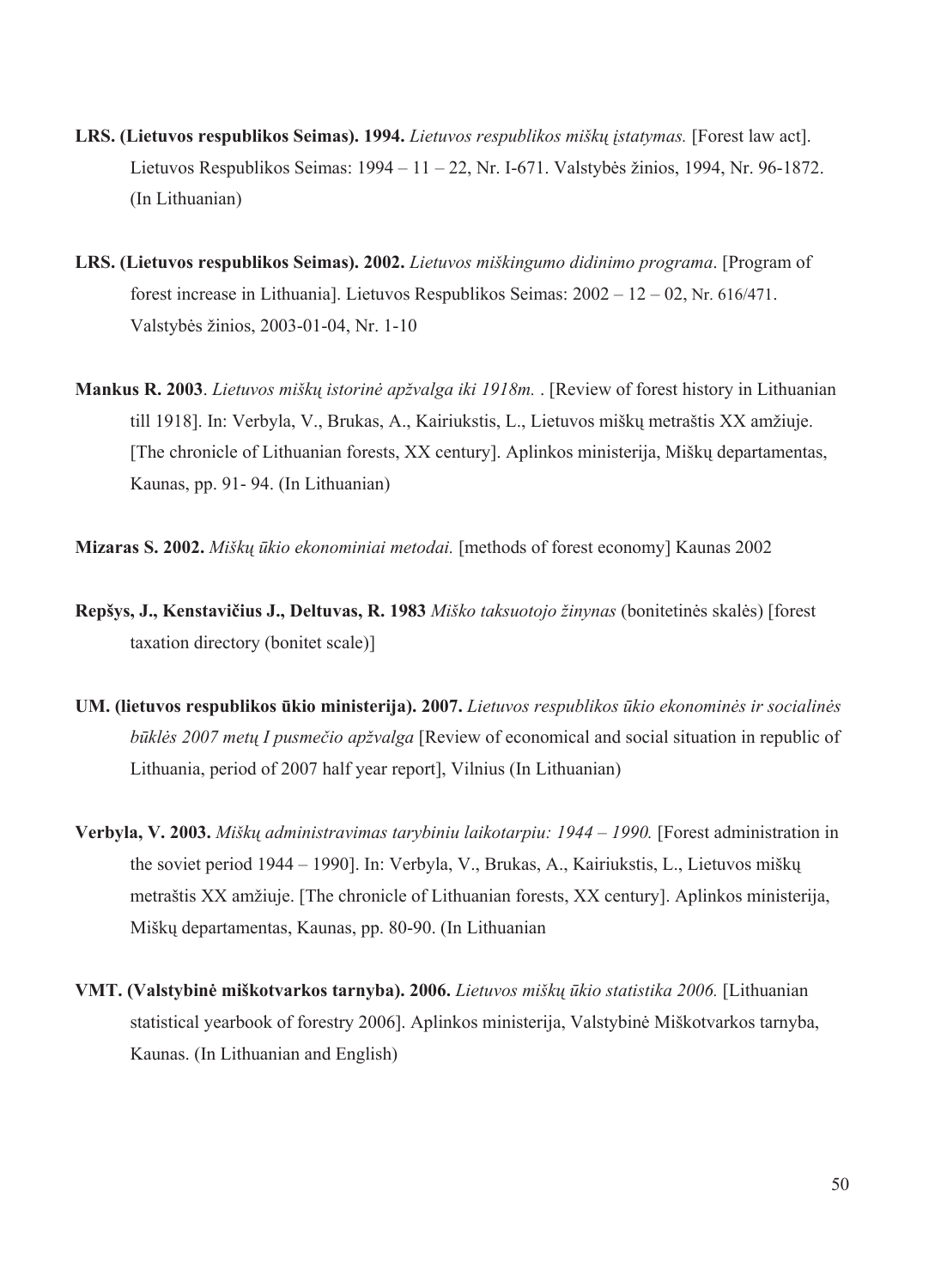- **LRS. (Lietuvos respublikos Seimas). 1994.** *Lietuvos respublikos miškų įstatymas.* [Forest law act]. Lietuvos Respublikos Seimas: 1994 – 11 – 22, Nr. I-671. Valstybės žinios, 1994, Nr. 96-1872. (In Lithuanian)
- **LRS. (Lietuvos respublikos Seimas). 2002.** *Lietuvos miškingumo didinimo programa*. [Program of forest increase in Lithuania]. Lietuvos Respublikos Seimas: 2002 – 12 – 02, Nr. 616/471. Valstybės žinios, 2003-01-04, Nr. 1-10
- **Mankus R. 2003**. *Lietuvos miškų istorinė apžvalga iki 1918m.* . [Review of forest history in Lithuanian till 1918]. In: Verbyla, V., Brukas, A., Kairiukstis, L., Lietuvos miškų metraštis XX amžiuje. [The chronicle of Lithuanian forests, XX century]. Aplinkos ministerija, Miškų departamentas, Kaunas, pp. 91- 94. (In Lithuanian)
- **Mizaras S. 2002.** *Miškų ūkio ekonominiai metodai.* [methods of forest economy] Kaunas 2002
- **Repšys, J., Kenstavičius J., Deltuvas, R. 1983** *Miško taksuotojo žinynas* (bonitetinės skalės) [forest taxation directory (bonitet scale)]
- **UM. (lietuvos respublikos ūkio ministerija). 2007.** *Lietuvos respublikos ūkio ekonominės ir socialinės būklės 2007 metų I pusmečio apžvalga* [Review of economical and social situation in republic of Lithuania, period of 2007 half year report], Vilnius (In Lithuanian)
- **Verbyla, V. 2003.** *Miškų administravimas tarybiniu laikotarpiu: 1944 1990.* [Forest administration in the soviet period 1944 – 1990]. In: Verbyla, V., Brukas, A., Kairiukstis, L., Lietuvos miškų metraštis XX amžiuje. [The chronicle of Lithuanian forests, XX century]. Aplinkos ministerija, Miškų departamentas, Kaunas, pp. 80-90. (In Lithuanian
- **VMT. (Valstybinė miškotvarkos tarnyba). 2006.** *Lietuvos miškų ūkio statistika 2006.* [Lithuanian statistical yearbook of forestry 2006]. Aplinkos ministerija, Valstybinė Miškotvarkos tarnyba, Kaunas. (In Lithuanian and English)